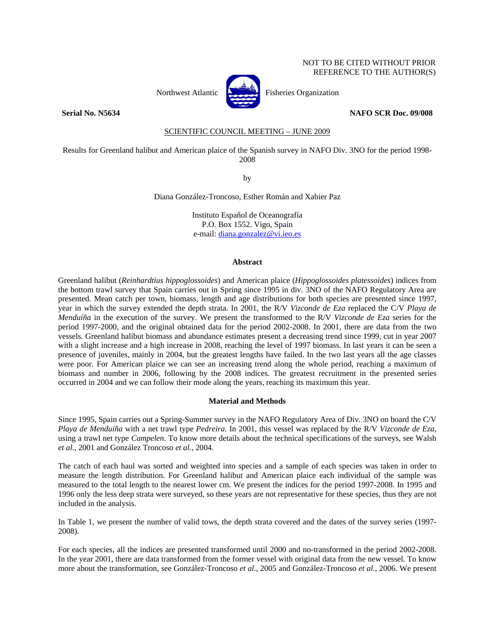# NOT TO BE CITED WITHOUT PRIOR REFERENCE TO THE AUTHOR(S)



Northwest Atlantic **Northuse** Fisheries Organization

## **Serial No. N5634 NAFO SCR Doc. 09/008**

SCIENTIFIC COUNCIL MEETING – JUNE 2009

Results for Greenland halibut and American plaice of the Spanish survey in NAFO Div. 3NO for the period 1998- 2008

by

Diana González-Troncoso, Esther Román and Xabier Paz

Instituto Español de Oceanografía P.O. Box 1552. Vigo, Spain e-mail: diana.gonzalez@vi.ieo.es

# **Abstract**

Greenland halibut (*Reinhardtius hippoglossoides*) and American plaice (*Hippoglossoides platessoides*) indices from the bottom trawl survey that Spain carries out in Spring since 1995 in div. 3NO of the NAFO Regulatory Area are presented. Mean catch per town, biomass, length and age distributions for both species are presented since 1997, year in which the survey extended the depth strata. In 2001, the R/V *Vizconde de Eza* replaced the C/V *Playa de Menduíña* in the execution of the survey. We present the transformed to the R/V *Vizconde de Eza* series for the period 1997-2000, and the original obtained data for the period 2002-2008. In 2001, there are data from the two vessels. Greenland halibut biomass and abundance estimates present a decreasing trend since 1999, cut in year 2007 with a slight increase and a high increase in 2008, reaching the level of 1997 biomass. In last years it can be seen a presence of juveniles, mainly in 2004, but the greatest lengths have failed. In the two last years all the age classes were poor. For American plaice we can see an increasing trend along the whole period, reaching a maximum of biomass and number in 2006, following by the 2008 indices. The greatest recruitment in the presented series occurred in 2004 and we can follow their mode along the years, reaching its maximum this year.

## **Material and Methods**

Since 1995, Spain carries out a Spring-Summer survey in the NAFO Regulatory Area of Div. 3NO on board the C/V *Playa de Menduíña* with a net trawl type *Pedreira*. In 2001, this vessel was replaced by the R/V *Vizconde de Eza*, using a trawl net type *Campelen*. To know more details about the technical specifications of the surveys, see Walsh *et al.*, 2001 and González Troncoso *et al.*, 2004.

The catch of each haul was sorted and weighted into species and a sample of each species was taken in order to measure the length distribution. For Greenland halibut and American plaice each individual of the sample was measured to the total length to the nearest lower cm. We present the indices for the period 1997-2008. In 1995 and 1996 only the less deep strata were surveyed, so these years are not representative for these species, thus they are not included in the analysis.

In Table 1, we present the number of valid tows, the depth strata covered and the dates of the survey series (1997- 2008).

For each species, all the indices are presented transformed until 2000 and no-transformed in the period 2002-2008. In the year 2001, there are data transformed from the former vessel with original data from the new vessel. To know more about the transformation, see González-Troncoso *et al*., 2005 and González-Troncoso *et al*., 2006. We present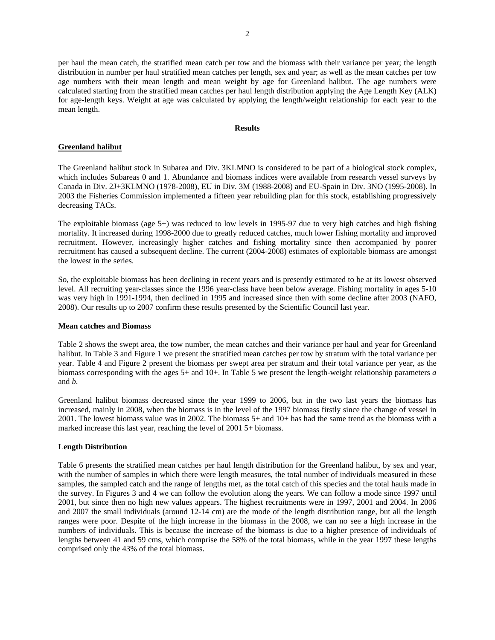per haul the mean catch, the stratified mean catch per tow and the biomass with their variance per year; the length distribution in number per haul stratified mean catches per length, sex and year; as well as the mean catches per tow age numbers with their mean length and mean weight by age for Greenland halibut. The age numbers were calculated starting from the stratified mean catches per haul length distribution applying the Age Length Key (ALK) for age-length keys. Weight at age was calculated by applying the length/weight relationship for each year to the mean length.

# **Results**

# **Greenland halibut**

The Greenland halibut stock in Subarea and Div. 3KLMNO is considered to be part of a biological stock complex, which includes Subareas 0 and 1. Abundance and biomass indices were available from research vessel surveys by Canada in Div. 2J+3KLMNO (1978-2008), EU in Div. 3M (1988-2008) and EU-Spain in Div. 3NO (1995-2008). In 2003 the Fisheries Commission implemented a fifteen year rebuilding plan for this stock, establishing progressively decreasing TACs.

The exploitable biomass (age 5+) was reduced to low levels in 1995-97 due to very high catches and high fishing mortality. It increased during 1998-2000 due to greatly reduced catches, much lower fishing mortality and improved recruitment. However, increasingly higher catches and fishing mortality since then accompanied by poorer recruitment has caused a subsequent decline. The current (2004-2008) estimates of exploitable biomass are amongst the lowest in the series.

So, the exploitable biomass has been declining in recent years and is presently estimated to be at its lowest observed level. All recruiting year-classes since the 1996 year-class have been below average. Fishing mortality in ages 5-10 was very high in 1991-1994, then declined in 1995 and increased since then with some decline after 2003 (NAFO, 2008). Our results up to 2007 confirm these results presented by the Scientific Council last year.

## **Mean catches and Biomass**

Table 2 shows the swept area, the tow number, the mean catches and their variance per haul and year for Greenland halibut. In Table 3 and Figure 1 we present the stratified mean catches per tow by stratum with the total variance per year. Table 4 and Figure 2 present the biomass per swept area per stratum and their total variance per year, as the biomass corresponding with the ages 5+ and 10+. In Table 5 we present the length-weight relationship parameters *a* and *b*.

Greenland halibut biomass decreased since the year 1999 to 2006, but in the two last years the biomass has increased, mainly in 2008, when the biomass is in the level of the 1997 biomass firstly since the change of vessel in 2001. The lowest biomass value was in 2002. The biomass 5+ and 10+ has had the same trend as the biomass with a marked increase this last year, reaching the level of 2001 5+ biomass.

# **Length Distribution**

Table 6 presents the stratified mean catches per haul length distribution for the Greenland halibut, by sex and year, with the number of samples in which there were length measures, the total number of individuals measured in these samples, the sampled catch and the range of lengths met, as the total catch of this species and the total hauls made in the survey. In Figures 3 and 4 we can follow the evolution along the years. We can follow a mode since 1997 until 2001, but since then no high new values appears. The highest recruitments were in 1997, 2001 and 2004. In 2006 and 2007 the small individuals (around 12-14 cm) are the mode of the length distribution range, but all the length ranges were poor. Despite of the high increase in the biomass in the 2008, we can no see a high increase in the numbers of individuals. This is because the increase of the biomass is due to a higher presence of individuals of lengths between 41 and 59 cms, which comprise the 58% of the total biomass, while in the year 1997 these lengths comprised only the 43% of the total biomass.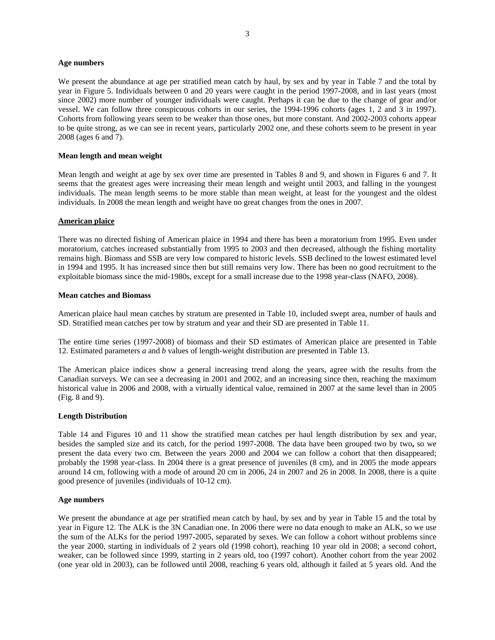### **Age numbers**

We present the abundance at age per stratified mean catch by haul, by sex and by year in Table 7 and the total by year in Figure 5. Individuals between 0 and 20 years were caught in the period 1997-2008, and in last years (most since 2002) more number of younger individuals were caught. Perhaps it can be due to the change of gear and/or vessel. We can follow three conspicuous cohorts in our series, the 1994-1996 cohorts (ages 1, 2 and 3 in 1997). Cohorts from following years seem to be weaker than those ones, but more constant. And 2002-2003 cohorts appear to be quite strong, as we can see in recent years, particularly 2002 one, and these cohorts seem to be present in year 2008 (ages 6 and 7).

## **Mean length and mean weight**

Mean length and weight at age by sex over time are presented in Tables 8 and 9, and shown in Figures 6 and 7. It seems that the greatest ages were increasing their mean length and weight until 2003, and falling in the youngest individuals. The mean length seems to be more stable than mean weight, at least for the youngest and the oldest individuals. In 2008 the mean length and weight have no great changes from the ones in 2007.

### **American plaice**

There was no directed fishing of American plaice in 1994 and there has been a moratorium from 1995. Even under moratorium, catches increased substantially from 1995 to 2003 and then decreased, although the fishing mortality remains high. Biomass and SSB are very low compared to historic levels. SSB declined to the lowest estimated level in 1994 and 1995. It has increased since then but still remains very low. There has been no good recruitment to the exploitable biomass since the mid-1980s, except for a small increase due to the 1998 year-class (NAFO, 2008).

### **Mean catches and Biomass**

American plaice haul mean catches by stratum are presented in Table 10, included swept area, number of hauls and SD. Stratified mean catches per tow by stratum and year and their SD are presented in Table 11.

The entire time series (1997-2008) of biomass and their SD estimates of American plaice are presented in Table 12. Estimated parameters *a* and *b* values of length-weight distribution are presented in Table 13.

The American plaice indices show a general increasing trend along the years, agree with the results from the Canadian surveys. We can see a decreasing in 2001 and 2002, and an increasing since then, reaching the maximum historical value in 2006 and 2008, with a virtually identical value, remained in 2007 at the same level than in 2005 (Fig. 8 and 9).

## **Length Distribution**

Table 14 and Figures 10 and 11 show the stratified mean catches per haul length distribution by sex and year, besides the sampled size and its catch, for the period 1997-2008. The data have been grouped two by two**,** so we present the data every two cm. Between the years 2000 and 2004 we can follow a cohort that then disappeared; probably the 1998 year-class. In 2004 there is a great presence of juveniles (8 cm), and in 2005 the mode appears around 14 cm, following with a mode of around 20 cm in 2006, 24 in 2007 and 26 in 2008. In 2008, there is a quite good presence of juveniles (individuals of 10-12 cm).

#### **Age numbers**

We present the abundance at age per stratified mean catch by haul, by sex and by year in Table 15 and the total by year in Figure 12. The ALK is the 3N Canadian one. In 2006 there were no data enough to make an ALK, so we use the sum of the ALKs for the period 1997-2005, separated by sexes. We can follow a cohort without problems since the year 2000, starting in individuals of 2 years old (1998 cohort), reaching 10 year old in 2008; a second cohort, weaker, can be followed since 1999, starting in 2 years old, too (1997 cohort). Another cohort from the year 2002 (one year old in 2003), can be followed until 2008, reaching 6 years old, although it failed at 5 years old. And the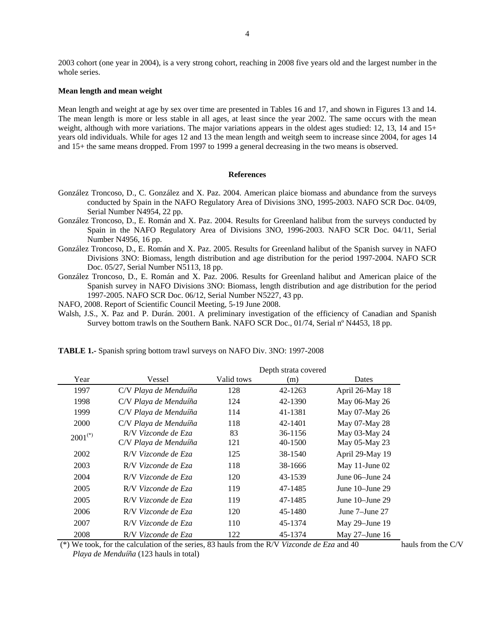2003 cohort (one year in 2004), is a very strong cohort, reaching in 2008 five years old and the largest number in the whole series.

#### **Mean length and mean weight**

Mean length and weight at age by sex over time are presented in Tables 16 and 17, and shown in Figures 13 and 14. The mean length is more or less stable in all ages, at least since the year 2002. The same occurs with the mean weight, although with more variations. The major variations appears in the oldest ages studied: 12, 13, 14 and 15+ years old individuals. While for ages 12 and 13 the mean length and weitgh seem to increase since 2004, for ages 14 and 15+ the same means dropped. From 1997 to 1999 a general decreasing in the two means is observed.

#### **References**

- González Troncoso, D., C. González and X. Paz. 2004. American plaice biomass and abundance from the surveys conducted by Spain in the NAFO Regulatory Area of Divisions 3NO, 1995-2003. NAFO SCR Doc. 04/09, Serial Number N4954, 22 pp.
- González Troncoso, D., E. Román and X. Paz. 2004. Results for Greenland halibut from the surveys conducted by Spain in the NAFO Regulatory Area of Divisions 3NO, 1996-2003. NAFO SCR Doc. 04/11, Serial Number N4956, 16 pp.
- González Troncoso, D., E. Román and X. Paz. 2005. Results for Greenland halibut of the Spanish survey in NAFO Divisions 3NO: Biomass, length distribution and age distribution for the period 1997-2004. NAFO SCR Doc. 05/27, Serial Number N5113, 18 pp.
- González Troncoso, D., E. Román and X. Paz. 2006. Results for Greenland halibut and American plaice of the Spanish survey in NAFO Divisions 3NO: Biomass, length distribution and age distribution for the period 1997-2005. NAFO SCR Doc. 06/12, Serial Number N5227, 43 pp.
- NAFO, 2008. Report of Scientific Council Meeting, 5-19 June 2008.
- Walsh, J.S., X. Paz and P. Durán. 2001. A preliminary investigation of the efficiency of Canadian and Spanish Survey bottom trawls on the Southern Bank. NAFO SCR Doc., 01/74, Serial nº N4453, 18 pp.

|              |                       |            | Depth strata covered |                      |
|--------------|-----------------------|------------|----------------------|----------------------|
| Year         | Vessel                | Valid tows | (m)                  | Dates                |
| 1997         | C/V Playa de Menduíña | 128        | 42-1263              | April 26-May 18      |
| 1998         | C/V Playa de Menduíña | 124        | 42-1390              | May 06-May 26        |
| 1999         | C/V Playa de Menduíña | 114        | 41-1381              | May 07-May 26        |
| 2000         | C/V Playa de Menduíña | 118        | 42-1401              | May 07-May 28        |
| $2001^{(*)}$ | R/V Vizconde de Eza   | 83         | 36-1156              | May 03-May 24        |
|              | C/V Playa de Menduíña | 121        | 40-1500              | May 05-May 23        |
| 2002         | R/V Vizconde de Eza   | 125        | 38-1540              | April 29-May 19      |
| 2003         | R/V Vizconde de Eza   | 118        | 38-1666              | May 11-June 02       |
| 2004         | R/V Vizconde de Eza   | 120        | 43-1539              | June $06$ –June $24$ |
| 2005         | R/V Vizconde de Eza   | 119        | 47-1485              | June $10$ -June $29$ |
| 2005         | R/V Vizconde de Eza   | 119        | 47-1485              | June $10$ -June $29$ |
| 2006         | R/V Vizconde de Eza   | 120        | 45-1480              | June 7–June 27       |
| 2007         | R/V Vizconde de Eza   | 110        | 45-1374              | May $29$ –June 19    |
| 2008         | R/V Vizconde de Eza   | 122        | 45-1374              | May $27$ –June 16    |

**TABLE 1.-** Spanish spring bottom trawl surveys on NAFO Div. 3NO: 1997-2008

 (\*) We took, for the calculation of the series, 83 hauls from the R/V *Vizconde de Eza* and 40 hauls from the C/V *Playa de Menduíña* (123 hauls in total)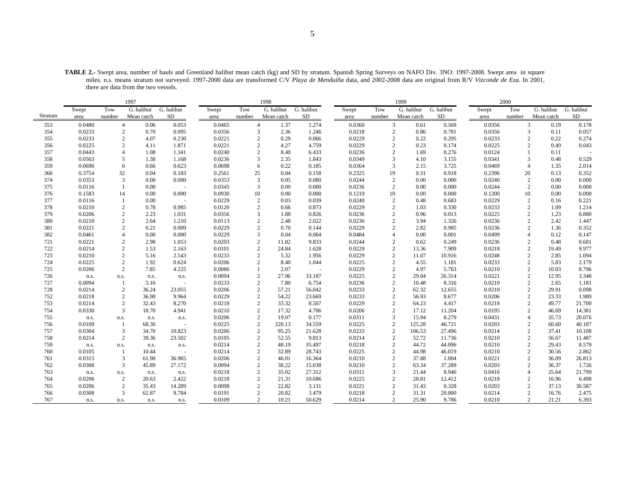**TABLE 2.-** Swept area, number of hauls and Greenland halibut mean catch (kg) and SD by stratum. Spanish Spring Surveys on NAFO Div. 3NO: 1997-2008. Swept area in square miles. n.s. means stratum not surveyed. 1997-2000 data are transformed C/V *Playa de Menduíña* data, and 2002-2008 data are original from R/V *Vizconde de Eza*. In 2001, there are data from the two vessels.

|         |        |                | 1997       |            |        |                | 1998       |            |        |                | 1999       |            |        | 2000           |            |            |
|---------|--------|----------------|------------|------------|--------|----------------|------------|------------|--------|----------------|------------|------------|--------|----------------|------------|------------|
|         | Swept  | Tow            | G. halibut | G. halibut | Swept  | Tow            | G. halibut | G. halibut | Swept  | Tow            | G. halibut | G. halibut | Swept  | Tow            | G. halibut | G. halibut |
| Stratum | area   | number         | Mean catch | SD         | area   | number         | Mean catch | SD         | area   | number         | Mean catch | SD         | area   | number         | Mean catch | SD         |
| 353     | 0.0480 | $\overline{4}$ | 0.06       | 0.053      | 0.0465 | $\overline{4}$ | 1.37       | 1.274      | 0.0360 | 3              | 0.61       | 0.569      | 0.0356 | 3              | 0.19       | 0.178      |
| 354     | 0.0233 | $\overline{2}$ | 0.70       | 0.095      | 0.0356 | 3              | 2.36       | 1.246      | 0.0218 | 2              | 0.86       | 0.781      | 0.0356 | 3              | 0.11       | 0.057      |
| 355     | 0.0233 | 2              | 4.07       | 0.230      | 0.0221 | 2              | 0.29       | 0.066      | 0.0229 | $\overline{2}$ | 0.22       | 0.295      | 0.0233 | 2              | 0.22       | 0.274      |
| 356     | 0.0225 | $\overline{2}$ | 4.11       | 1.871      | 0.0221 | $\overline{c}$ | 4.27       | 4.759      | 0.0229 | $\overline{2}$ | 0.23       | 0.174      | 0.0225 | $\overline{c}$ | 0.49       | 0.043      |
| 357     | 0.0443 | $\overline{4}$ | 1.08       | 1.341      | 0.0240 | 2              | 8.40       | 6.433      | 0.0236 | $\overline{2}$ | 1.69       | 0.276      | 0.0124 |                | 0.11       |            |
| 358     | 0.0563 | 5              | 1.38       | 1.168      | 0.0236 | 3              | 2.35       | 1.843      | 0.0349 | 3              | 4.10       | 3.155      | 0.0341 | 3              | 0.48       | 0.529      |
| 359     | 0.0690 | 6              | 0.66       | 0.623      | 0.0698 | 6              | 0.22       | 0.185      | 0.0364 | 3              | 2.15       | 3.725      | 0.0469 | $\overline{4}$ | 1.35       | 2.014      |
| 360     | 0.3754 | 32             | 0.04       | 0.183      | 0.2561 | 25             | 0.04       | 0.158      | 0.2325 | 19             | 0.31       | 0.918      | 0.2396 | 20             | 0.13       | 0.352      |
| 374     | 0.0353 | 3              | 0.00       | 0.000      | 0.0353 | 3              | 0.05       | 0.080      | 0.0244 | $\overline{2}$ | 0.00       | 0.000      | 0.0240 | $\overline{c}$ | 0.00       | 0.000      |
| 375     | 0.0116 |                | 0.00       |            | 0.0345 | 3              | 0.00       | 0.000      | 0.0236 | $\overline{2}$ | 0.00       | 0.000      | 0.0244 | 2              | 0.00       | 0.000      |
| 376     | 0.1583 | 14             | 0.00       | 0.000      | 0.0930 | 10             | 0.00       | 0.000      | 0.1219 | 10             | 0.00       | 0.000      | 0.1200 | 10             | 0.00       | 0.000      |
| 377     | 0.0116 | $\mathbf{1}$   | 0.00       | $\sim$     | 0.0229 | 2              | 0.03       | 0.039      | 0.0240 | $\overline{c}$ | 0.48       | 0.683      | 0.0229 | $\overline{c}$ | 0.16       | 0.221      |
| 378     | 0.0210 | 2              | 0.78       | 0.985      | 0.0120 | $\overline{c}$ | 0.66       | 0.873      | 0.0229 | $\overline{2}$ | 1.03       | 0.330      | 0.0233 | 2              | 1.09       | 1.214      |
| 379     | 0.0206 | 2              | 2.23       | 1.031      | 0.0356 | 3              | 1.88       | 0.826      | 0.0236 | $\overline{2}$ | 0.96       | 0.013      | 0.0225 | $\overline{c}$ | 1.23       | 0.880      |
| 380     | 0.0210 | $\overline{c}$ | 2.64       | 1.210      | 0.0113 | $\overline{2}$ | 2.48       | 2.022      | 0.0236 | $\overline{2}$ | 3.94       | 1.326      | 0.0236 | $\sqrt{2}$     | 2.42       | 1.447      |
| 381     | 0.0221 | $\overline{c}$ | 0.21       | 0.009      | 0.0229 | $\mathfrak{D}$ | 0.70       | 0.144      | 0.0229 | $\mathcal{D}$  | 2.82       | 0.985      | 0.0236 | $\overline{c}$ | 1.36       | 0.352      |
| 382     | 0.0461 | $\overline{4}$ | 0.00       | 0.000      | 0.0229 | 3              | 0.04       | 0.064      | 0.0484 | $\overline{4}$ | 0.00       | 0.001      | 0.0499 | $\overline{4}$ | 0.12       | 0.147      |
| 721     | 0.0221 | $\overline{2}$ | 2.98       | 1.053      | 0.0203 | $\overline{2}$ | 11.82      | 9.833      | 0.0244 | $\overline{2}$ | 0.62       | 0.249      | 0.0236 | $\overline{c}$ | 0.48       | 0.681      |
| 722     | 0.0214 | 2              | 1.53       | 2.163      | 0.0101 | 2              | 24.84      | 1.628      | 0.0229 | $\overline{2}$ | 13.36      | 7.909      | 0.0218 | 2              | 19.49      | 9.977      |
| 723     | 0.0210 | $\overline{2}$ | 5.16       | 2.543      | 0.0233 | $\overline{c}$ | 5.32       | 1.956      | 0.0229 | $\overline{c}$ | 11.07      | 10.916     | 0.0248 | $\overline{c}$ | 2.85       | 1.094      |
| 724     | 0.0225 | $\overline{2}$ | 1.92       | 0.624      | 0.0206 | $\overline{2}$ | 8.40       | 1.044      | 0.0225 | $\overline{c}$ | 4.55       | 1.181      | 0.0233 | $\overline{c}$ | 5.83       | 2.179      |
| 725     | 0.0206 | 2              | 7.85       | 4.225      | 0.0086 | $\mathbf{1}$   | 2.07       | $\bar{a}$  | 0.0229 | $\overline{2}$ | 4.97       | 5.763      | 0.0210 | $\overline{c}$ | 10.03      | 8.796      |
| 726     | n.s.   | n.s.           | n.s.       | n.s.       | 0.0094 | 2              | 27.96      | 33.187     | 0.0225 | $\overline{c}$ | 29.04      | 26.314     | 0.0221 | $\overline{c}$ | 12.95      | 3.348      |
| 727     | 0.0094 | -1             | 5.16       |            | 0.0233 | $\overline{c}$ | 7.80       | 6.754      | 0.0236 | $\overline{2}$ | 10.48      | 8.316      | 0.0210 | $\sqrt{2}$     | 2.65       | 1.181      |
| 728     | 0.0214 | $\overline{c}$ | 36.24      | 23.055     | 0.0206 | 2              | 57.21      | 56.042     | 0.0233 | $\overline{2}$ | 62.32      | 12.655     | 0.0210 | $\sqrt{2}$     | 29.91      | 0.098      |
| 752     | 0.0218 | $\overline{2}$ | 36.90      | 9.964      | 0.0229 | 2              | 54.22      | 23.669     | 0.0233 | $\overline{c}$ | 56.93      | 8.677      | 0.0206 | $\sqrt{2}$     | 23.33      | 1.989      |
| 753     | 0.0214 | 2              | 32.43      | 8.270      | 0.0218 | $\mathbf{2}$   | 33.32      | 8.507      | 0.0229 | $\overline{c}$ | 64.23      | 4.417      | 0.0218 | $\overline{c}$ | 49.77      | 21.700     |
| 754     | 0.0330 | 3              | 18.70      | 4.941      | 0.0210 | $\overline{c}$ | 17.32      | 4.706      | 0.0206 | $\overline{c}$ | 17.12      | 11.204     | 0.0195 | $\overline{c}$ | 46.69      | 14.381     |
| 755     | n.s.   | n.s.           | n.s.       | n.s.       | 0.0206 | $\overline{c}$ | 19.07      | 0.177      | 0.0311 | $\overline{3}$ | 15.94      | 8.279      | 0.0431 | $\overline{4}$ | 35.73      | 20.076     |
| 756     | 0.0109 | -1             | 68.36      |            | 0.0225 | 2              | 220.13     | 34.559     | 0.0225 | 2              | 125.28     | 46.721     | 0.0203 | $\overline{c}$ | 60.60      | 40.187     |
| 757     | 0.0304 | $\overline{3}$ | 34.70      | 10.823     | 0.0206 | 2              | 95.25      | 21.628     | 0.0233 | $\overline{c}$ | 106.53     | 27.496     | 0.0214 | $\sqrt{2}$     | 37.41      | 10.108     |
| 758     | 0.0214 | $\overline{c}$ | 39.36      | 23.502     | 0.0105 | 2              | 52.55      | 9.813      | 0.0214 | $\overline{c}$ | 52.72      | 11.736     | 0.0210 | $\sqrt{2}$     | 56.67      | 11.487     |
| 759     | n.s.   | n.s.           | n.s.       | n.s.       | 0.0214 | 2              | 48.19      | 35.497     | 0.0218 | $\overline{c}$ | 44.72      | 44.096     | 0.0210 | $\overline{c}$ | 29.43      | 8.579      |
| 760     | 0.0105 |                | 10.44      |            | 0.0214 | $\overline{c}$ | 32.89      | 28.743     | 0.0225 | $\overline{2}$ | 44.98      | 46.019     | 0.0210 | $\sqrt{2}$     | 30.56      | 2.862      |
| 761     | 0.0315 | $\overline{3}$ | 61.90      | 36.985     | 0.0206 | 2              | 46.01      | 16.364     | 0.0210 | $\overline{c}$ | 37.88      | 1.004      | 0.0221 | $\overline{c}$ | 36.09      | 26.813     |
| 762     | 0.0308 | 3              | 45.89      | 27.172     | 0.0094 | $\overline{c}$ | 38.22      | 15.038     | 0.0210 | $\overline{c}$ | 63.34      | 37.289     | 0.0203 | $\overline{c}$ | 36.37      | 1.726      |
| 763     | n.s.   | n.s.           | n.s.       | n.s.       | 0.0218 | $\overline{c}$ | 35.02      | 27.312     | 0.0311 | 3              | 21.44      | 8.946      | 0.0416 | $\overline{4}$ | 25.64      | 21.799     |
| 764     | 0.0206 | 2              | 20.63      | 2.422      | 0.0218 | 2              | 21.31      | 10.686     | 0.0225 | $\overline{c}$ | 28.81      | 12.412     | 0.0218 | $\overline{c}$ | 16.96      | 6.498      |
| 765     | 0.0206 | 2              | 35.43      | 14.289     | 0.0098 | 2              | 22.82      | 3.131      | 0.0221 | $\overline{c}$ | 31.43      | 0.328      | 0.0203 | $\overline{c}$ | 37.13      | 30.587     |
| 766     | 0.0308 | 3              | 62.87      | 9.784      | 0.0191 | $\overline{c}$ | 20.82      | 3.479      | 0.0218 | $\overline{c}$ | 31.31      | 20.000     | 0.0214 | $\sqrt{2}$     | 16.76      | 2.475      |
| 767     | n.s.   | n.s.           | n.s.       | n.s.       | 0.0109 | $\overline{2}$ | 10.21      | 50.629     | 0.0214 | 2              | 25.90      | 9.786      | 0.0210 | 2              | 21.21      | 6.393      |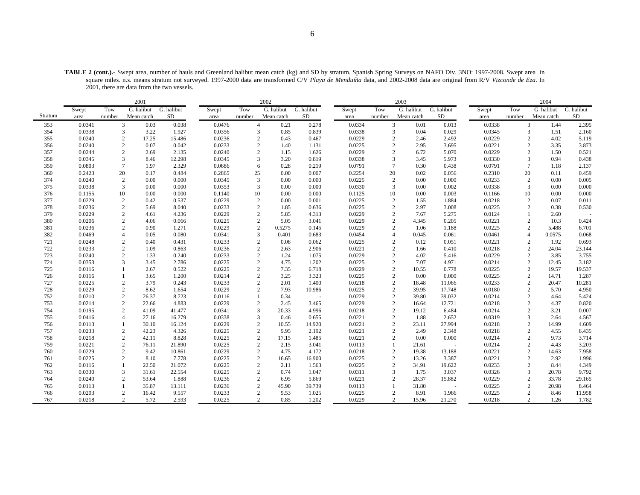**TABLE 2 (cont.).-** Swept area, number of hauls and Greenland halibut mean catch (kg) and SD by stratum. Spanish Spring Surveys on NAFO Div. 3NO: 1997-2008. Swept area in square miles. n.s. means stratum not surveyed. 1997-2000 data are transformed C/V *Playa de Menduíña* data, and 2002-2008 data are original from R/V *Vizconde de Eza*. In 2001, there are data from the two vessels.

|         |        |                | 2001       |            |        |                        | 2002       |            |        |                | 2003                    |                          |        |                | 2004       |            |
|---------|--------|----------------|------------|------------|--------|------------------------|------------|------------|--------|----------------|-------------------------|--------------------------|--------|----------------|------------|------------|
|         | Swept  | Tow            | G. halibut | G. halibut | Swept  | Tow                    | G. halibut | G. halibut | Swept  | Tow            | G. halibut              | $\overline{G}$ . halibut | Swept  | Tow            | G. halibut | G. halibut |
| Stratum | area   | number         | Mean catch | SD         | area   | number                 | Mean catch | <b>SD</b>  | area   | number         | Mean catch              | SD                       | area   | number         | Mean catch | ${\rm SD}$ |
| 353     | 0.0341 | 3              | 0.03       | 0.038      | 0.0476 | $\overline{4}$         | 0.21       | 0.278      | 0.0334 |                | $\mathbf{3}$<br>0.01    | 0.013                    | 0.0338 | 3              | 1.44       | 2.395      |
| 354     | 0.0338 | 3              | 3.22       | 1.927      | 0.0356 | 3                      | 0.85       | 0.839      | 0.0338 | 3              | 0.04                    | 0.029                    | 0.0345 | 3              | 1.51       | 2.160      |
| 355     | 0.0240 | 2              | 17.25      | 15.486     | 0.0236 | $\mathcal{D}_{\alpha}$ | 0.43       | 0.467      | 0.0229 | $\mathcal{D}$  | 2.46                    | 2.492                    | 0.0229 | $\mathcal{D}$  | 4.02       | 5.119      |
| 356     | 0.0240 | $\overline{c}$ | 0.07       | 0.042      | 0.0233 | $\overline{c}$         | 1.40       | 1.131      | 0.0225 | $\overline{c}$ | 2.95                    | 3.695                    | 0.0221 | $\overline{2}$ | 3.35       | 3.873      |
| 357     | 0.0244 | $\overline{2}$ | 2.69       | 2.135      | 0.0240 |                        | 1.15       | 1.626      | 0.0229 | $\overline{2}$ | 6.72                    | 5.070                    | 0.0229 | $\overline{2}$ | 1.50       | 0.521      |
| 358     | 0.0345 | 3              | 8.46       | 12.298     | 0.0345 | 3                      | 3.20       | 0.819      | 0.0338 | 3              | 3.45                    | 5.973                    | 0.0330 | 3              | 0.94       | 0.438      |
| 359     | 0.0803 | $\overline{7}$ | 1.97       | 2.329      | 0.0686 | 6                      | 0.28       | 0.219      | 0.0791 | $\overline{7}$ | 0.30                    | 0.438                    | 0.0791 | $\overline{7}$ | 1.18       | 2.137      |
| 360     | 0.2423 | 20             | 0.17       | 0.484      | 0.2865 | 25                     | 0.00       | 0.007      | 0.2254 | 20             | 0.02                    | 0.056                    | 0.2310 | 20             | 0.11       | 0.459      |
| 374     | 0.0240 | $\overline{c}$ | 0.00       | 0.000      | 0.0345 | 3                      | 0.00       | 0.000      | 0.0225 | $\overline{2}$ | 0.00                    | 0.000                    | 0.0233 | $\overline{2}$ | 0.00       | 0.005      |
| 375     | 0.0338 | 3              | 0.00       | 0.000      | 0.0353 | 3                      | 0.00       | 0.000      | 0.0330 | 3              | 0.00                    | 0.002                    | 0.0338 | 3              | 0.00       | 0.000      |
| 376     | 0.1155 | 10             | 0.00       | 0.000      | 0.1140 | 10                     | 0.00       | 0.000      | 0.1125 | 10             | 0.00                    | 0.003                    | 0.1166 | 10             | 0.00       | 0.000      |
| 377     | 0.0229 | $\overline{c}$ | 0.42       | 0.537      | 0.0229 | $\overline{2}$         | 0.00       | 0.001      | 0.0225 | $\overline{2}$ | 1.55                    | 1.884                    | 0.0218 | $\overline{2}$ | 0.07       | 0.011      |
| 378     | 0.0236 | $\overline{c}$ | 5.69       | 8.040      | 0.0233 | $\overline{c}$         | 1.85       | 0.636      | 0.0225 | $\overline{c}$ | 2.97                    | 3.008                    | 0.0225 | $\overline{2}$ | 0.38       | 0.530      |
| 379     | 0.0229 | 2              | 4.61       | 4.236      | 0.0229 | 2                      | 5.85       | 4.313      | 0.0229 | $\overline{2}$ | 7.67                    | 5.275                    | 0.0124 | $\mathbf{1}$   | 2.60       |            |
| 380     | 0.0206 | $\overline{c}$ | 4.06       | 0.066      | 0.0225 | $\overline{c}$         | 5.05       | 3.041      | 0.0229 | $\overline{c}$ | 4.345                   | 0.205                    | 0.0221 | $\overline{2}$ | 10.3       | 0.424      |
| 381     | 0.0236 | $\overline{c}$ | 0.90       | 1.271      | 0.0229 | 2                      | 0.5275     | 0.145      | 0.0229 | $\overline{c}$ | 1.06                    | 1.188                    | 0.0225 | $\overline{c}$ | 5.488      | 6.701      |
| 382     | 0.0469 | $\overline{4}$ | 0.05       | 0.080      | 0.0341 | 3                      | 0.401      | 0.683      | 0.0454 | $\overline{4}$ | 0.045                   | 0.061                    | 0.0461 | $\overline{A}$ | 0.0575     | 0.068      |
| 721     | 0.0248 | $\overline{2}$ | 0.40       | 0.431      | 0.0233 | $\mathfrak{2}$         | 0.08       | 0.062      | 0.0225 | $\overline{c}$ | 0.12                    | 0.051                    | 0.0221 | $\overline{2}$ | 1.92       | 0.693      |
| 722     | 0.0233 | 2              | 1.09       | 0.863      | 0.0236 | $\overline{c}$         | 2.63       | 2.906      | 0.0221 | $\overline{c}$ | 1.66                    | 0.410                    | 0.0218 | $\overline{2}$ | 24.04      | 23.144     |
| 723     | 0.0240 | 2              | 1.33       | 0.240      | 0.0233 | $\overline{2}$         | 1.24       | 1.075      | 0.0229 | $\overline{c}$ | 4.02                    | 5.416                    | 0.0229 | $\overline{2}$ | 3.85       | 3.755      |
| 724     | 0.0353 | 3              | 3.45       | 2.786      | 0.0225 |                        | 4.75       | 1.202      | 0.0225 | $\overline{2}$ | 7.07                    | 4.971                    | 0.0214 | $\overline{2}$ | 12.45      | 3.182      |
| 725     | 0.0116 |                | 2.67       | 0.522      | 0.0225 | $\overline{2}$         | 7.35       | 6.718      | 0.0229 | $\overline{c}$ | 10.55                   | 0.778                    | 0.0225 | $\overline{c}$ | 19.57      | 19.537     |
| 726     | 0.0116 |                | 3.65       | 1.200      | 0.0214 | $\overline{c}$         | 3.25       | 3.323      | 0.0225 | $\overline{c}$ | 0.00                    | 0.000                    | 0.0225 | $\overline{2}$ | 14.71      | 1.287      |
| 727     | 0.0225 | 2              | 3.79       | 0.243      | 0.0233 | 2                      | 2.01       | 1.400      | 0.0218 | $\overline{2}$ | 18.48                   | 11.066                   | 0.0233 | $\overline{c}$ | 20.47      | 10.281     |
| 728     | 0.0229 | $\overline{c}$ | 8.62       | 1.654      | 0.0229 | $\overline{2}$         | 7.93       | 10.986     | 0.0225 | $\overline{c}$ | 39.95                   | 17.748                   | 0.0180 | $\overline{2}$ | 5.70       | 4.950      |
| 752     | 0.0210 | $\overline{c}$ | 26.37      | 8.723      | 0.0116 |                        | 0.34       | $\sim$     | 0.0229 | $\overline{c}$ | 39.80                   | 39.032                   | 0.0214 | $\overline{2}$ | 4.64       | 5.424      |
| 753     | 0.0214 | 2              | 22.66      | 4.883      | 0.0229 | $\overline{c}$         | 2.45       | 3.465      | 0.0229 |                | 2<br>16.64              | 12.721                   | 0.0218 | $\overline{c}$ | 4.37       | 0.820      |
| 754     | 0.0195 | $\overline{2}$ | 41.09      | 41.477     | 0.0341 | 3                      | 20.33      | 4.996      | 0.0218 | $\overline{2}$ | 19.12                   | 6.484                    | 0.0214 | $\overline{2}$ | 3.21       | 0.007      |
| 755     | 0.0416 | $\overline{4}$ | 27.16      | 16.279     | 0.0338 | 3                      | 0.46       | 0.655      | 0.0221 |                | $\overline{c}$<br>1.88  | 2.652                    | 0.0319 | 3              | 2.64       | 4.567      |
| 756     | 0.0113 |                | 30.10      | 16.124     | 0.0229 | $\overline{2}$         | 10.55      | 14.920     | 0.0221 |                | $\overline{c}$<br>23.11 | 27.994                   | 0.0218 | $\overline{c}$ | 14.99      | 4.609      |
| 757     | 0.0233 | $\overline{c}$ | 42.23      | 4.326      | 0.0225 | $\overline{c}$         | 9.95       | 2.192      | 0.0221 | $\overline{c}$ | 2.49                    | 2.348                    | 0.0218 | $\overline{2}$ | 4.55       | 6.435      |
| 758     | 0.0218 | $\overline{c}$ | 42.11      | 8.828      | 0.0225 | $\overline{2}$         | 17.15      | 1.485      | 0.0221 | $\overline{2}$ | 0.00                    | 0.000                    | 0.0214 | $\overline{2}$ | 9.73       | 3.714      |
| 759     | 0.0221 | 2              | 76.11      | 21.890     | 0.0225 | $\overline{2}$         | 2.15       | 3.041      | 0.0113 | $\mathbf{1}$   | 21.61                   |                          | 0.0214 | $\overline{c}$ | 4.43       | 3.203      |
| 760     | 0.0229 | 2              | 9.42       | 10.861     | 0.0229 | $\overline{c}$         | 4.75       | 4.172      | 0.0218 | $\overline{2}$ | 19.38                   | 13.188                   | 0.0221 | $\overline{2}$ | 14.63      | 7.958      |
| 761     | 0.0225 | 2              | 8.10       | 7.778      | 0.0225 | $\overline{c}$         | 16.65      | 16.900     | 0.0225 |                | 2<br>13.26              | 3.387                    | 0.0221 | 2              | 2.92       | 1.996      |
| 762     | 0.0116 |                | 22.50      | 21.072     | 0.0225 | $\overline{2}$         | 2.11       | 1.563      | 0.0225 |                | $\overline{c}$<br>34.91 | 19.622                   | 0.0233 | $\overline{2}$ | 8.44       | 4.349      |
| 763     | 0.0330 | 3              | 31.61      | 22.554     | 0.0225 |                        | 0.74       | 1.047      | 0.0311 | $\overline{3}$ | 1.75                    | 3.037                    | 0.0326 | 3              | 20.78      | 9.792      |
| 764     | 0.0240 | 2              | 53.64      | 1.888      | 0.0236 | $\overline{c}$         | 6.95       | 5.869      | 0.0221 | $\overline{c}$ | 28.37                   | 15.882                   | 0.0229 | $\overline{2}$ | 33.78      | 29.165     |
| 765     | 0.0113 |                | 35.87      | 13.111     | 0.0236 | $\overline{2}$         | 45.90      | 39.739     | 0.0113 |                | 31.80                   |                          | 0.0225 | $\overline{2}$ | 20.98      | 8.464      |
| 766     | 0.0203 | 2              | 16.42      | 9.557      | 0.0233 | 2                      | 9.53       | 1.025      | 0.0225 |                | 2<br>8.91               | 1.966                    | 0.0225 | 2              | 8.46       | 11.958     |
| 767     | 0.0218 | $\overline{2}$ | 5.72       | 2.593      | 0.0225 | $\overline{2}$         | 0.85       | 1.202      | 0.0229 |                | 2<br>15.96              | 21.270                   | 0.0218 | $\overline{2}$ | 1.26       | 1.782      |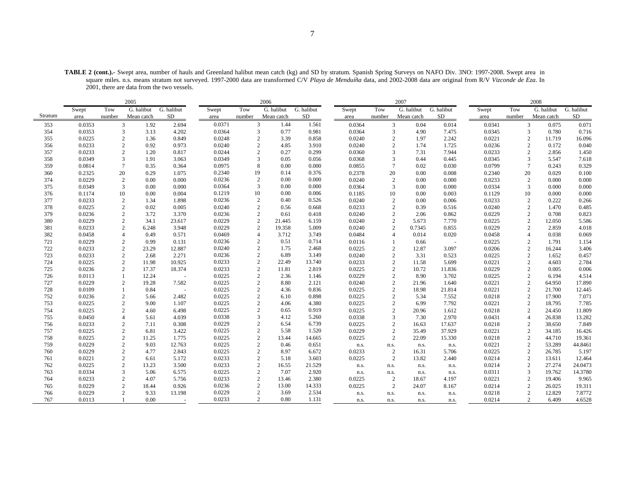**TABLE 2 (cont.).-** Swept area, number of hauls and Greenland halibut mean catch (kg) and SD by stratum. Spanish Spring Surveys on NAFO Div. 3NO: 1997-2008. Swept area in square miles. n.s. means stratum not surveyed. 1997-2000 data are transformed C/V *Playa de Menduíña* data, and 2002-2008 data are original from R/V *Vizconde de Eza*. In 2001, there are data from the two vessels.

|         |        |                | 2005       |            |        |                        | 2006       |            |        |                | 2007       |            |        |                | 2008       |            |
|---------|--------|----------------|------------|------------|--------|------------------------|------------|------------|--------|----------------|------------|------------|--------|----------------|------------|------------|
|         | Swept  | Tow            | G. halibut | G. halibut | Swept  | Tow                    | G. halibut | G. halibut | Swept  | Tow            | G. halibut | G. halibut | Swept  | Tow            | G. halibut | G. halibut |
| Stratum | area   | number         | Mean catch | SD         | area   | number                 | Mean catch | SD         | area   | number         | Mean catch | SD         | area   | number         | Mean catch | SD         |
| 353     | 0.0353 | 3              | 1.92       | 2.694      | 0.0371 | 3                      | 1.44       | 1.561      | 0.0364 | $\mathbf{3}$   | 0.04       | 0.014      | 0.0341 | 3              | 0.075      | 0.071      |
| 354     | 0.0353 | 3              | 3.13       | 4.202      | 0.0364 | 3                      | 0.77       | 0.981      | 0.0364 | 3              | 4.90       | 7.475      | 0.0345 | 3              | 0.780      | 0.716      |
| 355     | 0.0225 | 2              | 1.36       | 0.849      | 0.0248 | $\mathfrak{D}$         | 3.39       | 0.858      | 0.0240 | $\overline{c}$ | 1.97       | 2.242      | 0.0221 | $\overline{2}$ | 11.719     | 16.096     |
| 356     | 0.0233 | $\overline{c}$ | 0.92       | 0.973      | 0.0240 | $\overline{2}$         | 4.85       | 3.910      | 0.0240 | $\overline{c}$ | 1.74       | 1.725      | 0.0236 | $\overline{2}$ | 0.172      | 0.040      |
| 357     | 0.0233 | $\overline{2}$ | 1.20       | 0.817      | 0.0244 |                        | 0.27       | 0.299      | 0.0360 | 3              | 7.31       | 7.944      | 0.0233 | $\overline{2}$ | 2.856      | 1.450      |
| 358     | 0.0349 | 3              | 1.91       | 3.063      | 0.0349 | 3                      | 0.05       | 0.056      | 0.0368 | 3              | 0.44       | 0.445      | 0.0345 | 3              | 5.547      | 7.618      |
| 359     | 0.0814 | $\overline{7}$ | 0.35       | 0.364      | 0.0975 | 8                      | 0.00       | 0.000      | 0.0855 | $\overline{7}$ | 0.02       | 0.030      | 0.0799 | $\overline{7}$ | 0.243      | 0.329      |
| 360     | 0.2325 | 20             | 0.29       | 1.075      | 0.2340 | 19                     | 0.14       | 0.376      | 0.2378 | 20             | 0.00       | 0.008      | 0.2340 | 20             | 0.029      | 0.100      |
| 374     | 0.0229 | $\overline{c}$ | 0.00       | 0.000      | 0.0236 | 2                      | 0.00       | 0.000      | 0.0240 | $\overline{c}$ | 0.00       | 0.000      | 0.0233 | $\overline{2}$ | 0.000      | 0.000      |
| 375     | 0.0349 | 3              | 0.00       | 0.000      | 0.0364 | 3                      | 0.00       | 0.000      | 0.0364 | 3              | 0.00       | 0.000      | 0.0334 | 3              | 0.000      | 0.000      |
| 376     | 0.1174 | 10             | 0.00       | 0.004      | 0.1219 | 10                     | 0.00       | 0.006      | 0.1185 | 10             | 0.00       | 0.003      | 0.1129 | 10             | 0.000      | 0.000      |
| 377     | 0.0233 | $\overline{2}$ | 1.34       | 1.898      | 0.0236 | 2                      | 0.40       | 0.526      | 0.0240 | $\overline{c}$ | 0.00       | 0.006      | 0.0233 | $\overline{2}$ | 0.222      | 0.266      |
| 378     | 0.0225 | $\overline{2}$ | 0.02       | 0.005      | 0.0240 | $\overline{c}$         | 0.56       | 0.668      | 0.0233 | $\overline{2}$ | 0.39       | 0.516      | 0.0240 | $\overline{2}$ | 1.470      | 0.485      |
| 379     | 0.0236 | $\overline{2}$ | 3.72       | 3.370      | 0.0236 | $\overline{2}$         | 0.61       | 0.418      | 0.0240 | $\overline{2}$ | 2.06       | 0.862      | 0.0229 | $\overline{2}$ | 0.708      | 0.823      |
| 380     | 0.0229 | $\overline{c}$ | 34.1       | 23.617     | 0.0229 | $\overline{2}$         | 21.445     | 6.159      | 0.0240 | $\overline{c}$ | 5.673      | 7.770      | 0.0225 | $\overline{2}$ | 12.050     | 5.586      |
| 381     | 0.0233 | $\overline{c}$ | 6.248      | 3.948      | 0.0229 | $\overline{2}$         | 19.358     | 5.009      | 0.0240 | $\overline{c}$ | 0.7345     | 0.855      | 0.0229 | $\overline{2}$ | 2.859      | 4.018      |
| 382     | 0.0458 | $\overline{4}$ | 0.49       | 0.571      | 0.0469 | 4                      | 3.712      | 3.749      | 0.0484 | $\overline{4}$ | 0.014      | 0.020      | 0.0458 | $\overline{4}$ | 0.038      | 0.069      |
| 721     | 0.0229 | $\overline{2}$ | 0.99       | 0.131      | 0.0236 | $\overline{2}$         | 0.51       | 0.714      | 0.0116 |                | 0.66       |            | 0.0225 | $\overline{2}$ | 1.791      | 1.154      |
| 722     | 0.0233 | 2              | 23.29      | 12.887     | 0.0240 | $\overline{2}$         | 1.75       | 2.468      | 0.0225 | $\overline{2}$ | 12.87      | 3.097      | 0.0206 | $\overline{2}$ | 16.244     | 3.406      |
| 723     | 0.0233 | 2              | 2.68       | 2.271      | 0.0236 | $\overline{2}$         | 6.89       | 3.149      | 0.0240 | 2              | 3.31       | 0.523      | 0.0225 | $\overline{2}$ | 1.652      | 0.457      |
| 724     | 0.0225 | $\overline{2}$ | 11.98      | 10.925     | 0.0233 | $\overline{2}$         | 22.49      | 13.740     | 0.0233 | $\overline{c}$ | 11.58      | 5.699      | 0.0221 | $\overline{2}$ | 4.603      | 2.784      |
| 725     | 0.0236 | $\overline{c}$ | 17.37      | 18.374     | 0.0233 | $\overline{c}$         | 11.81      | 2.819      | 0.0225 | $\overline{c}$ | 10.72      | 11.836     | 0.0229 | $\overline{c}$ | 0.005      | 0.006      |
| 726     | 0.0113 |                | 12.24      |            | 0.0225 |                        | 2.36       | 1.146      | 0.0229 | $\overline{c}$ | 8.90       | 3.702      | 0.0225 | $\overline{2}$ | 6.194      | 4.514      |
| 727     | 0.0229 | $\mathfrak{2}$ | 19.28      | 7.582      | 0.0225 |                        | 8.80       | 2.121      | 0.0240 | $\overline{c}$ | 21.96      | 1.640      | 0.0221 | $\overline{2}$ | 64.950     | 17.890     |
| 728     | 0.0109 | $\mathbf{1}$   | 0.84       | $\sim$     | 0.0225 | $\overline{c}$         | 4.36       | 0.836      | 0.0225 | $\overline{2}$ | 18.98      | 21.814     | 0.0221 | 2              | 21.700     | 12.445     |
| 752     | 0.0236 | 2              | 5.66       | 2.482      | 0.0225 | $\overline{c}$         | 6.10       | 0.898      | 0.0225 | $\overline{c}$ | 5.34       | 7.552      | 0.0218 | $\overline{2}$ | 17.900     | 7.071      |
| 753     | 0.0225 | $\overline{2}$ | 9.00       | 1.107      | 0.0225 | 2                      | 4.06       | 4.380      | 0.0225 | $\overline{c}$ | 6.99       | 7.792      | 0.0221 | 2              | 18.795     | 7.785      |
| 754     | 0.0225 | $\overline{c}$ | 4.60       | 6.498      | 0.0225 | $\mathcal{D}_{\alpha}$ | 0.65       | 0.919      | 0.0225 | $\overline{2}$ | 20.96      | 1.612      | 0.0218 | 2              | 24.450     | 11.809     |
| 755     | 0.0450 | $\overline{4}$ | 5.61       | 4.039      | 0.0338 | 3                      | 4.12       | 5.260      | 0.0338 | $\overline{3}$ | 7.30       | 2.970      | 0.0431 | $\overline{A}$ | 26.838     | 13.282     |
| 756     | 0.0233 | $\overline{2}$ | 7.11       | 0.308      | 0.0229 |                        | 6.54       | 6.739      | 0.0225 | $\overline{c}$ | 16.63      | 17.637     | 0.0218 | $\overline{2}$ | 38.650     | 7.849      |
| 757     | 0.0225 | $\overline{c}$ | 6.81       | 3.422      | 0.0225 | $\overline{c}$         | 5.58       | 1.520      | 0.0229 | $\overline{2}$ | 35.49      | 37.929     | 0.0221 | $\overline{2}$ | 34.185     | 16.426     |
| 758     | 0.0225 | $\sqrt{2}$     | 11.25      | 1.775      | 0.0225 | $\overline{2}$         | 13.44      | 14.665     | 0.0225 | $\overline{2}$ | 22.09      | 15.330     | 0.0218 | $\overline{2}$ | 44.710     | 19.361     |
| 759     | 0.0229 | 2              | 9.03       | 12.763     | 0.0225 |                        | 0.46       | 0.651      | n.s.   | n.s.           | n.s.       | n.s.       | 0.0221 | 2              | 53.289     | 44.8461    |
| 760     | 0.0229 | $\overline{c}$ | 4.77       | 2.843      | 0.0225 | $\mathcal{D}_{\alpha}$ | 8.97       | 6.672      | 0.0233 | $\overline{2}$ | 16.31      | 5.706      | 0.0225 | $\overline{2}$ | 26.785     | 5.197      |
| 761     | 0.0221 | $\overline{c}$ | 6.61       | 5.172      | 0.0233 | $\overline{2}$         | 5.18       | 3.603      | 0.0225 | $\overline{2}$ | 13.82      | 2.440      | 0.0214 | $\overline{2}$ | 13.611     | 12.464     |
| 762     | 0.0225 | 2              | 13.23      | 3.500      | 0.0233 | $\overline{2}$         | 16.55      | 21.529     | n.s.   | n.s.           | n.s.       | n.s.       | 0.0214 | $\overline{2}$ | 27.274     | 24.0473    |
| 763     | 0.0334 | 3              | 5.06       | 6.575      | 0.0225 | $\overline{2}$         | 7.07       | 2.920      | n.s.   | n.s.           | n.s.       | n.s.       | 0.0311 | 3              | 19.762     | 14.3780    |
| 764     | 0.0233 | $\overline{2}$ | 4.07       | 5.756      | 0.0233 | $\overline{2}$         | 13.46      | 2.380      | 0.0225 | $\overline{2}$ | 18.67      | 4.197      | 0.0221 | $\overline{2}$ | 19.406     | 9.965      |
| 765     | 0.0229 | $\overline{2}$ | 18.44      | 0.926      | 0.0236 | 2                      | 13.00      | 14.333     | 0.0225 | $\overline{2}$ | 24.07      | 8.167      | 0.0214 | $\overline{2}$ | 26.025     | 19.311     |
| 766     | 0.0229 | $\overline{2}$ | 9.33       | 13.198     | 0.0229 | $\overline{2}$         | 3.69       | 2.534      | n.s.   | n.s.           | n.s.       | n.s.       | 0.0218 | $\overline{2}$ | 12.829     | 7.8772     |
| 767     | 0.0113 |                | 0.00       |            | 0.0233 | $\overline{2}$         | 0.80       | 1.131      | n.s.   | n.s.           | n.s.       | n.s.       | 0.0214 | $\overline{2}$ | 6.409      | 4.6528     |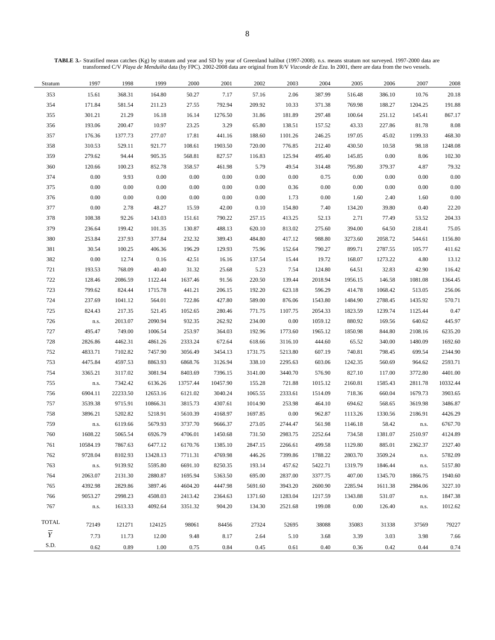**TABLE 3.-** Stratified mean catches (Kg) by stratum and year and SD by year of Greenland halibut (1997-2008). n.s. means stratum not surveyed. 1997-2000 data are transformed C/V *Playa de Menduíña* data (by FPC). 2002-2008 data are original from R/V *Vizconde de Eza*. In 2001, there are data from the two vessels.

| Stratum        | 1997     | 1998     | 1999     | 2000     | 2001     | 2002    | 2003     | 2004     | 2005    | 2006     | 2007    | 2008     |
|----------------|----------|----------|----------|----------|----------|---------|----------|----------|---------|----------|---------|----------|
| 353            | 15.61    | 368.31   | 164.80   | 50.27    | 7.17     | 57.16   | 2.06     | 387.99   | 516.48  | 386.10   | 10.76   | 20.18    |
| 354            | 171.84   | 581.54   | 211.23   | 27.55    | 792.94   | 209.92  | 10.33    | 371.38   | 769.98  | 188.27   | 1204.25 | 191.88   |
| 355            | 301.21   | 21.29    | 16.18    | 16.14    | 1276.50  | 31.86   | 181.89   | 297.48   | 100.64  | 251.12   | 145.41  | 867.17   |
| 356            | 193.06   | 200.47   | 10.97    | 23.25    | 3.29     | 65.80   | 138.51   | 157.52   | 43.33   | 227.86   | 81.78   | 8.08     |
| 357            | 176.36   | 1377.73  | 277.07   | 17.81    | 441.16   | 188.60  | 1101.26  | 246.25   | 197.05  | 45.02    | 1199.33 | 468.30   |
| 358            | 310.53   | 529.11   | 921.77   | 108.61   | 1903.50  | 720.00  | 776.85   | 212.40   | 430.50  | 10.58    | 98.18   | 1248.08  |
| 359            | 279.62   | 94.44    | 905.35   | 568.81   | 827.57   | 116.83  | 125.94   | 495.40   | 145.85  | $0.00\,$ | 8.06    | 102.30   |
| 360            | 120.66   | 100.23   | 852.78   | 358.57   | 461.98   | 5.79    | 49.54    | 314.48   | 795.80  | 379.37   | 4.87    | 79.32    |
| 374            | $0.00\,$ | 9.93     | 0.00     | $0.00\,$ | 0.00     | 0.00    | 0.00     | 0.75     | 0.00    | 0.00     | 0.00    | 0.00     |
| 375            | 0.00     | 0.00     | 0.00     | $0.00\,$ | $0.00\,$ | 0.00    | 0.36     | $0.00\,$ | 0.00    | $0.00\,$ | 0.00    | 0.00     |
| 376            | 0.00     | $0.00\,$ | 0.00     | $0.00\,$ | $0.00\,$ | 0.00    | 1.73     | $0.00\,$ | 1.60    | 2.40     | 1.60    | 0.00     |
| 377            | $0.00\,$ | 2.78     | 48.27    | 15.59    | 42.00    | 0.10    | 154.80   | 7.40     | 134.20  | 39.80    | 0.40    | 22.20    |
| 378            | 108.38   | 92.26    | 143.03   | 151.61   | 790.22   | 257.15  | 413.25   | 52.13    | 2.71    | 77.49    | 53.52   | 204.33   |
| 379            | 236.64   | 199.42   | 101.35   | 130.87   | 488.13   | 620.10  | 813.02   | 275.60   | 394.00  | 64.50    | 218.41  | 75.05    |
| 380            | 253.84   | 237.93   | 377.84   | 232.32   | 389.43   | 484.80  | 417.12   | 988.80   | 3273.60 | 2058.72  | 544.61  | 1156.80  |
| 381            | 30.54    | 100.25   | 406.36   | 196.29   | 129.93   | 75.96   | 152.64   | 790.27   | 899.71  | 2787.55  | 105.77  | 411.62   |
| 382            | 0.00     | 12.74    | 0.16     | 42.51    | 16.16    | 137.54  | 15.44    | 19.72    | 168.07  | 1273.22  | 4.80    | 13.12    |
| 721            | 193.53   | 768.09   | 40.40    | 31.32    | 25.68    | 5.23    | 7.54     | 124.80   | 64.51   | 32.83    | 42.90   | 116.42   |
| 722            | 128.46   | 2086.59  | 1122.44  | 1637.46  | 91.56    | 220.50  | 139.44   | 2018.94  | 1956.15 | 146.58   | 1081.08 | 1364.45  |
| 723            | 799.62   | 824.44   | 1715.78  | 441.21   | 206.15   | 192.20  | 623.18   | 596.29   | 414.78  | 1068.42  | 513.05  | 256.06   |
| 724            | 237.69   | 1041.12  | 564.01   | 722.86   | 427.80   | 589.00  | 876.06   | 1543.80  | 1484.90 | 2788.45  | 1435.92 | 570.71   |
| 725            | 824.43   | 217.35   | 521.45   | 1052.65  | 280.46   | 771.75  | 1107.75  | 2054.33  | 1823.59 | 1239.74  | 1125.44 | 0.47     |
| 726            | n.s.     | 2013.07  | 2090.94  | 932.35   | 262.92   | 234.00  | 0.00     | 1059.12  | 880.92  | 169.56   | 640.62  | 445.97   |
| 727            | 495.47   | 749.00   | 1006.54  | 253.97   | 364.03   | 192.96  | 1773.60  | 1965.12  | 1850.98 | 844.80   | 2108.16 | 6235.20  |
| 728            | 2826.86  | 4462.31  | 4861.26  | 2333.24  | 672.64   | 618.66  | 3116.10  | 444.60   | 65.52   | 340.00   | 1480.09 | 1692.60  |
| 752            | 4833.71  | 7102.82  | 7457.90  | 3056.49  | 3454.13  | 1731.75 | 5213.80  | 607.19   | 740.81  | 798.45   | 699.54  | 2344.90  |
| 753            | 4475.84  | 4597.53  | 8863.93  | 6868.76  | 3126.94  | 338.10  | 2295.63  | 603.06   | 1242.35 | 560.69   | 964.62  | 2593.71  |
| 754            | 3365.21  | 3117.02  | 3081.94  | 8403.69  | 7396.15  | 3141.00 | 3440.70  | 576.90   | 827.10  | 117.00   | 3772.80 | 4401.00  |
| 755            | n.s.     | 7342.42  | 6136.26  | 13757.44 | 10457.90 | 155.28  | 721.88   | 1015.12  | 2160.81 | 1585.43  | 2811.78 | 10332.44 |
| 756            | 6904.11  | 22233.50 | 12653.16 | 6121.02  | 3040.24  | 1065.55 | 2333.61  | 1514.09  | 718.36  | 660.04   | 1679.73 | 3903.65  |
| 757            | 3539.38  | 9715.91  | 10866.31 | 3815.73  | 4307.61  | 1014.90 | 253.98   | 464.10   | 694.62  | 568.65   | 3619.98 | 3486.87  |
| 758            | 3896.21  | 5202.82  | 5218.91  | 5610.39  | 4168.97  | 1697.85 | $0.00\,$ | 962.87   | 1113.26 | 1330.56  | 2186.91 | 4426.29  |
| 759            | n.s.     | 6119.66  | 5679.93  | 3737.70  | 9666.37  | 273.05  | 2744.47  | 561.98   | 1146.18 | 58.42    | n.s.    | 6767.70  |
| 760            | 1608.22  | 5065.54  | 6926.79  | 4706.01  | 1450.68  | 731.50  | 2983.75  | 2252.64  | 734.58  | 1381.07  | 2510.97 | 4124.89  |
| 761            | 10584.19 | 7867.63  | 6477.12  | 6170.76  | 1385.10  | 2847.15 | 2266.61  | 499.58   | 1129.80 | 885.01   | 2362.37 | 2327.40  |
| 762            | 9728.04  | 8102.93  | 13428.13 | 7711.31  | 4769.98  | 446.26  | 7399.86  | 1788.22  | 2803.70 | 3509.24  | n.s.    | 5782.09  |
| 763            | n.s.     | 9139.92  | 5595.80  | 6691.10  | 8250.35  | 193.14  | 457.62   | 5422.71  | 1319.79 | 1846.44  | n.s.    | 5157.80  |
| 764            | 2063.07  | 2131.30  | 2880.87  | 1695.94  | 5363.50  | 695.00  | 2837.00  | 3377.75  | 407.00  | 1345.70  | 1866.75 | 1940.60  |
| 765            | 4392.98  | 2829.86  | 3897.46  | 4604.20  | 4447.98  | 5691.60 | 3943.20  | 2600.90  | 2285.94 | 1611.38  | 2984.06 | 3227.10  |
| 766            | 9053.27  | 2998.23  | 4508.03  | 2413.42  | 2364.63  | 1371.60 | 1283.04  | 1217.59  | 1343.88 | 531.07   | n.s.    | 1847.38  |
| 767            | n.s.     | 1613.33  | 4092.64  | 3351.32  | 904.20   | 134.30  | 2521.68  | 199.08   | 0.00    | 126.40   | n.s.    | 1012.62  |
| <b>TOTAL</b>   | 72149    | 121271   | 124125   | 98061    | 84456    | 27324   | 52695    | 38088    | 35083   | 31338    | 37569   | 79227    |
| $\overline{Y}$ | 7.73     | 11.73    | 12.00    | 9.48     | 8.17     | 2.64    | 5.10     | 3.68     | 3.39    | 3.03     | 3.98    | 7.66     |
| S.D.           |          |          |          |          |          |         |          |          |         |          |         |          |
|                | 0.62     | 0.89     | 1.00     | 0.75     | 0.84     | 0.45    | 0.61     | 0.40     | 0.36    | 0.42     | 0.44    | 0.74     |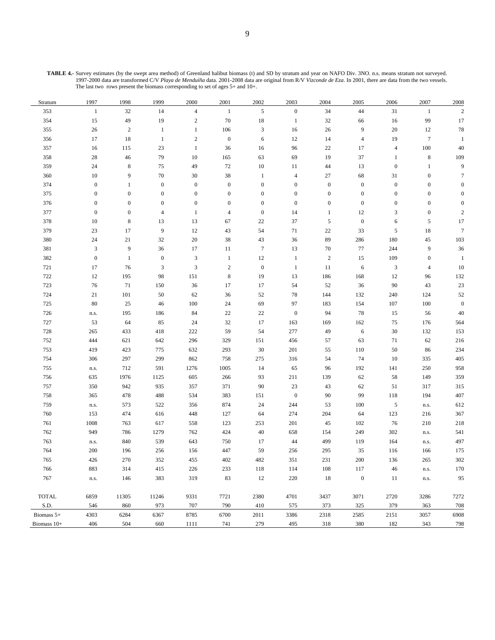**TABLE 4.-** Survey estimates (by the swept area method) of Greenland halibut biomass (t) and SD by stratum and year on NAFO Div. 3NO. n.s. means stratum not surveyed. 1997-2000 data are transformed C/V *Playa de Menduíña* data. 2001-2008 data are original from R/V *Vizconde de Eza*. In 2001, there are data from the two vessels. The last two rows present the biomass corresponding to set of ages 5+ and 10+.

| Stratum     | 1997             | 1998             | 1999             | 2000             | 2001             | 2002                        | 2003             | 2004             | 2005             | 2006             | 2007             | 2008             |
|-------------|------------------|------------------|------------------|------------------|------------------|-----------------------------|------------------|------------------|------------------|------------------|------------------|------------------|
| 353         | $\mathbf{1}$     | 32               | 14               | $\overline{4}$   | $1\,$            | $\sqrt{5}$                  | $\boldsymbol{0}$ | 34               | 44               | 31               | $\mathbf{1}$     | $\overline{c}$   |
| 354         | 15               | 49               | 19               | $\,2$            | 70               | 18                          | $\mathbf{1}$     | 32               | 66               | 16               | 99               | 17               |
| 355         | $26\,$           | $\overline{c}$   | $\mathbf{1}$     | 1                | 106              | $\ensuremath{\mathfrak{Z}}$ | 16               | $26\,$           | 9                | 20               | 12               | $78\,$           |
| 356         | 17               | 18               | $\mathbf{1}$     | $\overline{c}$   | $\boldsymbol{0}$ | $\sqrt{6}$                  | 12               | 14               | $\overline{4}$   | 19               | $\boldsymbol{7}$ | $\mathbf{1}$     |
| 357         | 16               | 115              | 23               | $\mathbf{1}$     | 36               | 16                          | 96               | 22               | 17               | $\overline{4}$   | $100\,$          | $40\,$           |
| 358         | $28\,$           | $46\,$           | 79               | 10               | 165              | 63                          | 69               | 19               | 37               | 1                | $\,8\,$          | 109              |
| 359         | 24               | $\,8\,$          | 75               | 49               | 72               | $10\,$                      | 11               | 44               | 13               | $\mathbf{0}$     | $\mathbf{1}$     | 9                |
| 360         | 10               | 9                | 70               | $30\,$           | 38               | $\mathbf{1}$                | $\overline{4}$   | 27               | 68               | 31               | $\boldsymbol{0}$ | $\tau$           |
| 374         | $\boldsymbol{0}$ | $\mathbf{1}$     | $\boldsymbol{0}$ | $\boldsymbol{0}$ | $\boldsymbol{0}$ | $\boldsymbol{0}$            | $\boldsymbol{0}$ | $\boldsymbol{0}$ | $\boldsymbol{0}$ | $\boldsymbol{0}$ | $\boldsymbol{0}$ | $\boldsymbol{0}$ |
| 375         | $\boldsymbol{0}$ | $\boldsymbol{0}$ | $\boldsymbol{0}$ | $\boldsymbol{0}$ | $\boldsymbol{0}$ | $\boldsymbol{0}$            | $\boldsymbol{0}$ | $\boldsymbol{0}$ | $\boldsymbol{0}$ | $\boldsymbol{0}$ | $\boldsymbol{0}$ | $\boldsymbol{0}$ |
| 376         | $\boldsymbol{0}$ | $\boldsymbol{0}$ | $\boldsymbol{0}$ | $\boldsymbol{0}$ | $\boldsymbol{0}$ | $\boldsymbol{0}$            | $\boldsymbol{0}$ | $\boldsymbol{0}$ | $\boldsymbol{0}$ | $\boldsymbol{0}$ | $\boldsymbol{0}$ | $\boldsymbol{0}$ |
| 377         | $\boldsymbol{0}$ | $\boldsymbol{0}$ | $\overline{4}$   | $\mathbf{1}$     | $\overline{4}$   | $\boldsymbol{0}$            | 14               | $\mathbf{1}$     | 12               | 3                | $\boldsymbol{0}$ | $\sqrt{2}$       |
| 378         | 10               | $\,8\,$          | 13               | 13               | 67               | $22\,$                      | 37               | 5                | $\boldsymbol{0}$ | 6                | $\sqrt{5}$       | 17               |
| 379         | 23               | 17               | 9                | 12               | 43               | 54                          | 71               | 22               | 33               | 5                | 18               | $\boldsymbol{7}$ |
| 380         | 24               | 21               | 32               | $20\,$           | 38               | 43                          | 36               | 89               | 286              | 180              | 45               | 103              |
| 381         | $\mathfrak{Z}$   | 9                | 36               | 17               | 11               | $\tau$                      | 13               | 70               | 77               | 244              | 9                | 36               |
| 382         | $\boldsymbol{0}$ | $\mathbf{1}$     | $\boldsymbol{0}$ | 3                | $\mathbf{1}$     | 12                          | $\mathbf{1}$     | $\overline{c}$   | 15               | 109              | $\boldsymbol{0}$ | $\mathbf{1}$     |
| 721         | 17               | 76               | $\mathfrak{Z}$   | $\mathbf{3}$     | $\overline{c}$   | $\boldsymbol{0}$            | $\mathbf{1}$     | 11               | $\sqrt{6}$       | 3                | $\overline{4}$   | 10               |
| 722         | 12               | 195              | 98               | 151              | $\,$ 8 $\,$      | 19                          | 13               | 186              | 168              | 12               | 96               | 132              |
| 723         | 76               | 71               | 150              | 36               | $17\,$           | 17                          | 54               | 52               | 36               | 90               | 43               | $23\,$           |
| 724         | 21               | 101              | 50               | 62               | 36               | 52                          | $78\,$           | 144              | 132              | 240              | 124              | 52               |
| 725         | 80               | 25               | 46               | $100\,$          | 24               | 69                          | 97               | 183              | 154              | 107              | $100\,$          | $\boldsymbol{0}$ |
| 726         | n.s.             | 195              | 186              | 84               | $22\,$           | $22\,$                      | $\boldsymbol{0}$ | 94               | 78               | 15               | 56               | 40               |
| 727         | 53               | 64               | 85               | 24               | 32               | 17                          | 163              | 169              | 162              | 75               | 176              | 564              |
| 728         | 265              | 433              | 418              | 222              | 59               | 54                          | 277              | 49               | 6                | 30               | 132              | 153              |
| 752         | 444              | 621              | 642              | 296              | 329              | 151                         | 456              | 57               | 63               | 71               | 62               | $216\,$          |
| 753         | 419              | 423              | 775              | 632              | 293              | 30                          | 201              | 55               | 110              | 50               | 86               | 234              |
| 754         | 306              | 297              | 299              | 862              | 758              | 275                         | 316              | 54               | 74               | 10               | 335              | 405              |
| 755         | n.s.             | 712              | 591              | 1276             | 1005             | 14                          | 65               | 96               | 192              | 141              | 250              | 958              |
| 756         | 635              | 1976             | 1125             | 605              | 266              | 93                          | 211              | 139              | 62               | 58               | 149              | 359              |
| 757         | 350              | 942              | 935              | 357              | 371              | $90\,$                      | 23               | 43               | 62               | 51               | 317              | 315              |
| 758         | 365              | 478              | 488              | 534              | 383              | 151                         | $\boldsymbol{0}$ | 90               | 99               | 118              | 194              | 407              |
| 759         | n.s.             | 573              | 522              | 356              | 874              | 24                          | 244              | 53               | 100              | 5                | n.s.             | 612              |
| 760         | 153              | 474              | 616              | 448              | 127              | 64                          | 274              | 204              | 64               | 123              | 216              | 367              |
| 761         | 1008             | 763              | 617              | 558              | 123              | 253                         | 201              | 45               | 102              | 76               | 210              | $218\,$          |
| 762         | 949              | 786              | 1279             | 762              | 424              | $40\,$                      | 658              | 154              | 249              | 302              | n.s.             | 541              |
| 763         | n.s.             | 840              | 539              | 643              | 750              | 17                          | 44               | 499              | 119              | 164              | n.s.             | 497              |
| 764         | 200              | 196              | 256              | 156              | 447              | 59                          | 256              | 295              | 35               | 116              | 166              | 175              |
| 765         | 426              | 270              | 352              | 455              | 402              | 482                         | 351              | 231              | $200\,$          | 136              | 265              | $302\,$          |
| 766         | 883              | 314              | 415              | 226              | 233              | 118                         | 114              | 108              | 117              | 46               | n.s.             | 170              |
| 767         | n.s.             | 146              | 383              | 319              | 83               | 12                          | $220\,$          | 18               | $\boldsymbol{0}$ | 11               | n.s.             | 95               |
|             |                  |                  |                  |                  |                  |                             |                  |                  |                  |                  |                  |                  |
| TOTAL       | 6859             | 11305            | 11246            | 9331             | 7721             | 2380                        | 4701             | 3437             | 3071             | 2720             | 3286             | 7272             |
| S.D.        | 546              | 860              | 973              | 707              | 790              | 410                         | 575              | 373              | 325              | 379              | 363              | 708              |
| Biomass 5+  | 4303             | 6284             | 6367             | 8785             | 6700             | 2011                        | 3386             | 2318             | 2585             | 2151             | 3057             | 6908             |
| Biomass 10+ | 406              | 504              | 660              | 1111             | 741              | 279                         | 495              | 318              | 380              | 182              | 343              | 798              |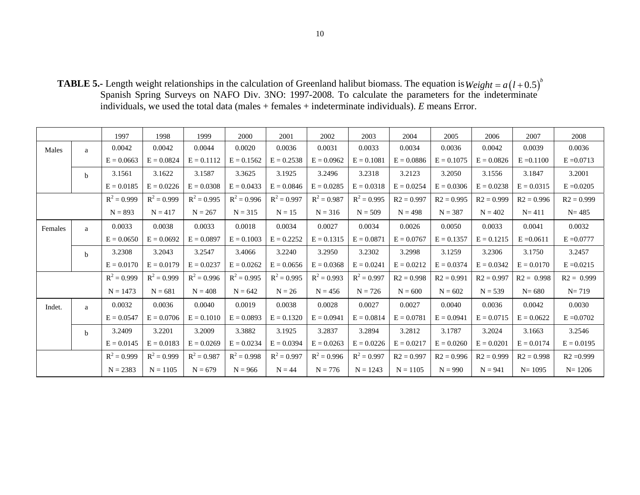**TABLE 5.-** Length weight relationships in the calculation of Greenland halibut biomass. The equation is Spanish Spring Surveys on NAFO Div. 3NO: 1997-2008. To calculate the parameters for the indeterminate individuals, we used the total data (males + females + indeterminate individuals). *E* means Error.  $Weight = a(l + 0.5)^{b}$ 

|         |              | 1997          | 1998          | 1999          | 2000          | 2001          | 2002          | 2003          | 2004         | 2005         | 2006         | 2007         | 2008         |
|---------|--------------|---------------|---------------|---------------|---------------|---------------|---------------|---------------|--------------|--------------|--------------|--------------|--------------|
| Males   | a            | 0.0042        | 0.0042        | 0.0044        | 0.0020        | 0.0036        | 0.0031        | 0.0033        | 0.0034       | 0.0036       | 0.0042       | 0.0039       | 0.0036       |
|         |              | $E = 0.0663$  | $E = 0.0824$  | $E = 0.1112$  | $E = 0.1562$  | $E = 0.2538$  | $E = 0.0962$  | $E = 0.1081$  | $E = 0.0886$ | $E = 0.1075$ | $E = 0.0826$ | $E = 0.1100$ | $E = 0.0713$ |
|         | $\mathbf b$  | 3.1561        | 3.1622        | 3.1587        | 3.3625        | 3.1925        | 3.2496        | 3.2318        | 3.2123       | 3.2050       | 3.1556       | 3.1847       | 3.2001       |
|         |              | $E = 0.0185$  | $E = 0.0226$  | $E = 0.0308$  | $E = 0.0433$  | $E = 0.0846$  | $E = 0.0285$  | $E = 0.0318$  | $E = 0.0254$ | $E = 0.0306$ | $E = 0.0238$ | $E = 0.0315$ | $E = 0.0205$ |
|         |              | $R^2 = 0.999$ | $R^2 = 0.999$ | $R^2 = 0.995$ | $R^2 = 0.996$ | $R^2 = 0.997$ | $R^2 = 0.987$ | $R^2 = 0.995$ | $R2 = 0.997$ | $R2 = 0.995$ | $R2 = 0.999$ | $R2 = 0.996$ | $R2 = 0.999$ |
|         |              | $N = 893$     | $N = 417$     | $N = 267$     | $N = 315$     | $N = 15$      | $N = 316$     | $N = 509$     | $N = 498$    | $N = 387$    | $N = 402$    | $N = 411$    | $N = 485$    |
| Females | a            | 0.0033        | 0.0038        | 0.0033        | 0.0018        | 0.0034        | 0.0027        | 0.0034        | 0.0026       | 0.0050       | 0.0033       | 0.0041       | 0.0032       |
|         |              | $E = 0.0650$  | $E = 0.0692$  | $E = 0.0897$  | $E = 0.1003$  | $E = 0.2252$  | $E = 0.1315$  | $E = 0.0871$  | $E = 0.0767$ | $E = 0.1357$ | $E = 0.1215$ | $E = 0.0611$ | $E = 0.0777$ |
|         | <sub>b</sub> | 3.2308        | 3.2043        | 3.2547        | 3.4066        | 3.2240        | 3.2950        | 3.2302        | 3.2998       | 3.1259       | 3.2306       | 3.1750       | 3.2457       |
|         |              | $E = 0.0170$  | $E = 0.0179$  | $E = 0.0237$  | $E = 0.0262$  | $E = 0.0656$  | $E = 0.0368$  | $E = 0.0241$  | $E = 0.0212$ | $E = 0.0374$ | $E = 0.0342$ | $E = 0.0170$ | $E = 0.0215$ |
|         |              | $R^2 = 0.999$ | $R^2 = 0.999$ | $R^2 = 0.996$ | $R^2 = 0.995$ | $R^2 = 0.995$ | $R^2 = 0.993$ | $R^2 = 0.997$ | $R2 = 0.998$ | $R2 = 0.991$ | $R2 = 0.997$ | $R2 = 0.998$ | $R2 = 0.999$ |
|         |              | $N = 1473$    | $N = 681$     | $N = 408$     | $N = 642$     | $N = 26$      | $N = 456$     | $N = 726$     | $N = 600$    | $N = 602$    | $N = 539$    | $N = 680$    | $N = 719$    |
| Indet.  | a            | 0.0032        | 0.0036        | 0.0040        | 0.0019        | 0.0038        | 0.0028        | 0.0027        | 0.0027       | 0.0040       | 0.0036       | 0.0042       | 0.0030       |
|         |              | $E = 0.0547$  | $E = 0.0706$  | $E = 0.1010$  | $E = 0.0893$  | $E = 0.1320$  | $E = 0.0941$  | $E = 0.0814$  | $E = 0.0781$ | $E = 0.0941$ | $E = 0.0715$ | $E = 0.0622$ | $E = 0.0702$ |
|         | <sub>b</sub> | 3.2409        | 3.2201        | 3.2009        | 3.3882        | 3.1925        | 3.2837        | 3.2894        | 3.2812       | 3.1787       | 3.2024       | 3.1663       | 3.2546       |
|         |              | $E = 0.0145$  | $E = 0.0183$  | $E = 0.0269$  | $E = 0.0234$  | $E = 0.0394$  | $E = 0.0263$  | $E = 0.0226$  | $E = 0.0217$ | $E = 0.0260$ | $E = 0.0201$ | $E = 0.0174$ | $E = 0.0195$ |
|         |              | $R^2 = 0.999$ | $R^2 = 0.999$ | $R^2 = 0.987$ | $R^2 = 0.998$ | $R^2 = 0.997$ | $R^2 = 0.996$ | $R^2 = 0.997$ | $R2 = 0.997$ | $R2 = 0.996$ | $R2 = 0.999$ | $R2 = 0.998$ | $R2 = 0.999$ |
|         |              | $N = 2383$    | $N = 1105$    | $N = 679$     | $N = 966$     | $N = 44$      | $N = 776$     | $N = 1243$    | $N = 1105$   | $N = 990$    | $N = 941$    | $N = 1095$   | $N = 1206$   |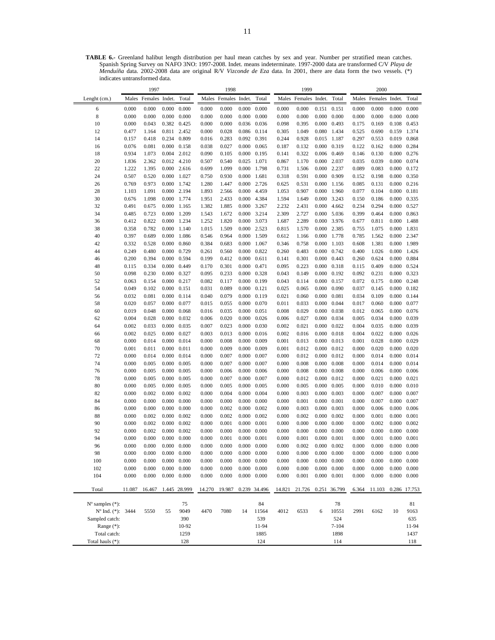**TABLE 6.-** Greenland halibut length distribution per haul mean catches by sex and year. Number per stratified mean catches. Spanish Spring Survey on NAFO 3NO: 1997-2008. Indet. means indeterminate. 1997-2000 data are transformed C/V *Playa de Menduíña* data. 2002-2008 data are original R/V *Vizconde de Eza* data. In 2001, there are data form the two vessels. (\*) indicates untransformed data.

|                                                  |                | 1997                 |                              |                |                | 1998                 |                     |                                            |                | 1999                 |                     |                     |                | 2000                 |                              |                              |
|--------------------------------------------------|----------------|----------------------|------------------------------|----------------|----------------|----------------------|---------------------|--------------------------------------------|----------------|----------------------|---------------------|---------------------|----------------|----------------------|------------------------------|------------------------------|
| Lenght (cm.)                                     |                | Males Females Indet. |                              | Total          |                | Males Females Indet. |                     | Total                                      |                | Males Females Indet. |                     | Total               |                | Males Females Indet. |                              | Total                        |
| 6                                                | 0.000          | 0.000                | 0.000                        | 0.000          | 0.000          | 0.000                |                     | $0.000 \quad 0.000$                        | 0.000          | 0.000                | 0.151               | 0.151               | 0.000          | 0.000                | 0.000                        | 0.000                        |
| 8                                                | 0.000          | 0.000                | 0.000                        | 0.000          | 0.000          | 0.000                |                     | $0.000 \quad 0.000$                        | 0.000          | 0.000                |                     | $0.000 \quad 0.000$ | 0.000          | 0.000                | 0.000                        | 0.000                        |
| 10                                               | 0.000          | 0.043                | 0.382 0.425                  |                | 0.000          | 0.000                |                     | 0.036 0.036                                | 0.098          | 0.395                | 0.000               | 0.493               | 0.175          | 0.169                | 0.108                        | 0.453                        |
| 12                                               | 0.477          | 1.164                | 0.811 2.452                  |                | 0.000          | 0.028                |                     | 0.086 0.114                                | 0.305          | 1.049                | 0.080               | 1.434               | 0.525          | 0.690                | 0.159                        | 1.374                        |
| 14                                               | 0.157          | 0.418                | 0.234                        | 0.809          | 0.016          | 0.283                | 0.092 0.391         |                                            | 0.244          | 0.928                | 0.015               | 1.187               | 0.297          | 0.553                | 0.019                        | 0.868                        |
| 16                                               | 0.076          | 0.081                | 0.000                        | 0.158          | 0.038          | 0.027                |                     | $0.000 \quad 0.065$                        | 0.187          | 0.132                | 0.000               | 0.319               | 0.122          | 0.162                | 0.000                        | 0.284                        |
| 18<br>20                                         | 0.934<br>1.836 | 1.073<br>2.362       | 0.004 2.012<br>0.012 4.210   |                | 0.090<br>0.507 | 0.105<br>0.540       | 0.025 1.071         | 0.000 0.195                                | 0.141<br>0.867 | 0.322<br>1.170       | 0.006<br>0.000      | 0.469<br>2.037      | 0.146<br>0.035 | 0.130<br>0.039       | $0.000 \quad 0.276$<br>0.000 | 0.074                        |
| 22                                               | 1.222          | 1.395                | $0.000$ 2.616                |                | 0.699          | 1.099                |                     | 0.000 1.798                                | 0.731          | 1.506                |                     | 0.000 2.237         | 0.089          | 0.083                | 0.000                        | 0.172                        |
| 24                                               | 0.507          | 0.520                | 0.000                        | 1.027          | 0.750          | 0.930                | 0.000 1.681         |                                            | 0.318          | 0.591                | 0.000               | 0.909               | 0.152          | 0.198                | 0.000                        | 0.350                        |
| 26                                               | 0.769          | 0.973                | 0.000 1.742                  |                | 1.280          | 1.447                |                     | 0.000 2.726                                | 0.625          | 0.531                | 0.000               | 1.156               | 0.085          | 0.131                | 0.000                        | 0.216                        |
| 28                                               | 1.103          | 1.091                | 0.000 2.194                  |                | 1.893          | 2.566                |                     | 0.000 4.459                                | 1.053          | 0.907                | 0.000               | 1.960               | 0.077          | 0.104                | 0.000                        | 0.181                        |
| 30                                               | 0.676          | 1.098                | 0.000 1.774                  |                | 1.951          | 2.433                |                     | 0.000 4.384                                | 1.594          | 1.649                |                     | 0.000 3.243         | 0.150          | 0.186                | 0.000                        | 0.335                        |
| 32                                               | 0.491          | 0.675                | 0.000                        | 1.165          | 1.382          | 1.885                |                     | 0.000 3.267                                | 2.232          | 2.431                | 0.000               | 4.662               | 0.234          | 0.294                | 0.000                        | 0.527                        |
| 34                                               | 0.485          | 0.723                | 0.000                        | 1.209          | 1.543          | 1.672                |                     | 0.000 3.214                                | 2.309          | 2.727                | 0.000               | 5.036               | 0.399          | 0.464                | 0.000                        | 0.863                        |
| 36                                               | 0.412          | 0.822                | 0.000                        | 1.234          | 1.252          | 1.820                |                     | 0.000 3.073                                | 1.687          | 2.289                | 0.000               | 3.976               | 0.677          | 0.811                | 0.000                        | 1.488                        |
| 38                                               | 0.358          | 0.782                | 0.000                        | 1.140          | 1.015          | 1.509                |                     | 0.000 2.523                                | 0.815          | 1.570                | 0.000               | 2.385               | 0.755          | 1.075                | 0.000                        | 1.831                        |
| 40                                               | 0.397          | 0.689                | 0.000                        | 1.086          | 0.546          | 0.964                |                     | 0.000 1.509                                | 0.612          | 1.166                |                     | 0.000 1.778         | 0.785          | 1.562                | 0.000                        | 2.347                        |
| 42                                               | 0.332          | 0.528                | 0.000                        | 0.860          | 0.384          | 0.683                |                     | 0.000 1.067                                | 0.346          | 0.758                | 0.000               | 1.103               | 0.608          | 1.381                | 0.000                        | 1.989                        |
| 44                                               | 0.249<br>0.200 | 0.480<br>0.394       | 0.000<br>0.000               | 0.729<br>0.594 | 0.261<br>0.199 | 0.560<br>0.412       | 0.000               | 0.000 0.822<br>0.611                       | 0.260<br>0.141 | 0.483<br>0.301       | 0.000<br>0.000      | 0.742<br>0.443      | 0.400<br>0.260 | 1.026<br>0.624       | 0.000<br>0.000               | 1.426<br>0.884               |
| 46<br>48                                         | 0.115          | 0.334                | 0.000                        | 0.449          | 0.170          | 0.301                | 0.000 0.471         |                                            | 0.095          | 0.223                |                     | 0.000 0.318         | 0.115          | 0.409                | 0.000                        | 0.524                        |
| 50                                               | 0.098          | 0.230                | 0.000                        | 0.327          | 0.095          | 0.233                |                     | 0.000 0.328                                | 0.043          | 0.149                |                     | $0.000 \quad 0.192$ | 0.092          | 0.231                | 0.000                        | 0.323                        |
| 52                                               | 0.063          | 0.154                | 0.000                        | 0.217          | 0.082          | 0.117                |                     | 0.000 0.199                                | 0.043          | 0.114                |                     | 0.000 0.157         | 0.072          | 0.175                | 0.000                        | 0.248                        |
| 54                                               | 0.049          | 0.102                | 0.000                        | 0.151          | 0.031          | 0.089                | $0.000 \quad 0.121$ |                                            | 0.025          | 0.065                | 0.000               | 0.090               | 0.037          | 0.145                | 0.000                        | 0.182                        |
| 56                                               | 0.032          | 0.081                | 0.000                        | 0.114          | 0.040          | 0.079                |                     | $0.000 \quad 0.119$                        | 0.021          | 0.060                | 0.000               | 0.081               | 0.034          | 0.109                | 0.000                        | 0.144                        |
| 58                                               | 0.020          | 0.057                | 0.000                        | 0.077          | 0.015          | 0.055                |                     | $0.000 \quad 0.070$                        | 0.011          | 0.033                | 0.000               | 0.044               | 0.017          | 0.060                | 0.000                        | 0.077                        |
| 60                                               | 0.019          | 0.048                | 0.000                        | 0.068          | 0.016          | 0.035                | 0.000               | 0.051                                      | 0.008          | 0.029                | 0.000               | 0.038               | 0.012          | 0.065                | 0.000                        | 0.076                        |
| 62                                               | 0.004          | 0.028                | 0.000                        | 0.032          | 0.006          | 0.020                |                     | $0.000 \quad 0.026$                        | 0.006          | 0.027                | 0.000               | 0.034               | 0.005          | 0.034                | 0.000                        | 0.039                        |
| 64                                               | 0.002          | 0.033                | 0.000                        | 0.035          | 0.007          | 0.023                |                     | $0.000 \quad 0.030$                        | 0.002          | 0.021                | 0.000               | 0.022               | 0.004          | 0.035                | 0.000                        | 0.039                        |
| 66                                               | 0.002          | 0.025                | 0.000                        | 0.027          | 0.003          | 0.013                | 0.000               | 0.016                                      | 0.002          | 0.016                | 0.000               | 0.018               | 0.004          | 0.022                | 0.000                        | 0.026                        |
| 68                                               | 0.000          | 0.014                | 0.000                        | 0.014          | 0.000          | 0.008<br>0.009       | 0.000               | 0.009                                      | 0.001<br>0.001 | 0.013<br>0.012       | 0.000               | 0.013<br>0.012      | 0.001          | 0.028<br>0.020       | 0.000                        | 0.029<br>0.020               |
| 70<br>72                                         | 0.001<br>0.000 | 0.011<br>0.014       | 0.000<br>0.000               | 0.011<br>0.014 | 0.000<br>0.000 | 0.007                | 0.000<br>0.000      | 0.009<br>0.007                             | 0.000          | 0.012                | 0.000<br>0.000      | 0.012               | 0.000<br>0.000 | 0.014                | 0.000<br>0.000               | 0.014                        |
| 74                                               | 0.000          | 0.005                | 0.000                        | 0.005          | 0.000          | 0.007                |                     | $0.000 \quad 0.007$                        | 0.000          | 0.008                |                     | $0.000 \quad 0.008$ | 0.000          | 0.014                | 0.000                        | 0.014                        |
| 76                                               | 0.000          | 0.005                | 0.000                        | 0.005          | 0.000          | 0.006                |                     | $0.000 \quad 0.006$                        | 0.000          | 0.008                | 0.000               | 0.008               | 0.000          | 0.006                | 0.000                        | 0.006                        |
| 78                                               | 0.000          | 0.005                | 0.000                        | 0.005          | 0.000          | 0.007                | 0.000               | 0.007                                      | 0.000          | 0.012                | 0.000               | 0.012               | 0.000          | 0.021                | 0.000                        | 0.021                        |
| 80                                               | 0.000          | 0.005                | 0.000                        | 0.005          | 0.000          | 0.005                | 0.000               | 0.005                                      | 0.000          | 0.005                | 0.000               | 0.005               | 0.000          | 0.010                | 0.000                        | 0.010                        |
| 82                                               | 0.000          | 0.002                | 0.000                        | 0.002          | 0.000          | 0.004                | 0.000               | 0.004                                      | 0.000          | 0.003                | 0.000               | 0.003               | 0.000          | 0.007                | 0.000                        | 0.007                        |
| 84                                               | 0.000          | 0.000                | 0.000                        | 0.000          | 0.000          | 0.000                |                     | $0.000 \quad 0.000$                        | 0.000          | 0.001                | 0.000               | 0.001               | 0.000          | 0.007                | 0.000                        | 0.007                        |
| 86                                               | 0.000          | 0.000                | 0.000                        | 0.000          | 0.000          | 0.002                |                     | $0.000 \quad 0.002$                        | 0.000          | 0.003                | 0.000               | 0.003               | 0.000          | 0.006                | 0.000                        | 0.006                        |
| 88                                               | 0.000          | 0.002                | 0.000                        | 0.002          | 0.000          | 0.002                | 0.000               | 0.002                                      | 0.000          | 0.002                | 0.000               | 0.002               | 0.000          | 0.001                | 0.000                        | 0.001                        |
| 90                                               | 0.000          | 0.002                | 0.000                        | 0.002          | 0.000          | 0.001                | 0.000               | 0.001                                      | 0.000          | 0.000                | 0.000               | 0.000               | 0.000          | 0.002                | 0.000                        | 0.002                        |
| 92                                               | 0.000          | 0.002                | 0.000                        | 0.002          | 0.000          | 0.000                | 0.000               | 0.000                                      | 0.000          | 0.000                | 0.000               | 0.000               | 0.000          | 0.000                | 0.000                        | 0.000                        |
| 94                                               | 0.000          | 0.000<br>0.000       | 0.000                        | 0.000          | 0.000<br>0.000 | 0.001<br>0.000       | $0.000 \quad 0.001$ |                                            | 0.000<br>0.000 | 0.001<br>0.002       | $0.000 \quad 0.001$ | $0.000 \quad 0.002$ | 0.000          | 0.001<br>0.000       | $0.000 \quad 0.001$          |                              |
| 96<br>98                                         | 0.000<br>0.000 | 0.000                | 0.000<br>$0.000 \quad 0.000$ | 0.000          | 0.000          | 0.000                |                     | $0.000 \quad 0.000$<br>$0.000 \quad 0.000$ | 0.000          | 0.000                |                     | $0.000 \quad 0.000$ | 0.000<br>0.000 | 0.000                | 0.000                        | $0.000 \quad 0.000$<br>0.000 |
| 100                                              | 0.000          | 0.000                | 0.000                        | 0.000          | 0.000          | 0.000                | 0.000               | 0.000                                      | 0.000          | 0.000                |                     | $0.000 \quad 0.000$ | 0.000          | 0.000                | 0.000                        | 0.000                        |
| 102                                              | 0.000          | 0.000                | 0.000                        | 0.000          | 0.000          | 0.000                | 0.000               | 0.000                                      | 0.000          | 0.000                |                     | $0.000 \quad 0.000$ | 0.000          | 0.000                | 0.000                        | 0.000                        |
| 104                                              | 0.000          | 0.000                | 0.000                        | 0.000          | 0.000          | 0.000                |                     | $0.000 \quad 0.000$                        | 0.000          | 0.001                |                     | $0.000 \quad 0.001$ | 0.000          | 0.000                | 0.000                        | 0.000                        |
|                                                  |                |                      |                              |                |                |                      |                     |                                            |                |                      |                     |                     |                |                      |                              |                              |
| Total                                            | 11.087         | 16.467               |                              | 1.445 28.999   | 14.270         | 19.987               |                     | 0.239 34.496                               | 14.821         | 21.726               |                     | 0.251 36.799        | 6.364          | 11.103               |                              | 0.286 17.753                 |
|                                                  |                |                      |                              |                |                |                      |                     |                                            |                |                      |                     |                     |                |                      |                              |                              |
| $N^{\circ}$ samples $(*)$ :<br>Nº Ind. (*): 3444 |                | 5550                 | 55                           | 75<br>9049     | 4470           | 7080                 | 14                  | 84<br>11564                                | 4012           | 6533                 | 6                   | 78<br>10551         | 2991           | 6162                 | 10                           | 81<br>9163                   |
| Sampled catch:                                   |                |                      |                              | 390            |                |                      |                     | 539                                        |                |                      |                     | 524                 |                |                      |                              | 635                          |
| Range $(*)$ :                                    |                |                      |                              | 10-92          |                |                      |                     | 11-94                                      |                |                      |                     | $7 - 104$           |                |                      |                              | 11-94                        |
| Total catch:                                     |                |                      |                              | 1259           |                |                      |                     | 1885                                       |                |                      |                     | 1898                |                |                      |                              | 1437                         |
| Total hauls (*):                                 |                |                      |                              | 128            |                |                      |                     | 124                                        |                |                      |                     | 114                 |                |                      |                              | 118                          |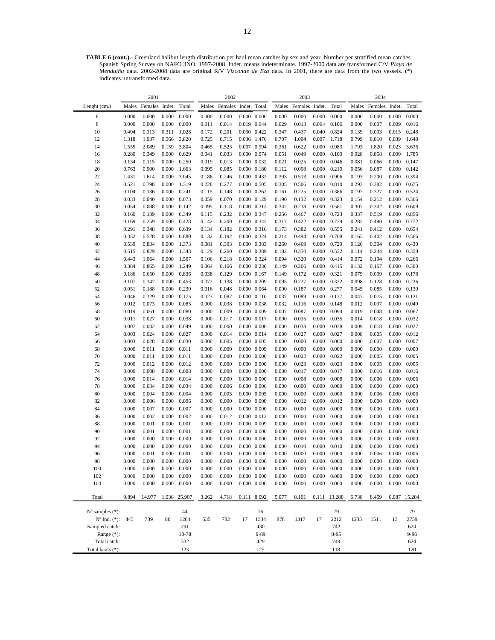**TABLE 6 (cont.).-** Greenland halibut length distribution per haul mean catches by sex and year. Number per stratified mean catches. Spanish Spring Survey on NAFO 3NO: 1997-2008. Indet. means indeterminate. 1997-2000 data are transformed C/V *Playa de Menduíña* data. 2002-2008 data are original R/V *Vizconde de Eza* data. In 2001, there are data from the two vessels. (\*) indicates untransformed data.

|                             |                | 2001           |                |                |                | 2002           |                                            |                     |                | 2003           |                |                |                | 2004           |                |                |
|-----------------------------|----------------|----------------|----------------|----------------|----------------|----------------|--------------------------------------------|---------------------|----------------|----------------|----------------|----------------|----------------|----------------|----------------|----------------|
| Lenght (cm.)                | Males          | Females Indet. |                | Total          |                | Males Females  | Indet. Total                               |                     |                | Males Females  | Indet.         | Total          | Males          | Females        | Indet.         | Total          |
| 6                           | 0.000          | 0.000          | 0.000          | 0.000          | 0.000          | 0.000          | $0.000 \quad 0.000$                        |                     | 0.000          | 0.000          | 0.000          | 0.000          | 0.000          | 0.000          | 0.000          | 0.000          |
| $\,$ 8 $\,$                 | 0.000          | 0.000          | 0.000          | 0.000          | 0.011          | 0.014          |                                            | 0.019 0.044         | 0.029          | 0.013          | 0.064          | 0.106          | 0.000          | 0.007          | 0.009          | 0.016          |
| 10                          | 0.404          | 0.313          | 0.311          | 1.028          | 0.172          | 0.201          | 0.050 0.422                                |                     | 0.347          | 0.437          | 0.040          | 0.824          | 0.139          | 0.093          | 0.015          | 0.248          |
| 12                          | 1.318          | 1.937          | 0.566          | 3.820          | 0.725          | 0.715          |                                            | 0.036 1.476         | 0.707          | 1.004          | 0.007          | 1.718          | 0.799          | 0.810          | 0.039          | 1.648          |
| 14                          | 1.555          | 2.089          | 0.159          | 3.804          | 0.465          | 0.523          | 0.007 0.994                                |                     | 0.361          | 0.622          | 0.000          | 0.983          | 1.793          | 1.820          | 0.023          | 3.636          |
| 16                          | 0.280          | 0.349          | 0.000          | 0.629          | 0.041          | 0.033          |                                            | 0.000 0.074         | 0.051          | 0.049          | 0.000          | 0.100          | 0.928          | 0.858          | 0.000          | 1.785          |
| 18                          | 0.134          | 0.115          | 0.000          | 0.250          | 0.019          | 0.013          | 0.000 0.032                                |                     | 0.021          | 0.025          | 0.000          | 0.046          | 0.081          | 0.066          | 0.000          | 0.147          |
| 20                          | 0.763          | 0.900          | 0.000          | 1.663          | 0.095          | 0.085          | $0.000 \quad 0.180$                        |                     | 0.112          | 0.098          | 0.000          | 0.210          | 0.056          | 0.087          | 0.000          | 0.142          |
| 22                          | 1.431          | 1.614          | 0.000          | 3.045          | 0.186          | 0.246          | 0.000 0.432                                |                     | 0.393          | 0.513          | 0.000          | 0.906          | 0.193          | 0.200          | 0.000          | 0.394          |
| 24                          | 0.521          | 0.798          | 0.000          | 1.319          | 0.228          | 0.277          | $0.000 \quad 0.505$                        |                     | 0.305          | 0.506          | 0.000          | 0.810          | 0.293          | 0.382          | 0.000          | 0.675          |
| 26                          | 0.104          | 0.136          | 0.000          | 0.241          | 0.115          | 0.148          | $0.000 \quad 0.262$                        |                     | 0.161          | 0.225          | 0.000          | 0.386          | 0.197          | 0.327          | 0.000          | 0.524          |
| 28                          | 0.033          | 0.040          | 0.000          | 0.073          | 0.059          | 0.070          | 0.000 0.129                                |                     | 0.190          | 0.132          | 0.000          | 0.323          | 0.154          | 0.212          | 0.000          | 0.366          |
| 30                          | 0.054          | 0.088          | 0.000          | 0.142          | 0.095          | 0.118          | 0.000 0.213                                |                     | 0.342          | 0.238          | 0.000          | 0.581          | 0.307          | 0.302          | 0.000          | 0.609          |
| 32                          | 0.160          | 0.189          | 0.000          | 0.349          | 0.115          | 0.232          | 0.000 0.347                                |                     | 0.256          | 0.467          | 0.000          | 0.723          | 0.337          | 0.519          | 0.000          | 0.856          |
| 34                          | 0.169          | 0.259          | 0.000          | 0.428          | 0.142          | 0.200          | 0.000 0.342                                |                     | 0.317          | 0.422          | 0.000          | 0.739          | 0.282          | 0.490          | 0.000          | 0.772          |
| 36                          | 0.291<br>0.352 | 0.348<br>0.528 | 0.000          | 0.639          | 0.134          | 0.182<br>0.192 | 0.000 0.324                                | $0.000 \quad 0.316$ | 0.173<br>0.214 | 0.382<br>0.494 | 0.000          | 0.555<br>0.708 | 0.241          | 0.412<br>0.402 | 0.000<br>0.000 | 0.654<br>0.566 |
| 38<br>40                    | 0.539          | 0.834          | 0.000<br>0.000 | 0.880<br>1.373 | 0.132<br>0.081 | 0.303          | 0.000 0.383                                |                     | 0.260          | 0.469          | 0.000<br>0.000 | 0.729          | 0.163<br>0.126 | 0.304          | 0.000          | 0.430          |
| 42                          | 0.515          | 0.829          | 0.000          | 1.343          | 0.129          | 0.260          | 0.000 0.389                                |                     | 0.182          | 0.350          | 0.000          | 0.532          | 0.114          | 0.244          | 0.000          | 0.358          |
| 44                          | 0.443          | 1.064          | 0.000          | 1.507          | 0.106          | 0.218          | 0.000 0.324                                |                     | 0.094          | 0.320          | 0.000          | 0.414          | 0.072          | 0.194          | 0.000          | 0.266          |
| 46                          | 0.384          | 0.865          | 0.000          | 1.249          | 0.064          | 0.166          | 0.000 0.230                                |                     | 0.149          | 0.266          | 0.000          | 0.415          | 0.132          | 0.167          | 0.000          | 0.300          |
| 48                          | 0.186          | 0.650          | 0.000          | 0.836          | 0.038          | 0.129          | $0.000 \quad 0.167$                        |                     | 0.149          | 0.172          | 0.000          | 0.321          | 0.079          | 0.099          | 0.000          | 0.178          |
| 50                          | 0.107          | 0.347          | 0.000          | 0.453          | 0.072          | 0.138          | 0.000 0.209                                |                     | 0.095          | 0.227          | 0.000          | 0.322          | 0.098          | 0.128          | 0.000          | 0.226          |
| 52                          | 0.051          | 0.188          | 0.000          | 0.239          | 0.016          | 0.048          | 0.000 0.064                                |                     | 0.090          | 0.187          | 0.000          | 0.277          | 0.045          | 0.085          | 0.000          | 0.130          |
| 54                          | 0.046          | 0.129          | 0.000          | 0.175          | 0.023          | 0.087          | $0.000 \quad 0.110$                        |                     | 0.037          | 0.089          | 0.000          | 0.127          | 0.047          | 0.075          | 0.000          | 0.121          |
| 56                          | 0.012          | 0.073          | 0.000          | 0.085          | 0.000          | 0.038          | 0.000 0.038                                |                     | 0.032          | 0.116          | 0.000          | 0.148          | 0.012          | 0.037          | 0.000          | 0.049          |
| 58                          | 0.019          | 0.061          | 0.000          | 0.080          | 0.000          | 0.009          | 0.000 0.009                                |                     | 0.007          | 0.087          | 0.000          | 0.094          | 0.019          | 0.048          | 0.000          | 0.067          |
| 60                          | 0.011          | 0.027          | 0.000          | 0.038          | 0.000          | 0.017          | 0.000 0.017                                |                     | 0.000          | 0.035          | 0.000          | 0.035          | 0.014          | 0.018          | 0.000          | 0.032          |
| 62                          | 0.007          | 0.042          | 0.000          | 0.049          | 0.000          | 0.000          | $0.000 \quad 0.000$                        |                     | 0.000          | 0.038          | 0.000          | 0.038          | 0.009          | 0.018          | 0.000          | 0.027          |
| 64                          | 0.003          | 0.024          | 0.000          | 0.027          | 0.000          | 0.014          | 0.000 0.014                                |                     | 0.000          | 0.027          | 0.000          | 0.027          | 0.008          | 0.005          | 0.000          | 0.012          |
| 66                          | 0.003          | 0.028          | 0.000          | 0.030          | 0.000          | 0.005          | $0.000 \quad 0.005$                        |                     | 0.000          | 0.000          | 0.000          | 0.000          | 0.000          | 0.007          | 0.000          | 0.007          |
| 68                          | 0.000          | 0.011          | 0.000          | 0.011          | 0.000          | 0.009          | 0.000 0.009                                |                     | 0.000          | 0.000          | 0.000          | 0.000          | 0.000          | 0.000          | 0.000          | 0.000          |
| 70                          | 0.000          | 0.011          | 0.000          | 0.011          | 0.000          | 0.000          | $0.000 \quad 0.000$                        |                     | 0.000          | 0.022          | 0.000          | 0.022          | 0.000          | 0.005          | 0.000          | 0.005          |
| 72                          | 0.000          | 0.012          | 0.000          | 0.012          | 0.000          | 0.000          | $0.000 \quad 0.000$                        |                     | 0.000          | 0.023          | 0.000          | 0.023          | 0.000          | 0.005          | 0.000          | 0.005          |
| 74                          | 0.000          | 0.008          | 0.000          | 0.008          | 0.000          | 0.000          | $0.000 \quad 0.000$                        |                     | 0.000          | 0.017          | 0.000          | 0.017          | 0.000          | 0.016          | 0.000          | 0.016          |
| 76                          | 0.000          | 0.014          | 0.000          | 0.014          | 0.000          | 0.000          | $0.000 \quad 0.000$                        |                     | 0.000          | 0.008          | 0.000          | 0.008          | 0.000          | 0.006          | 0.000          | 0.006          |
| 78<br>80                    | 0.000<br>0.000 | 0.034<br>0.004 | 0.000<br>0.000 | 0.034<br>0.004 | 0.000<br>0.000 | 0.006<br>0.005 | $0.000 \quad 0.006$<br>$0.000 \quad 0.005$ |                     | 0.000<br>0.000 | 0.000<br>0.000 | 0.000<br>0.000 | 0.000<br>0.000 | 0.000<br>0.000 | 0.000<br>0.006 | 0.000<br>0.000 | 0.000<br>0.006 |
| 82                          | 0.000          | 0.006          | 0.000          | 0.006          | 0.000          | 0.000          | $0.000 \quad 0.000$                        |                     | 0.000          | 0.012          | 0.000          | 0.012          | 0.000          | 0.000          | 0.000          | 0.000          |
| 84                          | 0.000          | 0.007          | 0.000          | 0.007          | 0.000          | 0.000          | $0.000 \quad 0.000$                        |                     | 0.000          | 0.000          | 0.000          | 0.000          | 0.000          | 0.000          | 0.000          | 0.000          |
| 86                          | 0.000          | 0.002          | 0.000          | 0.002          | 0.000          | 0.012          | $0.000 \quad 0.012$                        |                     | 0.000          | 0.000          | 0.000          | 0.000          | 0.000          | 0.000          | 0.000          | 0.000          |
| 88                          | 0.000          | 0.001          | 0.000          | 0.001          | 0.000          | 0.009          | $0.000 \quad 0.009$                        |                     | 0.000          | 0.000          | 0.000          | 0.000          | 0.000          | 0.000          | 0.000          | 0.000          |
| 90                          | 0.000          | 0.001          | 0.000          | 0.001          | 0.000          | 0.000          | $0.000 \quad 0.000$                        |                     | 0.000          | 0.000          | 0.000          | 0.000          | 0.000          | 0.000          | 0.000          | 0.000          |
| 92                          | 0.000          | 0.000          | 0.000          | 0.000          | 0.000          | 0.000          | $0.000 \quad 0.000$                        |                     | 0.000          | 0.000          | 0.000          | 0.000          | 0.000          | 0.000          | 0.000          | 0.000          |
| 94                          | 0.000          | 0.000          | 0.000          | 0.000          | 0.000          | 0.000          | $0.000 \quad 0.000$                        |                     | 0.000          | 0.010          | 0.000          | 0.010          | 0.000          | 0.000          | 0.000          | 0.000          |
| 96                          | 0.000          | 0.001          | 0.000          | 0.001          | 0.000          | 0.000          | $0.000 \quad 0.000$                        |                     | 0.000          | 0.000          | 0.000          | 0.000          | 0.000          | 0.006          | 0.000          | 0.006          |
| 98                          | 0.000          | 0.000          | 0.000          | 0.000          | 0.000          | 0.000          | $0.000 \quad 0.000$                        |                     | 0.000          | 0.000          | 0.000          | 0.000          | 0.000          | 0.000          | 0.000          | 0.000          |
| 100                         | 0.000          | 0.000          | 0.000          | 0.000          | 0.000          | 0.000          | $0.000 \quad 0.000$                        |                     | 0.000          | 0.000          | 0.000          | 0.000          | 0.000          | 0.000          | 0.000          | 0.000          |
| 102                         | 0.000          | 0.000          | 0.000          | 0.000          | 0.000          | 0.000          |                                            | $0.000 \quad 0.000$ | 0.000          | 0.000          | 0.000          | 0.000          | 0.000          | 0.000          | 0.000          | 0.000          |
| 104                         | 0.000          | 0.000          | 0.000          | 0.000          | 0.000          | 0.000          |                                            | $0.000 \quad 0.000$ | 0.000          | 0.000          | 0.000          | 0.000          | 0.000          | 0.000          | 0.000          | 0.000          |
| Total                       | 9.894          | 14.977         | 1.036          | 25.907         | 3.262          | 4.718          | 0.111                                      | 8.092               | 5.077          | 8.101          | 0.111          | 13.288         | 6.738          | 8.459          | 0.087          | 15.284         |
|                             |                |                |                |                |                |                |                                            |                     |                |                |                |                |                |                |                |                |
| $N^{\circ}$ samples $(*)$ : |                |                |                | 44             |                |                |                                            | 76                  |                |                |                | 79             |                |                |                | 79             |
| $N^{\circ}$ Ind. $(*)$ :    | 445            | 739            | 80             | 1264           | 535            | 782            | 17                                         | 1334                | 878            | 1317           | 17             | 2212           | 1235           | 1511           | 13             | 2759           |
| Sampled catch:              |                |                |                | 291            |                |                |                                            | 430                 |                |                |                | 742            |                |                |                | 624            |
| Range $(*)$ :               |                |                |                | 10-78          |                |                |                                            | 9-89                |                |                |                | 8-95           |                |                |                | 9-96           |
| Total catch:                |                |                |                | 332            |                |                |                                            | 429                 |                |                |                | 749            |                |                |                | 624            |
| Total hauls (*):            |                |                |                | 123            |                |                |                                            | 125                 |                |                |                | 118            |                |                |                | 120            |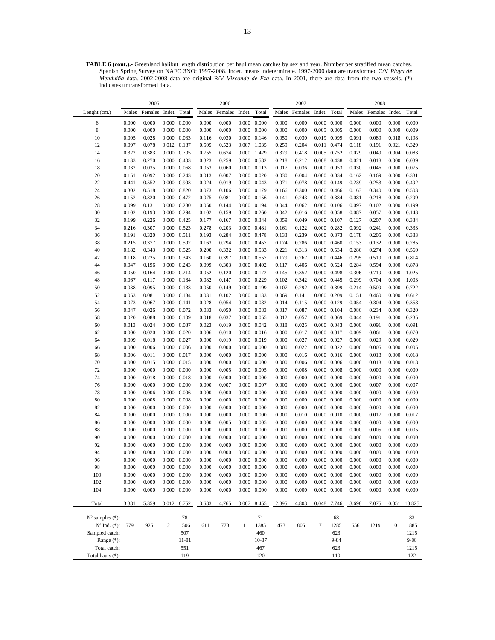**TABLE 6 (cont.).-** Greenland halibut length distribution per haul mean catches by sex and year. Number per stratified mean catches. Spanish Spring Survey on NAFO 3NO: 1997-2008. Indet. means indeterminate. 1997-2000 data are transformed C/V *Playa de Menduíña* data. 2002-2008 data are original R/V *Vizconde de Eza* data. In 2001, there are data from the two vessels. (\*) indicates untransformed data.

|                             |                | 2005           |                              |             |                | 2006           |                                    |       |                | 2007           |                                            |                     |                | 2008           |                |                |
|-----------------------------|----------------|----------------|------------------------------|-------------|----------------|----------------|------------------------------------|-------|----------------|----------------|--------------------------------------------|---------------------|----------------|----------------|----------------|----------------|
| Lenght (cm.)                | Males          | Females        | Indet.                       | Total       | Males          | Females        | Indet.                             | Total | Males          | Females        | Indet.                                     | Total               | Males          | Females        | Indet.         | Total          |
| 6                           | 0.000          | 0.000          | $0.000 \quad 0.000$          |             | 0.000          | 0.000          | $0.000 \quad 0.000$                |       | 0.000          | 0.000          | $0.000 \quad 0.000$                        |                     | 0.000          | 0.000          | 0.000          | 0.000          |
| 8                           | 0.000          | 0.000          | $0.000 \quad 0.000$          |             | 0.000          | 0.000          | $0.000 \quad 0.000$                |       | 0.000          | 0.000          | $0.005$ 0.005                              |                     | 0.000          | 0.000          | 0.009          | 0.009          |
| 10                          | 0.005          | 0.028          | 0.000 0.033                  |             | 0.116          | 0.030          | $0.000 \quad 0.146$                |       | 0.050          | 0.030          | 0.019 0.099                                |                     | 0.091          | 0.089          | 0.018          | 0.198          |
| 12                          | 0.097          | 0.078          | 0.012 0.187                  |             | 0.505          | 0.523          | 0.007 1.035                        |       | 0.259          | 0.204          | 0.011 0.474                                |                     | 0.118          | 0.191          | 0.021          | 0.329          |
| 14                          | 0.322          | 0.383          | 0.000 0.705                  |             | 0.755          | 0.674          | 0.000 1.429                        |       | 0.329          | 0.418          | 0.005 0.752                                |                     | 0.029          | 0.049          | 0.004          | 0.083          |
| 16                          | 0.133          | 0.270          | 0.000 0.403                  |             | 0.323          | 0.259          | 0.000 0.582                        |       | 0.218          | 0.212          | 0.008 0.438                                |                     | 0.021          | 0.018          | 0.000          | 0.039          |
| 18                          | 0.032          | 0.035          | $0.000 \quad 0.068$          |             | 0.053          | 0.060          | $0.000 \quad 0.113$                |       | 0.017          | 0.036          | 0.000 0.053                                |                     | 0.030          | 0.046          | 0.000          | 0.075          |
| 20                          | 0.151          | 0.092          | 0.000                        | 0.243       | 0.013          | 0.007          | $0.000 \quad 0.020$                |       | 0.030          | 0.004          | 0.000 0.034                                |                     | 0.162          | 0.169          | 0.000          | 0.331          |
| 22                          | 0.441          | 0.552          | 0.000 0.993                  |             | 0.024          | 0.019          | 0.000 0.043                        |       | 0.071          | 0.078          | 0.000 0.149                                |                     | 0.239          | 0.253          | 0.000          | 0.492          |
| 24                          | 0.302          | 0.518          | 0.000 0.820                  |             | 0.073          | 0.106          | 0.000 0.179                        |       | 0.166          | 0.300          | 0.000 0.466                                |                     | 0.163          | 0.340          | 0.000          | 0.503          |
| 26                          | 0.152          | 0.320          | 0.000 0.472                  |             | 0.075          | 0.081          | $0.000 \quad 0.156$                |       | 0.141          | 0.243          | 0.000 0.384                                |                     | 0.081          | 0.218          | 0.000          | 0.299          |
| 28                          | 0.099          | 0.131          | 0.000 0.230                  |             | 0.050          | 0.144          | 0.000 0.194                        |       | 0.044          | 0.062          | 0.000 0.106                                |                     | 0.097          | 0.102          | 0.000          | 0.199          |
| 30                          | 0.102          | 0.193          | 0.000 0.294                  |             | 0.102          | 0.159          | $0.000 \quad 0.260$                |       | 0.042          | 0.016          | $0.000 \quad 0.058$                        |                     | 0.087          | 0.057          | 0.000          | 0.143          |
| 32                          | 0.199          | 0.226          | 0.000 0.425                  |             | 0.177          | 0.167          | 0.000 0.344                        |       | 0.059          | 0.049          | $0.000 \quad 0.107$                        |                     | 0.127          | 0.207          | 0.000          | 0.334          |
| 34                          | 0.216          | 0.307          | 0.000 0.523                  |             | 0.278          | 0.203          | 0.000 0.481                        |       | 0.161          | 0.122          | $0.000 \quad 0.282$                        |                     | 0.092          | 0.241          | 0.000          | 0.333          |
| 36                          | 0.191          | 0.320          | 0.000 0.511                  |             | 0.193          | 0.284          | 0.000 0.478                        |       | 0.133          | 0.239          | 0.000 0.373                                |                     | 0.178          | 0.205          | 0.000          | 0.383          |
| 38                          | 0.215          | 0.377          | 0.000 0.592                  |             | 0.163          | 0.294          | 0.000 0.457                        |       | 0.174          | 0.286          | $0.000 \quad 0.460$                        |                     | 0.153          | 0.132          | 0.000          | 0.285          |
| 40                          | 0.182          | 0.343          | 0.000 0.525                  |             | 0.200          | 0.332          | 0.000 0.533                        |       | 0.221          | 0.313          | 0.000 0.534                                |                     | 0.286          | 0.274          | 0.000          | 0.560          |
| 42                          | 0.118          | 0.225          | 0.000 0.343                  |             | 0.160          | 0.397          | 0.000 0.557                        |       | 0.179          | 0.267          | 0.000 0.446                                |                     | 0.295          | 0.519          | 0.000          | 0.814          |
| 44                          | 0.047          | 0.196          | $0.000 \quad 0.243$          |             | 0.099          | 0.303          | 0.000 0.402                        |       | 0.117          | 0.406          | 0.000 0.524                                |                     | 0.284          | 0.594          | 0.000          | 0.878          |
| 46                          | 0.050          | 0.164          | 0.000 0.214                  |             | 0.052          | 0.120          | 0.000 0.172                        |       | 0.145          | 0.352          | 0.000 0.498                                |                     | 0.306          | 0.719          | 0.000          | 1.025          |
| 48                          | 0.067          | 0.117          | 0.000 0.184                  |             | 0.082          | 0.147          | 0.000 0.229                        |       | 0.102          | 0.342          | 0.000 0.445                                |                     | 0.299          | 0.704          | 0.000          | 1.003          |
| 50                          | 0.038          | 0.095          | 0.000 0.133                  |             | 0.050          | 0.149          | 0.000 0.199                        |       | 0.107          | 0.292          | 0.000 0.399                                |                     | 0.214          | 0.509          | 0.000          | 0.722          |
| 52                          | 0.053          | 0.081          | 0.000 0.134                  |             | 0.031          | 0.102          | 0.000 0.133                        |       | 0.069          | 0.141          | 0.000 0.209                                |                     | 0.151          | 0.460          | 0.000          | 0.612          |
| 54                          | 0.073          | 0.067          | 0.000                        | 0.141       | 0.028          | 0.054          | 0.000                              | 0.082 | 0.014          | 0.115          | 0.000 0.129                                |                     | 0.054          | 0.304          | 0.000          | 0.358          |
| 56                          | 0.047          | 0.026          | 0.000 0.072                  |             | 0.033          | 0.050          | 0.000 0.083                        |       | 0.017          | 0.087          | 0.000 0.104                                |                     | 0.086          | 0.234          | 0.000          | 0.320          |
| 58                          | 0.020          | 0.088          | $0.000 \quad 0.109$          |             | 0.018          | 0.037          | $0.000 \quad 0.055$                |       | 0.012          | 0.057          | 0.000 0.069                                |                     | 0.044          | 0.191          | 0.000          | 0.235          |
| 60                          | 0.013          | 0.024          | 0.000 0.037                  |             | 0.023          | 0.019          | $0.000 \quad 0.042$                |       | 0.018          | 0.025          | 0.000 0.043                                |                     | 0.000          | 0.091          | 0.000          | 0.091          |
| 62                          | 0.000          | 0.020          | $0.000 \quad 0.020$          |             | 0.006          | 0.010          | $0.000 \quad 0.016$                |       | 0.000          | 0.017          | 0.000 0.017                                |                     | 0.009          | 0.061          | 0.000          | 0.070          |
| 64                          | 0.009          | 0.018          | 0.000 0.027                  |             | 0.000          | 0.019          | 0.000 0.019                        |       | 0.000          | 0.027          | 0.000 0.027                                |                     | 0.000          | 0.029          | 0.000          | 0.029          |
| 66                          | 0.000          | 0.006          | $0.000 \quad 0.006$          |             | 0.000          | 0.000          | $0.000 \quad 0.000$                |       | 0.000          | 0.022          | $0.000 \quad 0.022$                        |                     | 0.000          | 0.005          | 0.000          | 0.005          |
| 68                          | 0.006          | 0.011          | 0.000 0.017                  |             | 0.000          | 0.000          | $0.000 \quad 0.000$                |       | 0.000          | 0.016          | $0.000 \quad 0.016$                        |                     | 0.000          | 0.018          | 0.000          | 0.018          |
| 70                          | 0.000          | 0.015          | 0.000 0.015                  |             | 0.000          | 0.000          | $0.000 \quad 0.000$                |       | 0.000          | 0.006          | $0.000 \quad 0.006$                        |                     | 0.000          | 0.018          | 0.000          | 0.018          |
| 72                          | 0.000          | 0.000          | $0.000 \quad 0.000$          |             | 0.000          | 0.005          | $0.000 \quad 0.005$                |       | 0.000          | 0.008          | $0.000 \quad 0.008$                        |                     | 0.000          | 0.000          | 0.000          | 0.000          |
| 74<br>76                    | 0.000<br>0.000 | 0.018<br>0.000 | $0.000 \quad 0.018$<br>0.000 | 0.000       | 0.000<br>0.000 | 0.000          | $0.000 \quad 0.000$<br>0.000 0.007 |       | 0.000          | 0.000<br>0.000 | $0.000 \quad 0.000$<br>$0.000 \quad 0.000$ |                     | 0.000          | 0.000<br>0.007 | 0.000<br>0.000 | 0.000<br>0.007 |
|                             |                |                |                              |             |                | 0.007          |                                    |       | 0.000          |                |                                            |                     | 0.000          |                |                |                |
| 78<br>80                    | 0.000<br>0.000 | 0.006<br>0.008 | $0.000 \quad 0.006$<br>0.000 |             | 0.000          | 0.000          | $0.000 \quad 0.000$                | 0.000 | 0.000          | 0.000<br>0.000 | $0.000 \quad 0.000$                        |                     | 0.000          | 0.000<br>0.000 | 0.000<br>0.000 | 0.000<br>0.000 |
| 82                          | 0.000          | 0.000          | $0.000 \quad 0.000$          | 0.008       | 0.000<br>0.000 | 0.000<br>0.000 | 0.000<br>$0.000 \quad 0.000$       |       | 0.000          | 0.000          | $0.000 \quad 0.000$<br>$0.000 \quad 0.000$ |                     | 0.000<br>0.000 | 0.000          | 0.000          | 0.000          |
| 84                          | 0.000          | 0.000          | $0.000 \quad 0.000$          |             | 0.000          | 0.000          | $0.000 \quad 0.000$                |       | 0.000<br>0.000 | 0.010          | $0.000 \quad 0.010$                        |                     | 0.000          | 0.017          | 0.000          | 0.017          |
| 86                          | 0.000          | 0.000          | 0.000                        | 0.000       | 0.000          | 0.005          | $0.000 \quad 0.005$                |       | 0.000          | 0.000          | $0.000 \quad 0.000$                        |                     | 0.000          | 0.000          | 0.000          | 0.000          |
| 88                          | 0.000          | 0.000          | $0.000 \quad 0.000$          |             | 0.000          | 0.000          | $0.000 \quad 0.000$                |       | 0.000          | 0.000          | $0.000 \quad 0.000$                        |                     | 0.000          | 0.005          | 0.000          | 0.005          |
| 90                          | 0.000          | 0.000          | 0.000                        | 0.000       | 0.000          | 0.000          | $0.000 \quad 0.000$                |       | 0.000          | 0.000          | $0.000 \quad 0.000$                        |                     | 0.000          | 0.000          | 0.000          | 0.000          |
| 92                          | 0.000          | 0.000          | $0.000 \quad 0.000$          |             | 0.000          | 0.000          | $0.000 \quad 0.000$                |       | 0.000          | 0.000          | $0.000 \quad 0.000$                        |                     | 0.000          | 0.000          | 0.000          | 0.000          |
| 94                          | 0.000          | 0.000          | $0.000 \quad 0.000$          |             | 0.000          | 0.000          | $0.000 \quad 0.000$                |       | 0.000          | 0.000          | $0.000 \quad 0.000$                        |                     | 0.000          | 0.000          | 0.000          | 0.000          |
| 96                          | 0.000          | 0.000          | 0.000 0.000                  |             | 0.000          | 0.000          | $0.000 \quad 0.000$                |       | 0.000          | 0.000          | $0.000 \quad 0.000$                        |                     | 0.000          | 0.000          | 0.000          | 0.000          |
| 98                          | 0.000          | 0.000          | $0.000 \quad 0.000$          |             | 0.000          | 0.000          | $0.000 \quad 0.000$                |       | 0.000          | 0.000          | $0.000 \quad 0.000$                        |                     | 0.000          | 0.000          | 0.000          | 0.000          |
| 100                         | 0.000          | 0.000          | $0.000 \quad 0.000$          |             | 0.000          | 0.000          | $0.000 \quad 0.000$                |       | 0.000          | 0.000          | $0.000 \quad 0.000$                        |                     | 0.000          | 0.000          | 0.000          | 0.000          |
| 102                         | 0.000          | 0.000          | $0.000 \quad 0.000$          |             | 0.000          | 0.000          | $0.000 \quad 0.000$                |       | 0.000          | 0.000          |                                            | $0.000 \quad 0.000$ | 0.000          | 0.000          | 0.000          | 0.000          |
| 104                         | 0.000          | 0.000          | $0.000 \quad 0.000$          |             | 0.000          | 0.000          | $0.000 \quad 0.000$                |       | 0.000          | 0.000          | $0.000 \quad 0.000$                        |                     | 0.000          | 0.000          | 0.000          | 0.000          |
|                             |                |                |                              |             |                |                |                                    |       |                |                |                                            |                     |                |                |                |                |
| Total                       | 3.381          | 5.359          |                              | 0.012 8.752 | 3.683          | 4.765          | 0.007                              | 8.455 | 2.895          | 4.803          |                                            | 0.048 7.746         | 3.698          | 7.075          | 0.051          | 10.825         |
|                             |                |                |                              |             |                |                |                                    |       |                |                |                                            |                     |                |                |                |                |
| $N^{\circ}$ samples $(*)$ : |                |                |                              | 78          |                |                |                                    | 71    |                |                |                                            | 68                  |                |                |                | 83             |
| $N^{\circ}$ Ind. $(*)$ :    | 579            | 925            | $\overline{c}$               | 1506        | 611            | 773            | $\mathbf{1}$                       | 1385  | 473            | 805            | $\tau$                                     | 1285                | 656            | 1219           | 10             | 1885           |
| Sampled catch:              |                |                |                              | 507         |                |                |                                    | 460   |                |                |                                            | 623                 |                |                |                | 1215           |
| Range $(*)$ :               |                |                |                              | 11-81       |                |                |                                    | 10-87 |                |                |                                            | $9 - 84$            |                |                |                | $9 - 88$       |
| Total catch:                |                |                |                              | 551         |                |                |                                    | 467   |                |                |                                            | 623                 |                |                |                | 1215           |
| Total hauls (*):            |                |                |                              | 119         |                |                |                                    | 120   |                |                |                                            | 110                 |                |                |                | 122            |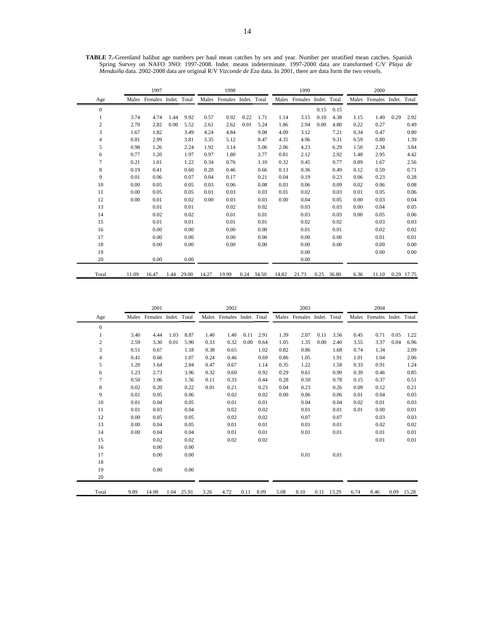|                |       | 1997                       |      |       |       | 1998                       |      |       |       | 1999                       |      |            |      | 2000                       |      |            |
|----------------|-------|----------------------------|------|-------|-------|----------------------------|------|-------|-------|----------------------------|------|------------|------|----------------------------|------|------------|
| Age            |       | Males Females Indet. Total |      |       |       | Males Females Indet. Total |      |       |       | Males Females Indet. Total |      |            |      | Males Females Indet. Total |      |            |
| $\mathbf{0}$   |       |                            |      |       |       |                            |      |       |       |                            | 0.15 | 0.15       |      |                            |      |            |
|                | 3.74  | 4.74                       | 1.44 | 9.92  | 0.57  | 0.92                       | 0.22 | 1.71  | 1.14  | 3.15                       | 0.10 | 4.38       | 1.15 | 1.49                       | 0.29 | 2.92       |
| $\overline{c}$ | 2.70  | 2.82                       | 0.00 | 5.52  | 2.61  | 2.62                       | 0.01 | 5.24  | 1.86  | 2.94                       | 0.00 | 4.80       | 0.22 | 0.27                       |      | 0.49       |
| 3              | 1.67  | 1.82                       |      | 3.49  | 4.24  | 4.84                       |      | 9.08  | 4.09  | 3.12                       |      | 7.21       | 0.34 | 0.47                       |      | 0.80       |
| $\overline{4}$ | 0.81  | 2.99                       |      | 3.81  | 3.35  | 5.12                       |      | 8.47  | 4.35  | 4.96                       |      | 9.31       | 0.59 | 0.80                       |      | 1.39       |
| 5              | 0.98  | 1.26                       |      | 2.24  | 1.92  | 3.14                       |      | 5.06  | 2.06  | 4.23                       |      | 6.29       | 1.50 | 2.34                       |      | 3.84       |
| 6              | 0.77  | 1.20                       |      | 1.97  | 0.97  | 1.80                       |      | 2.77  | 0.81  | 2.12                       |      | 2.92       | 1.48 | 2.95                       |      | 4.42       |
| $\overline{7}$ | 0.21  | 1.01                       |      | 1.22  | 0.34  | 0.76                       |      | 1.10  | 0.32  | 0.45                       |      | 0.77       | 0.89 | 1.67                       |      | 2.56       |
| 8              | 0.19  | 0.41                       |      | 0.60  | 0.20  | 0.46                       |      | 0.66  | 0.13  | 0.36                       |      | 0.49       | 0.12 | 0.59                       |      | 0.71       |
| 9              | 0.01  | 0.06                       |      | 0.07  | 0.04  | 0.17                       |      | 0.21  | 0.04  | 0.19                       |      | 0.23       | 0.06 | 0.23                       |      | 0.28       |
| 10             | 0.00  | 0.05                       |      | 0.05  | 0.03  | 0.06                       |      | 0.08  | 0.03  | 0.06                       |      | 0.09       | 0.02 | 0.06                       |      | 0.08       |
| 11             | 0.00  | 0.05                       |      | 0.05  | 0.01  | 0.03                       |      | 0.03  | 0.01  | 0.02                       |      | 0.03       | 0.01 | 0.05                       |      | 0.06       |
| 12             | 0.00  | 0.01                       |      | 0.02  | 0.00  | 0.03                       |      | 0.03  | 0.00  | 0.04                       |      | 0.05       | 0.00 | 0.03                       |      | 0.04       |
| 13             |       | 0.01                       |      | 0.01  |       | 0.02                       |      | 0.02  |       | 0.03                       |      | 0.03       | 0.00 | 0.04                       |      | 0.05       |
| 14             |       | 0.02                       |      | 0.02  |       | 0.01                       |      | 0.01  |       | 0.03                       |      | 0.03       | 0.00 | 0.05                       |      | 0.06       |
| 15             |       | 0.01                       |      | 0.01  |       | 0.01                       |      | 0.01  |       | 0.02                       |      | 0.02       |      | 0.03                       |      | 0.03       |
| 16             |       | 0.00                       |      | 0.00  |       | 0.00                       |      | 0.00  |       | 0.01                       |      | 0.01       |      | 0.02                       |      | 0.02       |
| 17             |       | 0.00                       |      | 0.00  |       | 0.00                       |      | 0.00  |       | 0.00                       |      | 0.00       |      | 0.01                       |      | 0.01       |
| 18             |       | 0.00                       |      | 0.00  |       | 0.00                       |      | 0.00  |       | 0.00                       |      | 0.00       |      | 0.00                       |      | 0.00       |
| 19             |       |                            |      |       |       |                            |      |       |       | 0.00                       |      |            |      | 0.00                       |      | 0.00       |
| 20             |       | 0.00                       |      | 0.00  |       |                            |      |       |       | 0.00                       |      |            |      |                            |      |            |
| Total          | 11.09 | 16.47                      | 1.44 | 29.00 | 14.27 | 19.99                      | 0.24 | 34.50 | 14.82 | 21.73                      |      | 0.25 36.80 | 6.36 | 11.10                      |      | 0.29 17.75 |

**TABLE 7.-**Greenland halibut age numbers per haul mean catches by sex and year. Number per stratified mean catches. Spanish Spring Survey on NAFO 3NO: 1997-2008. Indet. means indeterminate. 1997-2000 data are transformed C/V *Playa de Menduíña* data. 2002-2008 data are original R/V *Vizconde de Eza* data. In 2001, there are data form the two vessels.

|                |      | 2001                       |      |       |      | 2002                       |      |      |      | 2003                       |      |       |      | 2004                       |      |       |
|----------------|------|----------------------------|------|-------|------|----------------------------|------|------|------|----------------------------|------|-------|------|----------------------------|------|-------|
| Age            |      | Males Females Indet. Total |      |       |      | Males Females Indet. Total |      |      |      | Males Females Indet. Total |      |       |      | Males Females Indet. Total |      |       |
| $\mathbf{0}$   |      |                            |      |       |      |                            |      |      |      |                            |      |       |      |                            |      |       |
| 1              | 3.40 | 4.44                       | 1.03 | 8.87  | 1.40 | 1.40                       | 0.11 | 2.91 | 1.39 | 2.07                       | 0.11 | 3.56  | 0.45 | 0.71                       | 0.05 | 1.22  |
| $\overline{2}$ | 2.59 | 3.30                       | 0.01 | 5.90  | 0.33 | 0.32                       | 0.00 | 0.64 | 1.05 | 1.35                       | 0.00 | 2.40  | 3.55 | 3.37                       | 0.04 | 6.96  |
| 3              | 0.51 | 0.67                       |      | 1.18  | 0.38 | 0.65                       |      | 1.02 | 0.82 | 0.86                       |      | 1.68  | 0.74 | 1.34                       |      | 2.09  |
| 4              | 0.41 | 0.66                       |      | 1.07  | 0.24 | 0.46                       |      | 0.69 | 0.86 | 1.05                       |      | 1.91  | 1.01 | 1.04                       |      | 2.06  |
| 5              | 1.20 | 1.64                       |      | 2.84  | 0.47 | 0.67                       |      | 1.14 | 0.35 | 1.22                       |      | 1.58  | 0.33 | 0.91                       |      | 1.24  |
| 6              | 1.23 | 2.73                       |      | 3.96  | 0.32 | 0.60                       |      | 0.92 | 0.29 | 0.61                       |      | 0.90  | 0.39 | 0.46                       |      | 0.85  |
| 7              | 0.50 | 1.06                       |      | 1.56  | 0.11 | 0.33                       |      | 0.44 | 0.28 | 0.50                       |      | 0.78  | 0.15 | 0.37                       |      | 0.51  |
| 8              | 0.02 | 0.20                       |      | 0.22  | 0.01 | 0.21                       |      | 0.23 | 0.04 | 0.23                       |      | 0.26  | 0.09 | 0.12                       |      | 0.21  |
| 9              | 0.01 | 0.05                       |      | 0.06  |      | 0.02                       |      | 0.02 | 0.00 | 0.06                       |      | 0.06  | 0.01 | 0.04                       |      | 0.05  |
| 10             | 0.01 | 0.04                       |      | 0.05  |      | 0.01                       |      | 0.01 |      | 0.04                       |      | 0.04  | 0.02 | 0.01                       |      | 0.03  |
| 11             | 0.01 | 0.03                       |      | 0.04  |      | 0.02                       |      | 0.02 |      | 0.01                       |      | 0.01  | 0.01 | 0.00                       |      | 0.01  |
| 12             | 0.00 | 0.05                       |      | 0.05  |      | 0.02                       |      | 0.02 |      | 0.07                       |      | 0.07  |      | 0.03                       |      | 0.03  |
| 13             | 0.00 | 0.04                       |      | 0.05  |      | 0.01                       |      | 0.01 |      | 0.01                       |      | 0.01  |      | 0.02                       |      | 0.02  |
| 14             | 0.00 | 0.04                       |      | 0.04  |      | 0.01                       |      | 0.01 |      | 0.01                       |      | 0.01  |      | 0.01                       |      | 0.01  |
| 15             |      | 0.02                       |      | 0.02  |      | 0.02                       |      | 0.02 |      |                            |      |       |      | 0.01                       |      | 0.01  |
| 16             |      | 0.00                       |      | 0.00  |      |                            |      |      |      |                            |      |       |      |                            |      |       |
| 17             |      | 0.00                       |      | 0.00  |      |                            |      |      |      | 0.01                       |      | 0.01  |      |                            |      |       |
| 18             |      |                            |      |       |      |                            |      |      |      |                            |      |       |      |                            |      |       |
| 19             |      | 0.00                       |      | 0.00  |      |                            |      |      |      |                            |      |       |      |                            |      |       |
| 20             |      |                            |      |       |      |                            |      |      |      |                            |      |       |      |                            |      |       |
| Total          | 9.89 | 14.98                      | 1.04 | 25.91 | 3.26 | 4.72                       | 0.11 | 8.09 | 5.08 | 8.10                       | 0.11 | 13.29 | 6.74 | 8.46                       | 0.09 | 15.28 |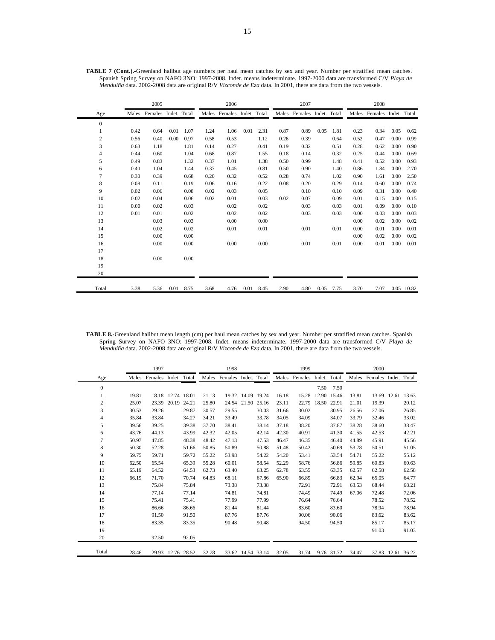|              |      | 2005                       |      |      |      | 2006                       |      |           |      | 2007                       |      |      |      | 2008                       |      |            |
|--------------|------|----------------------------|------|------|------|----------------------------|------|-----------|------|----------------------------|------|------|------|----------------------------|------|------------|
| Age          |      | Males Females Indet. Total |      |      |      | Males Females Indet. Total |      |           |      | Males Females Indet. Total |      |      |      | Males Females Indet. Total |      |            |
| $\mathbf{0}$ |      |                            |      |      |      |                            |      |           |      |                            |      |      |      |                            |      |            |
| 1            | 0.42 | 0.64                       | 0.01 | 1.07 | 1.24 | 1.06                       | 0.01 | 2.31      | 0.87 | 0.89                       | 0.05 | 1.81 | 0.23 | 0.34                       | 0.05 | 0.62       |
| 2            | 0.56 | 0.40                       | 0.00 | 0.97 | 0.58 | 0.53                       |      | 1.12      | 0.26 | 0.39                       |      | 0.64 | 0.52 | 0.47                       | 0.00 | 0.99       |
| 3            | 0.63 | 1.18                       |      | 1.81 | 0.14 | 0.27                       |      | 0.41      | 0.19 | 0.32                       |      | 0.51 | 0.28 | 0.62                       | 0.00 | 0.90       |
| 4            | 0.44 | 0.60                       |      | 1.04 | 0.68 | 0.87                       |      | 1.55      | 0.18 | 0.14                       |      | 0.32 | 0.25 | 0.44                       | 0.00 | 0.69       |
| 5            | 0.49 | 0.83                       |      | 1.32 | 0.37 | 1.01                       |      | 1.38      | 0.50 | 0.99                       |      | 1.48 | 0.41 | 0.52                       | 0.00 | 0.93       |
| 6            | 0.40 | 1.04                       |      | 1.44 | 0.37 | 0.45                       |      | 0.81      | 0.50 | 0.90                       |      | 1.40 | 0.86 | 1.84                       | 0.00 | 2.70       |
| 7            | 0.30 | 0.39                       |      | 0.68 | 0.20 | 0.32                       |      | 0.52      | 0.28 | 0.74                       |      | 1.02 | 0.90 | 1.61                       | 0.00 | 2.50       |
| 8            | 0.08 | 0.11                       |      | 0.19 | 0.06 | 0.16                       |      | 0.22      | 0.08 | 0.20                       |      | 0.29 | 0.14 | 0.60                       | 0.00 | 0.74       |
| 9            | 0.02 | 0.06                       |      | 0.08 | 0.02 | 0.03                       |      | 0.05      |      | 0.10                       |      | 0.10 | 0.09 | 0.31                       | 0.00 | 0.40       |
| 10           | 0.02 | 0.04                       |      | 0.06 | 0.02 | 0.01                       |      | 0.03      | 0.02 | 0.07                       |      | 0.09 | 0.01 | 0.15                       | 0.00 | 0.15       |
| 11           | 0.00 | 0.02                       |      | 0.03 |      | 0.02                       |      | 0.02      |      | 0.03                       |      | 0.03 | 0.01 | 0.09                       | 0.00 | 0.10       |
| 12           | 0.01 | 0.01                       |      | 0.02 |      | 0.02                       |      | 0.02      |      | 0.03                       |      | 0.03 | 0.00 | 0.03                       | 0.00 | 0.03       |
| 13           |      | 0.03                       |      | 0.03 |      | 0.00                       |      | 0.00      |      |                            |      |      | 0.00 | 0.02                       | 0.00 | 0.02       |
| 14           |      | 0.02                       |      | 0.02 |      | 0.01                       |      | 0.01      |      | 0.01                       |      | 0.01 | 0.00 | 0.01                       | 0.00 | 0.01       |
| 15           |      | 0.00                       |      | 0.00 |      |                            |      |           |      |                            |      |      | 0.00 | 0.02                       | 0.00 | 0.02       |
| 16           |      | 0.00                       |      | 0.00 |      | 0.00                       |      | 0.00      |      | 0.01                       |      | 0.01 | 0.00 | 0.01                       | 0.00 | 0.01       |
| 17           |      |                            |      |      |      |                            |      |           |      |                            |      |      |      |                            |      |            |
| 18           |      | 0.00                       |      | 0.00 |      |                            |      |           |      |                            |      |      |      |                            |      |            |
| 19           |      |                            |      |      |      |                            |      |           |      |                            |      |      |      |                            |      |            |
| 20           |      |                            |      |      |      |                            |      |           |      |                            |      |      |      |                            |      |            |
| Total        | 3.38 | 5.36                       | 0.01 | 8.75 | 3.68 | 4.76                       |      | 0.01 8.45 | 2.90 | 4.80                       | 0.05 | 7.75 | 3.70 | 7.07                       |      | 0.05 10.82 |

**TABLE 7 (Cont.).-**Greenland halibut age numbers per haul mean catches by sex and year. Number per stratified mean catches. Spanish Spring Survey on NAFO 3NO: 1997-2008. Indet. means indeterminate. 1997-2000 data are transformed C/V *Playa de Menduíña* data. 2002-2008 data are original R/V *Vizconde de Eza* data. In 2001, there are data from the two vessels.

**TABLE 8.-**Greenland halibut mean length (cm) per haul mean catches by sex and year. Number per stratified mean catches. Spanish Spring Survey on NAFO 3NO: 1997-2008. Indet. means indeterminate. 1997-2000 data are transformed C/V *Playa de Menduíña* data. 2002-2008 data are original R/V *Vizconde de Eza* data. In 2001, there are data from the two vessels.

|                |       | 1997                       |                   |       | 1998  |                            |                   |       | 1999  |                            |             |             | 2000  |                      |             |             |
|----------------|-------|----------------------------|-------------------|-------|-------|----------------------------|-------------------|-------|-------|----------------------------|-------------|-------------|-------|----------------------|-------------|-------------|
| Age            |       | Males Females Indet. Total |                   |       |       | Males Females Indet. Total |                   |       |       | Males Females Indet. Total |             |             | Males | Females Indet. Total |             |             |
| $\mathbf{0}$   |       |                            |                   |       |       |                            |                   |       |       |                            | 7.50        | 7.50        |       |                      |             |             |
|                | 19.81 |                            | 18.18 12.74 18.01 |       | 21.13 |                            | 19.32 14.09 19.24 |       | 16.18 | 15.28                      |             | 12.90 15.46 | 13.81 | 13.69                |             | 12.61 13.63 |
| $\overline{c}$ | 25.07 |                            | 23.39 20.19       | 24.21 | 25.80 |                            | 24.54 21.50       | 25.16 | 23.11 | 22.79                      | 18.50 22.91 |             | 21.01 | 19.39                |             | 20.12       |
| 3              | 30.53 | 29.26                      |                   | 29.87 | 30.57 | 29.55                      |                   | 30.03 | 31.66 | 30.02                      |             | 30.95       | 26.56 | 27.06                |             | 26.85       |
| $\overline{4}$ | 35.84 | 33.84                      |                   | 34.27 | 34.21 | 33.49                      |                   | 33.78 | 34.05 | 34.09                      |             | 34.07       | 33.79 | 32.46                |             | 33.02       |
| 5              | 39.56 | 39.25                      |                   | 39.38 | 37.70 | 38.41                      |                   | 38.14 | 37.18 | 38.20                      |             | 37.87       | 38.28 | 38.60                |             | 38.47       |
| 6              | 43.76 | 44.13                      |                   | 43.99 | 42.32 | 42.05                      |                   | 42.14 | 42.30 | 40.91                      |             | 41.30       | 41.55 | 42.53                |             | 42.21       |
| 7              | 50.97 | 47.85                      |                   | 48.38 | 48.42 | 47.13                      |                   | 47.53 | 46.47 | 46.35                      |             | 46.40       | 44.89 | 45.91                |             | 45.56       |
| 8              | 50.30 | 52.28                      |                   | 51.66 | 50.85 | 50.89                      |                   | 50.88 | 51.48 | 50.42                      |             | 50.69       | 53.78 | 50.51                |             | 51.05       |
| 9              | 59.75 | 59.71                      |                   | 59.72 | 55.22 | 53.98                      |                   | 54.22 | 54.20 | 53.41                      |             | 53.54       | 54.71 | 55.22                |             | 55.12       |
| 10             | 62.50 | 65.54                      |                   | 65.39 | 55.28 | 60.01                      |                   | 58.54 | 52.29 | 58.76                      |             | 56.86       | 59.85 | 60.83                |             | 60.63       |
| 11             | 65.19 | 64.52                      |                   | 64.53 | 62.73 | 63.40                      |                   | 63.25 | 62.78 | 63.55                      |             | 63.35       | 62.57 | 62.58                |             | 62.58       |
| 12             | 66.19 | 71.70                      |                   | 70.74 | 64.83 | 68.11                      |                   | 67.86 | 65.90 | 66.89                      |             | 66.83       | 62.94 | 65.05                |             | 64.77       |
| 13             |       | 75.84                      |                   | 75.84 |       | 73.38                      |                   | 73.38 |       | 72.91                      |             | 72.91       | 63.53 | 68.44                |             | 68.21       |
| 14             |       | 77.14                      |                   | 77.14 |       | 74.81                      |                   | 74.81 |       | 74.49                      |             | 74.49       | 67.06 | 72.48                |             | 72.06       |
| 15             |       | 75.41                      |                   | 75.41 |       | 77.99                      |                   | 77.99 |       | 76.64                      |             | 76.64       |       | 78.52                |             | 78.52       |
| 16             |       | 86.66                      |                   | 86.66 |       | 81.44                      |                   | 81.44 |       | 83.60                      |             | 83.60       |       | 78.94                |             | 78.94       |
| 17             |       | 91.50                      |                   | 91.50 |       | 87.76                      |                   | 87.76 |       | 90.06                      |             | 90.06       |       | 83.62                |             | 83.62       |
| 18             |       | 83.35                      |                   | 83.35 |       | 90.48                      |                   | 90.48 |       | 94.50                      |             | 94.50       |       | 85.17                |             | 85.17       |
| 19             |       |                            |                   |       |       |                            |                   |       |       |                            |             |             |       | 91.03                |             | 91.03       |
| 20             |       | 92.50                      |                   | 92.05 |       |                            |                   |       |       |                            |             |             |       |                      |             |             |
| Total          | 28.46 |                            | 29.93 12.76 28.52 |       | 32.78 |                            | 33.62 14.54 33.14 |       | 32.05 | 31.74                      |             | 9.76 31.72  | 34.47 | 37.83                | 12.61 36.22 |             |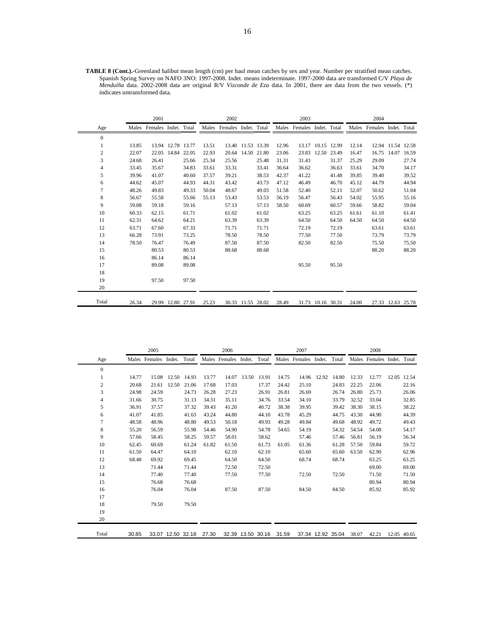**TABLE 8 (Cont.).-**Greenland halibut mean length (cm) per haul mean catches by sex and year. Number per stratified mean catches. Spanish Spring Survey on NAFO 3NO: 1997-2008. Indet. means indeterminate. 1997-2000 data are transformed C/V *Playa de Menduíña* data. 2002-2008 data are original R/V *Vizconde de Eza* data. In 2001, there are data from the two vessels. (\*) indicates untransformed data.

|                |       | 2001                       |                   |       |       | 2002                       |                   |       |       | 2003                       |             |       |       | 2004                       |                   |       |
|----------------|-------|----------------------------|-------------------|-------|-------|----------------------------|-------------------|-------|-------|----------------------------|-------------|-------|-------|----------------------------|-------------------|-------|
| Age            |       | Males Females Indet. Total |                   |       |       | Males Females Indet. Total |                   |       |       | Males Females Indet. Total |             |       |       | Males Females Indet. Total |                   |       |
| $\mathbf{0}$   |       |                            |                   |       |       |                            |                   |       |       |                            |             |       |       |                            |                   |       |
| 1              | 13.85 |                            | 13.94 12.78 13.77 |       | 13.51 |                            | 13.40 11.53 13.39 |       | 12.96 | 13.17                      | 10.15 12.99 |       | 12.14 | 12.94                      | 11.54 12.58       |       |
| $\overline{c}$ | 22.07 | 22.05                      | 14.84 22.05       |       | 22.93 |                            | 20.64 14.50 21.80 |       | 23.06 | 23.83                      | 12.50 23.49 |       | 16.47 | 16.75                      | 14.07             | 16.59 |
| 3              | 24.68 | 26.41                      |                   | 25.66 | 25.34 | 25.56                      |                   | 25.48 | 31.31 | 31.43                      |             | 31.37 | 25.29 | 29.09                      |                   | 27.74 |
| $\overline{4}$ | 33.45 | 35.67                      |                   | 34.83 | 33.61 | 33.31                      |                   | 33.41 | 36.64 | 36.62                      |             | 36.63 | 33.61 | 34.70                      |                   | 34.17 |
| 5              | 39.96 | 41.07                      |                   | 40.60 | 37.57 | 39.21                      |                   | 38.53 | 42.37 | 41.22                      |             | 41.48 | 39.85 | 39.40                      |                   | 39.52 |
| 6              | 44.62 | 45.07                      |                   | 44.93 | 44.31 | 43.42                      |                   | 43.73 | 47.12 | 46.49                      |             | 46.70 | 45.12 | 44.79                      |                   | 44.94 |
| $\overline{7}$ | 48.26 | 49.83                      |                   | 49.33 | 50.04 | 48.67                      |                   | 49.03 | 51.58 | 52.40                      |             | 52.11 | 52.07 | 50.62                      |                   | 51.04 |
| 8              | 56.67 | 55.58                      |                   | 55.66 | 55.13 | 53.43                      |                   | 53.53 | 56.19 | 56.47                      |             | 56.43 | 54.02 | 55.95                      |                   | 55.16 |
| 9              | 59.08 | 59.18                      |                   | 59.16 |       | 57.13                      |                   | 57.13 | 58.50 | 60.69                      |             | 60.57 | 59.66 | 58.82                      |                   | 59.04 |
| 10             | 60.33 | 62.15                      |                   | 61.71 |       | 61.02                      |                   | 61.02 |       | 63.25                      |             | 63.25 | 61.61 | 61.10                      |                   | 61.41 |
| 11             | 62.31 | 64.62                      |                   | 64.21 |       | 63.39                      |                   | 63.39 |       | 64.50                      |             | 64.50 | 64.50 | 64.50                      |                   | 64.50 |
| 12             | 63.71 | 67.60                      |                   | 67.33 |       | 71.71                      |                   | 71.71 |       | 72.19                      |             | 72.19 |       | 63.61                      |                   | 63.61 |
| 13             | 66.28 | 73.91                      |                   | 73.25 |       | 78.50                      |                   | 78.50 |       | 77.50                      |             | 77.50 |       | 73.79                      |                   | 73.79 |
| 14             | 78.50 | 76.47                      |                   | 76.49 |       | 87.50                      |                   | 87.50 |       | 82.50                      |             | 82.50 |       | 75.50                      |                   | 75.50 |
| 15             |       | 80.53                      |                   | 80.53 |       | 88.68                      |                   | 88.68 |       |                            |             |       |       | 88.20                      |                   | 88.20 |
| 16             |       | 86.14                      |                   | 86.14 |       |                            |                   |       |       |                            |             |       |       |                            |                   |       |
| 17             |       | 89.08                      |                   | 89.08 |       |                            |                   |       |       | 95.50                      |             | 95.50 |       |                            |                   |       |
| 18             |       |                            |                   |       |       |                            |                   |       |       |                            |             |       |       |                            |                   |       |
| 19             |       | 97.50                      |                   | 97.50 |       |                            |                   |       |       |                            |             |       |       |                            |                   |       |
| 20             |       |                            |                   |       |       |                            |                   |       |       |                            |             |       |       |                            |                   |       |
| Total          | 26.34 |                            | 29.99 12.80 27.91 |       | 25.23 |                            | 30.33 11.55 28.02 |       | 28.49 | 31.73                      | 10.16 30.31 |       | 24.00 |                            | 27.33 12.63 25.78 |       |

|              |       | 2005          |                   |             |       | 2006                 |       |                   |       | 2007                 |                   |       |       | 2008                       |             |             |
|--------------|-------|---------------|-------------------|-------------|-------|----------------------|-------|-------------------|-------|----------------------|-------------------|-------|-------|----------------------------|-------------|-------------|
| Age          |       | Males Females | Indet.            | Total       |       | Males Females Indet. |       | Total             |       | Males Females Indet. |                   | Total |       | Males Females Indet. Total |             |             |
| $\mathbf{0}$ |       |               |                   |             |       |                      |       |                   |       |                      |                   |       |       |                            |             |             |
| 1            | 14.77 | 15.08         |                   | 12.50 14.93 | 13.77 | 14.07                | 13.50 | 13.91             | 14.75 | 14.96                | 12.92             | 14.80 | 12.33 | 12.77                      |             | 12.05 12.54 |
| 2            | 20.68 | 21.61         | 12.50             | 21.06       | 17.68 | 17.03                |       | 17.37             | 24.42 | 25.10                |                   | 24.83 | 22.25 | 22.06                      |             | 22.16       |
| 3            | 24.98 | 24.59         |                   | 24.73       | 26.28 | 27.23                |       | 26.91             | 26.81 | 26.69                |                   | 26.74 | 26.80 | 25.73                      |             | 26.06       |
| 4            | 31.66 | 30.75         |                   | 31.13       | 34.31 | 35.11                |       | 34.76             | 33.54 | 34.10                |                   | 33.79 | 32.52 | 33.04                      |             | 32.85       |
| 5            | 36.91 | 37.57         |                   | 37.32       | 39.43 | 41.20                |       | 40.72             | 38.38 | 39.95                |                   | 39.42 | 38.30 | 38.15                      |             | 38.22       |
| 6            | 41.07 | 41.85         |                   | 41.63       | 43.24 | 44.80                |       | 44.10             | 43.78 | 45.29                |                   | 44.75 | 43.30 | 44.90                      |             | 44.39       |
| 7            | 48.58 | 48.96         |                   | 48.80       | 49.53 | 50.18                |       | 49.93             | 49.28 | 49.84                |                   | 49.68 | 48.92 | 49.72                      |             | 49.43       |
| 8            | 55.20 | 56.59         |                   | 55.98       | 54.46 | 54.90                |       | 54.78             | 54.65 | 54.19                |                   | 54.32 | 54.54 | 54.08                      |             | 54.17       |
| 9            | 57.66 | 58.45         |                   | 58.25       | 59.57 | 58.01                |       | 58.62             |       | 57.46                |                   | 57.46 | 56.81 | 56.19                      |             | 56.34       |
| 10           | 62.45 | 60.69         |                   | 61.24       | 61.82 | 61.50                |       | 61.73             | 61.05 | 61.36                |                   | 61.28 | 57.50 | 59.84                      |             | 59.72       |
| 11           | 61.50 | 64.47         |                   | 64.10       |       | 62.10                |       | 62.10             |       | 65.60                |                   | 65.60 | 63.50 | 62.90                      |             | 62.96       |
| 12           | 68.48 | 69.92         |                   | 69.45       |       | 64.50                |       | 64.50             |       | 68.74                |                   | 68.74 |       | 63.25                      |             | 63.25       |
| 13           |       | 71.44         |                   | 71.44       |       | 72.50                |       | 72.50             |       |                      |                   |       |       | 69.00                      |             | 69.00       |
| 14           |       | 77.40         |                   | 77.40       |       | 77.50                |       | 77.50             |       | 72.50                |                   | 72.50 |       | 71.50                      |             | 71.50       |
| 15           |       | 76.68         |                   | 76.68       |       |                      |       |                   |       |                      |                   |       |       | 80.94                      |             | 80.94       |
| 16           |       | 76.04         |                   | 76.04       |       | 87.50                |       | 87.50             |       | 84.50                |                   | 84.50 |       | 85.92                      |             | 85.92       |
| 17           |       |               |                   |             |       |                      |       |                   |       |                      |                   |       |       |                            |             |             |
| 18           |       | 79.50         |                   | 79.50       |       |                      |       |                   |       |                      |                   |       |       |                            |             |             |
| 19           |       |               |                   |             |       |                      |       |                   |       |                      |                   |       |       |                            |             |             |
| 20           |       |               |                   |             |       |                      |       |                   |       |                      |                   |       |       |                            |             |             |
| Total        | 30.85 |               | 33.07 12.50 32.18 |             | 27.30 |                      |       | 32.39 13.50 30.16 | 31.59 |                      | 37.34 12.92 35.04 |       | 38.07 | 42.21                      | 12.05 40.65 |             |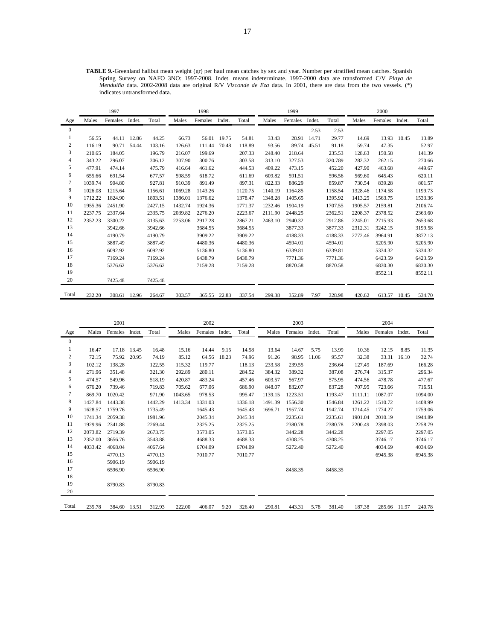**TABLE 9.-**Greenland halibut mean weight (gr) per haul mean catches by sex and year. Number per stratified mean catches. Spanish Spring Survey on NAFO 3NO: 1997-2008. Indet. means indeterminate. 1997-2000 data are transformed C/V *Playa de Menduíña* data. 2002-2008 data are original R/V *Vizconde de Eza* data. In 2001, there are data from the two vessels. (\*) indicates untransformed data.

|                |         | 1997    |              |         |         | 1998         |        |         |         | 1999    |        |         |         | 2000    |        |         |
|----------------|---------|---------|--------------|---------|---------|--------------|--------|---------|---------|---------|--------|---------|---------|---------|--------|---------|
| Age            | Males   | Females | Indet.       | Total   | Males   | Females      | Indet. | Total   | Males   | Females | Indet. | Total   | Males   | Females | Indet. | Total   |
| $\overline{0}$ |         |         |              |         |         |              |        |         |         |         | 2.53   | 2.53    |         |         |        |         |
| 1              | 56.55   | 44.11   | 12.86        | 44.25   | 66.73   | 56.01        | 19.75  | 54.81   | 33.43   | 28.91   | 14.71  | 29.77   | 14.69   | 13.93   | 10.45  | 13.89   |
| 2              | 116.19  | 90.71   | 54.44        | 103.16  | 126.63  | 111.44       | 70.48  | 118.89  | 93.56   | 89.74   | 45.51  | 91.18   | 59.74   | 47.35   |        | 52.97   |
| 3              | 210.65  | 184.05  |              | 196.79  | 216.07  | 199.69       |        | 207.33  | 248.40  | 218.64  |        | 235.53  | 128.63  | 150.58  |        | 141.39  |
| 4              | 343.22  | 296.07  |              | 306.12  | 307.90  | 300.76       |        | 303.58  | 313.10  | 327.53  |        | 320.789 | 282.32  | 262.15  |        | 270.66  |
| 5              | 477.91  | 474.14  |              | 475.79  | 416.64  | 461.62       |        | 444.53  | 409.22  | 473.15  |        | 452.20  | 427.90  | 463.68  |        | 449.67  |
| 6              | 655.66  | 691.54  |              | 677.57  | 598.59  | 618.72       |        | 611.69  | 609.82  | 591.51  |        | 596.56  | 569.60  | 645.43  |        | 620.11  |
| 7              | 1039.74 | 904.80  |              | 927.81  | 910.39  | 891.49       |        | 897.31  | 822.33  | 886.29  |        | 859.87  | 730.54  | 839.28  |        | 801.57  |
| 8              | 1026.08 | 1215.64 |              | 1156.61 | 1069.28 | 1143.26      |        | 1120.75 | 1140.19 | 1164.85 |        | 1158.54 | 1328.46 | 1174.58 |        | 1199.73 |
| 9              | 1712.22 | 1824.90 |              | 1803.51 | 1386.01 | 1376.62      |        | 1378.47 | 1348.28 | 1405.65 |        | 1395.92 | 1413.25 | 1563.75 |        | 1533.36 |
| 10             | 1955.36 | 2451.90 |              | 2427.15 | 1432.74 | 1924.36      |        | 1771.37 | 1232.46 | 1904.19 |        | 1707.55 | 1905.57 | 2159.81 |        | 2106.74 |
| 11             | 2237.75 | 2337.64 |              | 2335.75 | 2039.82 | 2276.20      |        | 2223.67 | 2111.90 | 2448.25 |        | 2362.51 | 2208.37 | 2378.52 |        | 2363.60 |
| 12             | 2352.23 | 3300.22 |              | 3135.63 | 2253.06 | 2917.28      |        | 2867.21 | 2463.10 | 2940.32 |        | 2912.86 | 2245.01 | 2715.93 |        | 2653.68 |
| 13             |         | 3942.66 |              | 3942.66 |         | 3684.55      |        | 3684.55 |         | 3877.33 |        | 3877.33 | 2312.31 | 3242.15 |        | 3199.58 |
| 14             |         | 4190.79 |              | 4190.79 |         | 3909.22      |        | 3909.22 |         | 4188.33 |        | 4188.33 | 2772.46 | 3964.91 |        | 3872.13 |
| 15             |         | 3887.49 |              | 3887.49 |         | 4480.36      |        | 4480.36 |         | 4594.01 |        | 4594.01 |         | 5205.90 |        | 5205.90 |
| 16             |         | 6092.92 |              | 6092.92 |         | 5136.80      |        | 5136.80 |         | 6339.81 |        | 6339.81 |         | 5334.32 |        | 5334.32 |
| 17             |         | 7169.24 |              | 7169.24 |         | 6438.79      |        | 6438.79 |         | 7771.36 |        | 7771.36 |         | 6423.59 |        | 6423.59 |
| 18             |         | 5376.62 |              | 5376.62 |         | 7159.28      |        | 7159.28 |         | 8870.58 |        | 8870.58 |         | 6830.30 |        | 6830.30 |
| 19             |         |         |              |         |         |              |        |         |         |         |        |         |         | 8552.11 |        | 8552.11 |
| 20             |         | 7425.48 |              | 7425.48 |         |              |        |         |         |         |        |         |         |         |        |         |
| Total          | 232.20  |         | 308.61 12.96 | 264.67  | 303.57  | 365.55 22.83 |        | 337.54  | 299.38  | 352.89  | 7.97   | 328.98  | 420.62  | 613.57  | 10.45  | 534.70  |

|              |         | 2001           |             |         |         | 2002           |       |         |         | 2003    |        |         |         | 2004           |       |         |
|--------------|---------|----------------|-------------|---------|---------|----------------|-------|---------|---------|---------|--------|---------|---------|----------------|-------|---------|
| Age          | Males   | Females Indet. |             | Total   | Males   | Females Indet. |       | Total   | Males   | Females | Indet. | Total   | Males   | Females Indet. |       | Total   |
| $\mathbf{0}$ |         |                |             |         |         |                |       |         |         |         |        |         |         |                |       |         |
| 1            | 16.47   |                | 17.18 13.45 | 16.48   | 15.16   | 14.44          | 9.15  | 14.58   | 13.64   | 14.67   | 5.75   | 13.99   | 10.36   | 12.15          | 8.85  | 11.35   |
| 2            | 72.15   | 75.92          | 20.95       | 74.19   | 85.12   | 64.56          | 18.23 | 74.96   | 91.26   | 98.95   | 11.06  | 95.57   | 32.38   | 33.31          | 16.10 | 32.74   |
| 3            | 102.12  | 138.28         |             | 122.55  | 115.32  | 119.77         |       | 118.13  | 233.58  | 239.55  |        | 236.64  | 127.49  | 187.69         |       | 166.28  |
| 4            | 271.96  | 351.48         |             | 321.30  | 292.89  | 280.11         |       | 284.52  | 384.32  | 389.32  |        | 387.08  | 276.74  | 315.37         |       | 296.34  |
| 5            | 474.57  | 549.96         |             | 518.19  | 420.87  | 483.24         |       | 457.46  | 603.57  | 567.97  |        | 575.95  | 474.56  | 478.78         |       | 477.67  |
| 6            | 676.20  | 739.46         |             | 719.83  | 705.62  | 677.06         |       | 686.90  | 848.07  | 832.07  |        | 837.28  | 707.95  | 723.66         |       | 716.51  |
| 7            | 869.70  | 1020.42        |             | 971.90  | 1043.65 | 978.53         |       | 995.47  | 1139.15 | 1223.51 |        | 1193.47 | 1111.11 | 1087.07        |       | 1094.00 |
| 8            | 1427.84 | 1443.38        |             | 1442.29 | 1413.34 | 1331.03        |       | 1336.18 | 1491.39 | 1556.30 |        | 1546.84 | 1261.22 | 1510.72        |       | 1408.99 |
| 9            | 1628.57 | 1759.76        |             | 1735.49 |         | 1645.43        |       | 1645.43 | 1696.71 | 1957.74 |        | 1942.74 | 1714.45 | 1774.27        |       | 1759.06 |
| 10           | 1741.34 | 2059.38        |             | 1981.96 |         | 2045.34        |       | 2045.34 |         | 2235.61 |        | 2235.61 | 1901.04 | 2010.19        |       | 1944.89 |
| 11           | 1929.96 | 2341.88        |             | 2269.44 |         | 2325.25        |       | 2325.25 |         | 2380.78 |        | 2380.78 | 2200.49 | 2398.03        |       | 2258.79 |
| 12           | 2073.82 | 2719.39        |             | 2673.75 |         | 3573.05        |       | 3573.05 |         | 3442.28 |        | 3442.28 |         | 2297.05        |       | 2297.05 |
| 13           | 2352.00 | 3656.76        |             | 3543.88 |         | 4688.33        |       | 4688.33 |         | 4308.25 |        | 4308.25 |         | 3746.17        |       | 3746.17 |
| 14           | 4033.42 | 4068.04        |             | 4067.64 |         | 6704.09        |       | 6704.09 |         | 5272.40 |        | 5272.40 |         | 4034.69        |       | 4034.69 |
| 15           |         | 4770.13        |             | 4770.13 |         | 7010.77        |       | 7010.77 |         |         |        |         |         | 6945.38        |       | 6945.38 |
| 16           |         | 5906.19        |             | 5906.19 |         |                |       |         |         |         |        |         |         |                |       |         |
| 17           |         | 6596.90        |             | 6596.90 |         |                |       |         |         | 8458.35 |        | 8458.35 |         |                |       |         |
| 18           |         |                |             |         |         |                |       |         |         |         |        |         |         |                |       |         |
| 19           |         | 8790.83        |             | 8790.83 |         |                |       |         |         |         |        |         |         |                |       |         |
| 20           |         |                |             |         |         |                |       |         |         |         |        |         |         |                |       |         |
| Total        | 235.78  | 384.60 13.51   |             | 312.93  | 222.00  | 406.07         | 9.20  | 326.40  | 290.81  | 443.31  | 5.78   | 381.40  | 187.38  | 285.66 11.97   |       | 240.78  |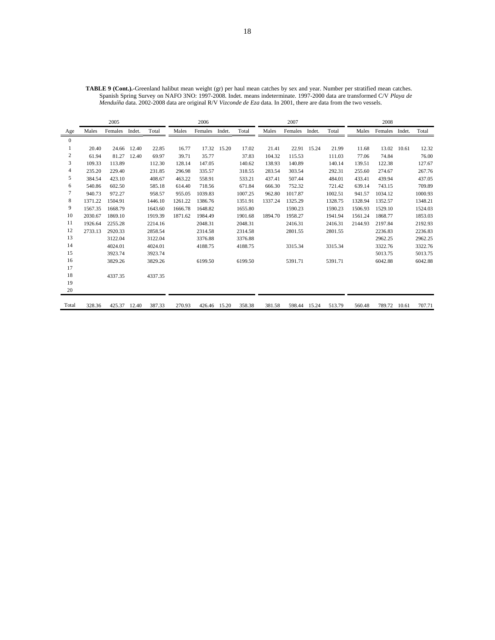| <b>TABLE 9 (Cont.).-Greenland halibut mean weight (gr) per haul mean catches by sex and year. Number per stratified mean catches.</b> |
|---------------------------------------------------------------------------------------------------------------------------------------|
| Spanish Spring Survey on NAFO 3NO: 1997-2008. Indet. means indeterminate. 1997-2000 data are transformed C/V Playa de                 |
| <i>Menduíña</i> data. 2002-2008 data are original R/V Vizconde de Eza data. In 2001, there are data from the two vessels.             |

|                |         | 2005    |        |         |         | 2006           |             |         |         | 2007    |             |         |         | 2008           |       |         |
|----------------|---------|---------|--------|---------|---------|----------------|-------------|---------|---------|---------|-------------|---------|---------|----------------|-------|---------|
| Age            | Males   | Females | Indet. | Total   | Males   | Females Indet. |             | Total   | Males   | Females | Indet.      | Total   | Males   | Females Indet. |       | Total   |
| $\overline{0}$ |         |         |        |         |         |                |             |         |         |         |             |         |         |                |       |         |
| 1              | 20.40   | 24.66   | 12.40  | 22.85   | 16.77   |                | 17.32 15.20 | 17.02   | 21.41   |         | 22.91 15.24 | 21.99   | 11.68   | 13.02          | 10.61 | 12.32   |
| 2              | 61.94   | 81.27   | 12.40  | 69.97   | 39.71   | 35.77          |             | 37.83   | 104.32  | 115.53  |             | 111.03  | 77.06   | 74.84          |       | 76.00   |
| 3              | 109.33  | 113.89  |        | 112.30  | 128.14  | 147.05         |             | 140.62  | 138.93  | 140.89  |             | 140.14  | 139.51  | 122.38         |       | 127.67  |
| 4              | 235.20  | 229.40  |        | 231.85  | 296.98  | 335.57         |             | 318.55  | 283.54  | 303.54  |             | 292.31  | 255.60  | 274.67         |       | 267.76  |
| 5              | 384.54  | 423.10  |        | 408.67  | 463.22  | 558.91         |             | 533.21  | 437.41  | 507.44  |             | 484.01  | 433.41  | 439.94         |       | 437.05  |
| 6              | 540.86  | 602.50  |        | 585.18  | 614.40  | 718.56         |             | 671.84  | 666.30  | 752.32  |             | 721.42  | 639.14  | 743.15         |       | 709.89  |
| 7              | 940.73  | 972.27  |        | 958.57  | 955.05  | 1039.83        |             | 1007.25 | 962.80  | 1017.87 |             | 1002.51 | 941.57  | 1034.12        |       | 1000.93 |
| 8              | 1371.22 | 1504.91 |        | 1446.10 | 1261.22 | 1386.76        |             | 1351.91 | 1337.24 | 1325.29 |             | 1328.75 | 1328.94 | 1352.57        |       | 1348.21 |
| 9              | 1567.35 | 1668.79 |        | 1643.60 | 1666.78 | 1648.82        |             | 1655.80 |         | 1590.23 |             | 1590.23 | 1506.93 | 1529.10        |       | 1524.03 |
| 10             | 2030.67 | 1869.10 |        | 1919.39 | 1871.62 | 1984.49        |             | 1901.68 | 1894.70 | 1958.27 |             | 1941.94 | 1561.24 | 1868.77        |       | 1853.03 |
| 11             | 1926.64 | 2255.28 |        | 2214.16 |         | 2048.31        |             | 2048.31 |         | 2416.31 |             | 2416.31 | 2144.93 | 2197.84        |       | 2192.93 |
| 12             | 2733.13 | 2920.33 |        | 2858.54 |         | 2314.58        |             | 2314.58 |         | 2801.55 |             | 2801.55 |         | 2236.83        |       | 2236.83 |
| 13             |         | 3122.04 |        | 3122.04 |         | 3376.88        |             | 3376.88 |         |         |             |         |         | 2962.25        |       | 2962.25 |
| 14             |         | 4024.01 |        | 4024.01 |         | 4188.75        |             | 4188.75 |         | 3315.34 |             | 3315.34 |         | 3322.76        |       | 3322.76 |
| 15             |         | 3923.74 |        | 3923.74 |         |                |             |         |         |         |             |         |         | 5013.75        |       | 5013.75 |
| 16             |         | 3829.26 |        | 3829.26 |         | 6199.50        |             | 6199.50 |         | 5391.71 |             | 5391.71 |         | 6042.88        |       | 6042.88 |
| 17             |         |         |        |         |         |                |             |         |         |         |             |         |         |                |       |         |
| 18             |         | 4337.35 |        | 4337.35 |         |                |             |         |         |         |             |         |         |                |       |         |
| 19             |         |         |        |         |         |                |             |         |         |         |             |         |         |                |       |         |
| 20             |         |         |        |         |         |                |             |         |         |         |             |         |         |                |       |         |
| Total          | 328.36  | 425.37  | 12.40  | 387.33  | 270.93  | 426.46         | 15.20       | 358.38  | 381.58  | 598.44  | 15.24       | 513.79  | 560.48  | 789.72         | 10.61 | 707.71  |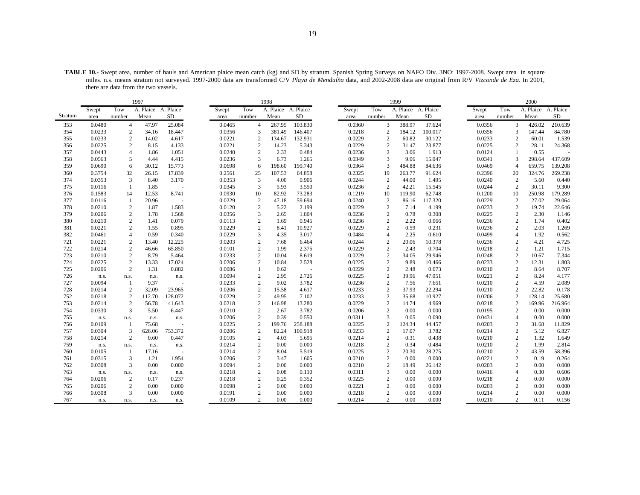**TABLE 10.-** Swept area, number of hauls and American plaice mean catch (kg) and SD by stratum. Spanish Spring Surveys on NAFO Div. 3NO: 1997-2008. Swept area in square miles. n.s. means stratum not surveyed. 1997-2000 data are transformed C/V *Playa de Menduíña* data, and 2002-2008 data are original from R/V *Vizconde de Eza*. In 2001, there are data from the two vessels.

|         |        |                | 1997                |                |        |                  | 1998      |           |       |        |                | 1999                |           |        |                | 2000      |           |
|---------|--------|----------------|---------------------|----------------|--------|------------------|-----------|-----------|-------|--------|----------------|---------------------|-----------|--------|----------------|-----------|-----------|
|         | Swept  | Tow            | A. Plaice A. Plaice |                | Swept  | Tow              | A. Plaice | A. Plaice | Swept |        | Tow            | A. Plaice A. Plaice |           | Swept  | Tow            | A. Plaice | A. Plaice |
| Stratum | area   | number         | Mean                | <b>SD</b>      | area   | number           | Mean      | <b>SD</b> | area  |        | number         | Mean                | <b>SD</b> | area   | number         | Mean      | <b>SD</b> |
| 353     | 0.0480 | $\overline{4}$ | 47.97               | 25.084         | 0.0465 | $\overline{4}$   | 267.95    | 103.830   |       | 0.0360 | 3              | 388.97              | 37.624    | 0.0356 | 3              | 426.02    | 210.639   |
| 354     | 0.0233 | $\mathbf{2}$   | 34.16               | 18.447         | 0.0356 | 3                | 381.49    | 146.407   |       | 0.0218 | $\overline{2}$ | 184.12              | 100.017   | 0.0356 | 3              | 147.44    | 84.780    |
| 355     | 0.0233 | $\mathbf{2}$   | 14.02               | 4.617          | 0.0221 | $\mathbf{2}$     | 134.67    | 132.931   |       | 0.0229 | $\overline{2}$ | 60.82               | 30.122    | 0.0233 | $\overline{2}$ | 60.01     | 1.539     |
| 356     | 0.0225 | 2              | 8.15                | 4.133          | 0.0221 | $\overline{c}$   | 14.23     | 5.343     |       | 0.0229 | 2              | 31.47               | 23.877    | 0.0225 | $\overline{c}$ | 28.11     | 24.368    |
| 357     | 0.0443 | $\overline{4}$ | 1.86                | 1.051          | 0.0240 | $\overline{c}$   | 2.33      | 0.484     |       | 0.0236 | 2              | 3.06                | 1.913     | 0.0124 | $\overline{1}$ | 0.55      |           |
| 358     | 0.0563 | 5              | 4.44                | 4.415          | 0.0236 | 3                | 6.73      | 1.265     |       | 0.0349 | 3              | 9.06                | 15.047    | 0.0341 | 3              | 298.64    | 437.609   |
| 359     | 0.0690 | 6              | 30.12               | 15.773         | 0.0698 | 6                | 198.60    | 199.740   |       | 0.0364 | 3              | 484.88              | 84.636    | 0.0469 | $\overline{4}$ | 659.75    | 139.208   |
| 360     | 0.3754 | 32             | 26.15               | 17.839         | 0.2561 | 25               | 107.53    | 64.858    |       | 0.2325 | 19             | 263.77              | 91.624    | 0.2396 | 20             | 324.76    | 269.238   |
| 374     | 0.0353 | 3              | 8.40                | 3.170          | 0.0353 | 3                | 4.00      | 0.906     |       | 0.0244 | $\overline{c}$ | 44.00               | 1.495     | 0.0240 | $\overline{2}$ | 5.60      | 0.440     |
| 375     | 0.0116 | -1             | 1.85                | $\overline{a}$ | 0.0345 | 3                | 5.93      | 3.550     |       | 0.0236 | 2              | 42.21               | 15.545    | 0.0244 | $\overline{2}$ | 30.11     | 9.300     |
| 376     | 0.1583 | 14             | 12.53               | 8.741          | 0.0930 | 10               | 82.92     | 73.283    |       | 0.1219 | 10             | 119.90              | 62.748    | 0.1200 | 10             | 250.98    | 179.289   |
| 377     | 0.0116 | $\mathbf{1}$   | 20.96               | $\sim$         | 0.0229 | $\mathbf{2}$     | 47.18     | 59.694    |       | 0.0240 | $\overline{c}$ | 86.16               | 117.320   | 0.0229 | $\overline{2}$ | 27.02     | 29.064    |
| 378     | 0.0210 | 2              | 1.87                | 1.583          | 0.0120 | $\overline{c}$   | 5.22      | 2.199     |       | 0.0229 | $\overline{c}$ | 7.14                | 4.199     | 0.0233 | $\overline{2}$ | 19.74     | 22.646    |
| 379     | 0.0206 | 2              | 1.78                | 1.568          | 0.0356 | 3                | 2.65      | 1.804     |       | 0.0236 | $\overline{2}$ | 0.78                | 0.308     | 0.0225 | $\overline{c}$ | 2.30      | 1.146     |
| 380     | 0.0210 | $\overline{c}$ | 1.41                | 0.079          | 0.0113 | $\sqrt{2}$       | 1.69      | 0.945     |       | 0.0236 | $\sqrt{2}$     | 2.22                | 0.066     | 0.0236 | $\sqrt{2}$     | 1.74      | 0.402     |
| 381     | 0.0221 | $\overline{2}$ | 1.55                | 0.895          | 0.0229 | $\overline{c}$   | 8.41      | 10.927    |       | 0.0229 | $\overline{c}$ | 0.59                | 0.231     | 0.0236 | 2              | 2.03      | 1.269     |
| 382     | 0.0461 | $\overline{4}$ | 0.59                | 0.340          | 0.0229 | 3                | 4.35      | 3.017     |       | 0.0484 | $\overline{4}$ | 2.25                | 0.610     | 0.0499 | $\overline{4}$ | 1.92      | 0.562     |
| 721     | 0.0221 | $\mathbf{2}$   | 13.40               | 12.225         | 0.0203 | $\overline{c}$   | 7.68      | 6.464     |       | 0.0244 | $\overline{2}$ | 20.06               | 10.378    | 0.0236 | $\overline{c}$ | 4.21      | 4.725     |
| 722     | 0.0214 | 2              | 46.66               | 65.850         | 0.0101 | $\overline{c}$   | 1.99      | 2.375     |       | 0.0229 | $\overline{2}$ | 2.43                | 0.704     | 0.0218 | $\overline{2}$ | 1.21      | 1.715     |
| 723     | 0.0210 | 2              | 8.79                | 5.464          | 0.0233 | $\overline{c}$   | 10.04     | 8.619     |       | 0.0229 | $\sqrt{2}$     | 34.05               | 29.946    | 0.0248 | $\overline{2}$ | 10.67     | 7.344     |
| 724     | 0.0225 | $\overline{2}$ | 13.33               | 17.024         | 0.0206 | $\overline{c}$   | 10.84     | 2.528     |       | 0.0225 | $\overline{c}$ | 9.89                | 10.466    | 0.0233 | 2              | 12.31     | 1.803     |
| 725     | 0.0206 | $\overline{2}$ | 1.31                | 0.882          | 0.0086 | $\mathbf{1}$     | 0.62      | $\sim$    |       | 0.0229 | $\overline{2}$ | 2.48                | 0.073     | 0.0210 | 2              | 8.64      | 8.707     |
| 726     | n.s.   | n.s.           | n.s.                | n.s.           | 0.0094 | $\overline{c}$   | 2.95      | 2.726     |       | 0.0225 | $\overline{2}$ | 39.96               | 47.051    | 0.0221 | $\overline{2}$ | 8.24      | 4.177     |
| 727     | 0.0094 | -1             | 9.37                |                | 0.0233 | $\overline{c}$   | 9.02      | 3.782     |       | 0.0236 | $\overline{2}$ | 7.56                | 7.651     | 0.0210 | $\overline{c}$ | 4.59      | 2.089     |
| 728     | 0.0214 | 2              | 32.09               | 23.965         | 0.0206 | $\overline{c}$   | 15.58     | 4.617     |       | 0.0233 | $\sqrt{2}$     | 37.93               | 22.294    | 0.0210 | $\overline{2}$ | 22.82     | 0.178     |
| 752     | 0.0218 | 2              | 112.70              | 128.072        | 0.0229 | $\overline{c}$   | 49.95     | 7.102     |       | 0.0233 | $\overline{2}$ | 35.68               | 10.927    | 0.0206 | $\overline{c}$ | 128.14    | 25.680    |
| 753     | 0.0214 | 2              | 56.78               | 41.643         | 0.0218 | $\overline{c}$   | 146.98    | 13.280    |       | 0.0229 | $\overline{c}$ | 14.74               | 4.969     | 0.0218 | $\overline{2}$ | 169.96    | 216.964   |
| 754     | 0.0330 | 3              | 5.50                | 6.447          | 0.0210 | $\overline{c}$   | 2.67      | 3.782     |       | 0.0206 | $\overline{2}$ | 0.00                | 0.000     | 0.0195 | 2              | 0.00      | 0.000     |
| 755     | n.s.   | n.s.           | n.s.                | n.s.           | 0.0206 | $\overline{c}$   | 0.39      | 0.550     |       | 0.0311 | 3              | 0.05                | 0.090     | 0.0431 | $\overline{4}$ | 0.00      | 0.000     |
| 756     | 0.0109 | -1             | 75.68               |                | 0.0225 | $\overline{c}$   | 199.76    | 258.188   |       | 0.0225 | 2              | 124.34              | 44.457    | 0.0203 | $\overline{2}$ | 31.68     | 11.829    |
| 757     | 0.0304 | 3              | 626.06              | 753.372        | 0.0206 | $\overline{c}$   | 82.24     | 100.918   |       | 0.0233 | $\overline{2}$ | 17.07               | 3.782     | 0.0214 | $\overline{2}$ | 5.12      | 6.827     |
| 758     | 0.0214 | 2              | 0.60                | 0.447          | 0.0105 | $\boldsymbol{2}$ | 4.03      | 5.695     |       | 0.0214 | $\overline{2}$ | 0.31                | 0.438     | 0.0210 | $\overline{2}$ | 1.32      | 1.649     |
| 759     | n.s.   | n.s.           | n.s.                | n.s.           | 0.0214 | $\boldsymbol{2}$ | 0.00      | 0.000     |       | 0.0218 | $\overline{2}$ | 0.34                | 0.484     | 0.0210 | $\overline{c}$ | 1.99      | 2.814     |
| 760     | 0.0105 |                | 17.16               | $\sim$         | 0.0214 | $\sqrt{2}$       | 8.04      | 5.519     |       | 0.0225 | $\sqrt{2}$     | 20.30               | 28.275    | 0.0210 | $\overline{2}$ | 43.59     | 58.396    |
| 761     | 0.0315 | 3              | 1.21                | 1.954          | 0.0206 | $\overline{c}$   | 3.47      | 1.605     |       | 0.0210 | 2              | 0.00                | 0.000     | 0.0221 | $\overline{2}$ | 0.19      | 0.264     |
| 762     | 0.0308 | 3              | 0.00                | 0.000          | 0.0094 | 2                | 0.00      | 0.000     |       | 0.0210 | $\overline{c}$ | 18.49               | 26.142    | 0.0203 | $\overline{2}$ | 0.00      | 0.000     |
| 763     | n.s.   | n.s.           | n.s.                | n.s.           | 0.0218 | $\sqrt{2}$       | 0.08      | 0.110     |       | 0.0311 | $\mathfrak{Z}$ | 0.00                | 0.000     | 0.0416 | $\overline{4}$ | 0.30      | 0.606     |
| 764     | 0.0206 | $\overline{2}$ | 0.17                | 0.237          | 0.0218 | $\overline{c}$   | 0.25      | 0.352     |       | 0.0225 | $\overline{c}$ | 0.00                | 0.000     | 0.0218 | 2              | 0.00      | 0.000     |
| 765     | 0.0206 | $\overline{2}$ | 0.00                | 0.000          | 0.0098 | $\overline{c}$   | 0.00      | 0.000     |       | 0.0221 | $\overline{2}$ | 0.00                | 0.000     | 0.0203 | $\overline{c}$ | 0.00      | 0.000     |
| 766     | 0.0308 | 3              | 0.00                | 0.000          | 0.0191 | $\sqrt{2}$       | 0.00      | 0.000     |       | 0.0218 | $\overline{2}$ | 0.00                | 0.000     | 0.0214 | $\overline{2}$ | 0.00      | 0.000     |
| 767     | n.s.   | n.s.           | n.s.                | n.s.           | 0.0109 | $\overline{c}$   | 0.00      | 0.000     |       | 0.0214 | $\overline{c}$ | 0.00                | 0.000     | 0.0210 | 2              | 0.11      | 0.156     |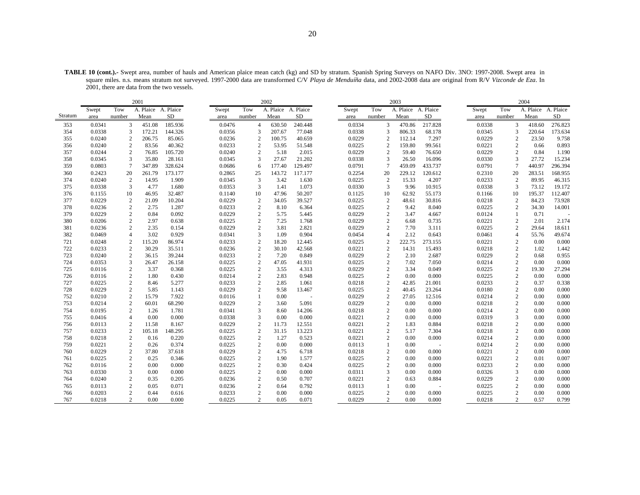**TABLE 10 (cont.).-** Swept area, number of hauls and American plaice mean catch (kg) and SD by stratum. Spanish Spring Surveys on NAFO Div. 3NO: 1997-2008. Swept area in square miles. n.s. means stratum not surveyed. 1997-2000 data are transformed C/V *Playa de Menduíña* data, and 2002-2008 data are original from R/V *Vizconde de Eza*. In 2001, there are data from the two vessels.

|            |                  |                   | 2001                |                |       |                  |                                  | 2002                |                |                  |                                | 2003                |                 |                  |                            | 2004         |                |
|------------|------------------|-------------------|---------------------|----------------|-------|------------------|----------------------------------|---------------------|----------------|------------------|--------------------------------|---------------------|-----------------|------------------|----------------------------|--------------|----------------|
|            | Swept            | Tow               | A. Plaice A. Plaice |                | Swept |                  | Tow                              | A. Plaice A. Plaice |                | Swept            | Tow                            | A. Plaice A. Plaice |                 | Swept            | Tow                        | A. Plaice    | A. Plaice      |
| Stratum    | area             | number            | Mean                | SD             | area  |                  | number                           | Mean                | SD             | area             | number                         | Mean                | SD              | area             | number                     | Mean         | SD             |
| 353        | 0.0341           | 3                 | 451.08              | 185.936        |       | 0.0476           | $\overline{4}$                   | 630.50              | 240.448        | 0.0334           | 3                              | 470.86              | 217.828         | 0.0338           | 3                          | 418.60       | 276.823        |
| 354        | 0.0338           | 3                 | 172.21              | 144.326        |       | 0.0356           | 3                                | 207.67              | 77.048         | 0.0338           | 3                              | 806.33              | 68.178          | 0.0345           | 3                          | 220.64       | 173.634        |
| 355        | 0.0240           | $\mathbf{2}$      | 206.75              | 85.065         |       | 0.0236           | $\sqrt{2}$                       | 100.75              | 40.659         | 0.0229           | $\overline{c}$                 | 112.14              | 7.297           | 0.0229           | $\sqrt{2}$                 | 23.50        | 9.758          |
| 356        | 0.0240           | 2                 | 83.56               | 40.362         |       | 0.0233           | 2                                | 53.95               | 51.548         | 0.0225           | $\overline{2}$                 | 159.80              | 99.561          | 0.0221           | 2                          | 0.66         | 0.893          |
| 357        | 0.0244           | 2                 | 76.85               | 105.720        |       | 0.0240           | 2                                | 5.18                | 2.015          | 0.0229           | 2                              | 59.40               | 76.650          | 0.0229           | 2                          | 0.84         | 1.190          |
| 358        | 0.0345           | 3                 | 35.80               | 28.161         |       | 0.0345           | 3                                | 27.67               | 21.202         | 0.0338           | 3                              | 26.50               | 16.096          | 0.0330           | 3                          | 27.72        | 15.234         |
| 359        | 0.0803           | $\tau$            | 347.89              | 328.624        |       | 0.0686           | 6                                | 177.40              | 129.497        | 0.0791           | $\overline{7}$                 | 459.09              | 433.737         | 0.0791           | $7\phantom{.0}$            | 440.97       | 296.394        |
| 360        | 0.2423           | 20                | 261.79              | 173.177        |       | 0.2865           | 25                               | 143.72              | 117.177        | 0.2254           | 20                             | 229.12              | 120.612         | 0.2310           | 20                         | 283.51       | 168.955        |
| 374        | 0.0240           | 2                 | 14.95               | 1.909          |       | 0.0345           | 3                                | 3.42                | 1.630          | 0.0225           | $\overline{c}$                 | 15.33               | 4.207           | 0.0233           | $\overline{2}$             | 89.95        | 46.315         |
| 375        | 0.0338           | 3                 | 4.77                | 1.680          |       | 0.0353           | 3                                | 1.41                | 1.073          | 0.0330           | $\overline{3}$                 | 9.96                | 10.915          | 0.0338           | 3                          | 73.12        | 19.172         |
| 376        | 0.1155           | 10                | 46.95               | 32.487         |       | 0.1140           | 10                               | 47.96               | 50.207         | 0.1125           | 10                             | 62.92               | 55.173          | 0.1166           | 10                         | 195.37       | 112.407        |
| 377        | 0.0229           | $\overline{c}$    | 21.09               | 10.204         |       | 0.0229           | $\boldsymbol{2}$                 | 34.05               | 39.527         | 0.0225           | $\sqrt{2}$                     | 48.61               | 30.816          | 0.0218           | $\boldsymbol{2}$           | 84.23        | 73.928         |
| 378        | 0.0236           | 2                 | 2.75                | 1.287          |       | 0.0233           | $\mathbf{2}$                     | 8.10                | 6.364          | 0.0225           | $\overline{c}$                 | 9.42                | 8.040           | 0.0225           | 2                          | 34.30        | 14.001         |
| 379        | 0.0229           | 2                 | 0.84                | 0.092          |       | 0.0229           | $\overline{2}$                   | 5.75                | 5.445          | 0.0229           | $\overline{c}$                 | 3.47                | 4.667           | 0.0124           | 1                          | 0.71         |                |
| 380        | 0.0206           | $\overline{c}$    | 2.97                | 0.638          |       | 0.0225           | $\overline{2}$                   | 7.25                | 1.768          | 0.0229           | $\overline{2}$                 | 6.68                | 0.735           | 0.0221           | $\overline{2}$             | 2.01         | 2.174          |
| 381        | 0.0236           | $\mathbf{2}$      | 2.35                | 0.154          |       | 0.0229           | $\overline{2}$                   | 3.81                | 2.821          | 0.0229           | $\overline{c}$                 | 7.70                | 3.111           | 0.0225           | $\overline{2}$             | 29.64        | 18.611         |
| 382        | 0.0469           | $\overline{4}$    | 3.02                | 0.929          |       | 0.0341           | 3                                | 1.09                | 0.904          | 0.0454           | $\overline{4}$                 | 2.12                | 0.643           | 0.0461           | $\overline{4}$             | 55.76        | 49.674         |
| 721        | 0.0248           | 2                 | 115.20              | 86.974         |       | 0.0233           | $\overline{2}$                   | 18.20               | 12.445         | 0.0225           | $\overline{c}$                 | 222.75              | 273.155         | 0.0221           | $\overline{c}$             | 0.00         | 0.000          |
| 722        | 0.0233           | 2                 | 30.29               | 35.511         |       | 0.0236           | $\sqrt{2}$                       | 30.10               | 42.568         | 0.0221           | $\overline{2}$                 | 14.31               | 15.493          | 0.0218           | 2                          | 1.02         | 1.442          |
| 723        | 0.0240           | $\mathbf{2}$      | 36.15               | 39.244         |       | 0.0233           | $\sqrt{2}$                       | 7.20                | 0.849          | 0.0229           | $\overline{2}$                 | 2.10                | 2.687           | 0.0229           | $\mathbf{2}$               | 0.68         | 0.955          |
| 724        | 0.0353           | 3                 | 26.47               | 26.158         |       | 0.0225           | $\overline{2}$                   | 47.05               | 41.931         | 0.0225           | $\overline{2}$                 | 7.02                | 7.050           | 0.0214           | 2                          | 0.00         | 0.000          |
| 725        | 0.0116           | $\mathbf{2}$      | 3.37                | 0.368          |       | 0.0225           | $\overline{2}$                   | 3.55                | 4.313          | 0.0229           | $\overline{2}$                 | 3.34                | 0.049           | 0.0225           | $\mathbf{2}$               | 19.30        | 27.294         |
| 726        | 0.0116           | 2                 | 1.80                | 0.430          |       | 0.0214           | $\overline{2}$                   | 2.83                | 0.948          | 0.0225           | $\overline{2}$                 | 0.00                | 0.000           | 0.0225           | $\mathbf{2}$               | 0.00         | 0.000          |
| 727        | 0.0225           | $\mathbf{2}$      | 8.46                | 5.277          |       | 0.0233           | $\overline{2}$                   | 2.85                | 1.061          | 0.0218           | $\overline{2}$                 | 42.85               | 21.001          | 0.0233           | 2                          | 0.37         | 0.338          |
| 728        | 0.0229           | $\sqrt{2}$        | 5.85                | 1.143          |       | 0.0229           | $\overline{c}$                   | 9.58                | 13.467         | 0.0225           | $\overline{c}$                 | 40.45               | 23.264          | 0.0180           | $\sqrt{2}$                 | 0.00         | 0.000          |
| 752        | 0.0210           | 2                 | 15.79               | 7.922          |       | 0.0116           | $\mathbf{1}$                     | 0.00                |                | 0.0229           | $\sqrt{2}$                     | 27.05               | 12.516          | 0.0214           | $\mathbf{2}$               | 0.00         | 0.000          |
| 753        | 0.0214           | 2                 | 60.01               | 68.290         |       | 0.0229           | $\overline{c}$                   | 3.60                | 5.091          | 0.0229           | $\overline{2}$                 | 0.00                | 0.000           | 0.0218           | 2                          | 0.00         | 0.000          |
| 754        | 0.0195           | 2                 | 1.26                | 1.781          |       | 0.0341           | 3                                | 8.60                | 14.206         | 0.0218           | $\sqrt{2}$                     | 0.00                | 0.000           | 0.0214           | $\mathbf{2}$               | 0.00         | 0.000          |
| 755        | 0.0416           | $\overline{4}$    | 0.00                | 0.000          |       | 0.0338           | 3                                | 0.00                | 0.000          | 0.0221           | $\overline{2}$                 | 0.00                | 0.000           | 0.0319           | 3                          | 0.00         | 0.000          |
| 756        | 0.0113           | 2                 | 11.58               | 8.167          |       | 0.0229           | $\overline{2}$                   | 11.73               | 12.551         | 0.0221           | $\overline{2}$                 | 1.83                | 0.884           | 0.0218           | 2                          | 0.00         | 0.000          |
| 757        | 0.0233           | 2                 | 105.18              | 148.295        |       | 0.0225           | $\sqrt{2}$                       | 31.15               | 13.223         | 0.0221           | $\sqrt{2}$                     | 5.17                | 7.304           | 0.0218           | $\mathbf{2}$               | 0.00         | 0.000          |
| 758        | 0.0218<br>0.0221 | 2<br>$\mathbf{2}$ | 0.16                | 0.220<br>0.374 |       | 0.0225<br>0.0225 | $\overline{2}$<br>$\overline{2}$ | 1.27<br>0.00        | 0.523<br>0.000 | 0.0221<br>0.0113 | $\overline{2}$<br>$\mathbf{1}$ | 0.00<br>0.00        | 0.000           | 0.0214<br>0.0214 | $\sqrt{2}$<br>$\mathbf{2}$ | 0.00         | 0.000<br>0.000 |
| 759<br>760 | 0.0229           |                   | 0.26<br>37.80       | 37.618         |       | 0.0229           | $\overline{c}$                   | 4.75                | 6.718          | 0.0218           | $\overline{c}$                 | 0.00                | $\sim$<br>0.000 | 0.0221           | $\sqrt{2}$                 | 0.00<br>0.00 | 0.000          |
| 761        | 0.0225           | $\sqrt{2}$<br>2   | 0.25                | 0.346          |       | 0.0225           | $\overline{2}$                   | 1.90                | 1.577          | 0.0225           | $\overline{c}$                 | 0.00                | 0.000           | 0.0221           | 2                          | 0.01         | 0.007          |
| 762        |                  | 2                 | 0.00                | 0.000          |       | 0.0225           | $\overline{2}$                   | 0.30                | 0.424          | 0.0225           | $\overline{2}$                 |                     | 0.000           | 0.0233           | $\mathbf{2}$               | 0.00         | 0.000          |
| 763        | 0.0116<br>0.0330 | 3                 | 0.00                | 0.000          |       | 0.0225           |                                  | 0.00                | 0.000          |                  | 3                              | 0.00<br>0.00        |                 | 0.0326           | 3                          | 0.00         | 0.000          |
| 764        | 0.0240           | $\overline{c}$    | 0.35                | 0.205          |       | 0.0236           | $\overline{c}$<br>$\overline{2}$ | 0.50                | 0.707          | 0.0311<br>0.0221 | $\overline{c}$                 | 0.63                | 0.000<br>0.884  | 0.0229           | 2                          | 0.00         | 0.000          |
| 765        | 0.0113           | 2                 | 0.05                | 0.071          |       | 0.0236           | $\overline{2}$                   | 0.64                | 0.792          | 0.0113           | $\mathbf{1}$                   | 0.00                |                 | 0.0225           | $\mathbf{2}$               | 0.00         | 0.000          |
| 766        | 0.0203           | $\sqrt{2}$        | 0.44                | 0.616          |       | 0.0233           | $\overline{2}$                   | 0.00                | 0.000          | 0.0225           | $\overline{c}$                 | 0.00                | 0.000           | 0.0225           | $\overline{2}$             | 0.00         | 0.000          |
| 767        | 0.0218           | 2                 | 0.00                | 0.000          |       | 0.0225           | $\overline{c}$                   | 0.05                | 0.071          | 0.0229           | 2                              | 0.00                | 0.000           | 0.0218           | 2                          | 0.57         | 0.799          |
|            |                  |                   |                     |                |       |                  |                                  |                     |                |                  |                                |                     |                 |                  |                            |              |                |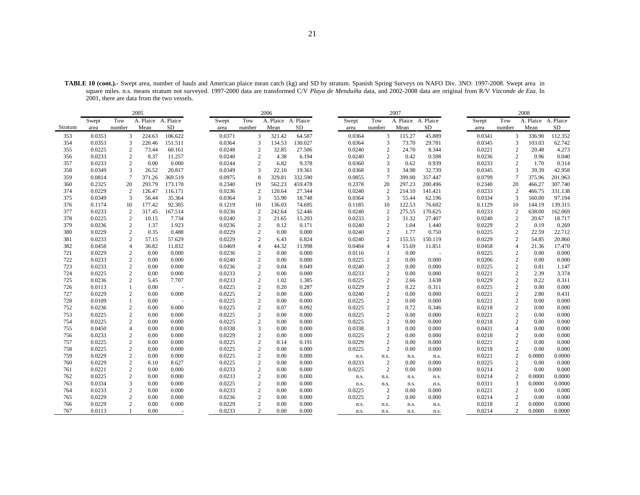|         |        |                 | 2005                |           |        |                  | 2006                |         |        |                  | 2007                |                |        |                | 2008   |                     |
|---------|--------|-----------------|---------------------|-----------|--------|------------------|---------------------|---------|--------|------------------|---------------------|----------------|--------|----------------|--------|---------------------|
|         | Swept  | Tow             | A. Plaice A. Plaice |           | Swept  | Tow              | A. Plaice A. Plaice |         | Swept  | Tow              | A. Plaice A. Plaice |                | Swept  | Tow            |        | A. Plaice A. Plaice |
| Stratum | area   | number          | Mean                | <b>SD</b> | area   | number           | Mean                | SD      | area   | number           | Mean                | SD             | area   | number         | Mean   | SD                  |
| 353     | 0.0353 | 3               | 224.63              | 106.622   | 0.0371 | 3                | 321.42              | 64.587  | 0.0364 | 3                | 115.27              | 45.889         | 0.0341 | 3              | 336.90 | 112.352             |
| 354     | 0.0353 | 3               | 220.46              | 151.511   | 0.0364 | 3                | 134.53              | 130.027 | 0.0364 | 3                | 73.70               | 29.781         | 0.0345 | 3              | 103.03 | 62.742              |
| 355     | 0.0225 | $\overline{2}$  | 73.44               | 60.161    | 0.0248 | $\overline{2}$   | 32.85               | 27.506  | 0.0240 | $\boldsymbol{2}$ | 24.70               | 8.344          | 0.0221 | $\overline{c}$ | 20.48  | 4.273               |
| 356     | 0.0233 | 2               | 8.37                | 11.257    | 0.0240 | $\overline{2}$   | 4.38                | 6.194   | 0.0240 | $\overline{2}$   | 0.42                | 0.598          | 0.0236 | $\mathbf{2}$   | 0.96   | 0.040               |
| 357     | 0.0233 | 2               | 0.00                | 0.000     | 0.0244 | $\overline{c}$   | 6.82                | 9.378   | 0.0360 | 3                | 0.62                | 0.939          | 0.0233 | $\overline{2}$ | 1.70   | 0.314               |
| 358     | 0.0349 | 3               | 26.52               | 20.817    | 0.0349 | 3                | 22.10               | 19.361  | 0.0368 | 3                | 34.98               | 32.739         | 0.0345 | 3              | 39.39  | 42.958              |
| 359     | 0.0814 | $7\phantom{.0}$ | 371.26              | 369.519   | 0.0975 | 8                | 329.81              | 332.590 | 0.0855 | $\overline{7}$   | 399.00              | 357.447        | 0.0799 | $\overline{7}$ | 375.96 | 201.963             |
| 360     | 0.2325 | 20              | 293.79              | 173.170   | 0.2340 | 19               | 562.23              | 459.478 | 0.2378 | 20               | 297.23              | 200.496        | 0.2340 | 20             | 466.27 | 307.740             |
| 374     | 0.0229 | 2               | 126.47              | 116.171   | 0.0236 | 2                | 120.64              | 27.344  | 0.0240 | 2                | 214.10              | 141.421        | 0.0233 | $\overline{c}$ | 466.75 | 331.138             |
| 375     | 0.0349 | 3               | 56.44               | 35.364    | 0.0364 | 3                | 55.90               | 18.748  | 0.0364 | 3                | 55.44               | 62.196         | 0.0334 | 3              | 160.00 | 97.194              |
| 376     | 0.1174 | 10              | 177.42              | 92.305    | 0.1219 | 10               | 136.03              | 74.695  | 0.1185 | 10               | 122.53              | 76.602         | 0.1129 | 10             | 144.19 | 139.315             |
| 377     | 0.0233 | 2               | 317.45              | 167.514   | 0.0236 | 2                | 242.64              | 52.446  | 0.0240 | $\overline{c}$   | 275.55              | 170.625        | 0.0233 | $\overline{2}$ | 638.00 | 162.069             |
| 378     | 0.0225 | 2               | 10.15               | 7.734     | 0.0240 | 2                | 21.65               | 15.203  | 0.0233 | $\mathbf{2}$     | 31.32               | 27.407         | 0.0240 | $\mathbf{2}$   | 20.67  | 18.717              |
| 379     | 0.0236 | 2               | 1.37                | 1.923     | 0.0236 | 2                | 0.12                | 0.171   | 0.0240 | 2                | 1.04                | 1.440          | 0.0229 | $\mathbf{2}$   | 0.19   | 0.269               |
| 380     | 0.0229 | $\overline{2}$  | 0.35                | 0.488     | 0.0229 | $\boldsymbol{2}$ | 0.00                | 0.000   | 0.0240 | $\boldsymbol{2}$ | 1.77                | 0.750          | 0.0225 | $\sqrt{2}$     | 22.59  | 22.712              |
| 381     | 0.0233 | 2               | 57.15               | 57.629    | 0.0229 | 2                | 6.43                | 6.824   | 0.0240 | 2                | 155.55              | 150.119        | 0.0229 | $\overline{2}$ | 54.85  | 20.860              |
| 382     | 0.0458 | $\overline{4}$  | 36.82               | 11.832    | 0.0469 | $\overline{4}$   | 44.32               | 11.998  | 0.0484 | $\overline{4}$   | 15.69               | 11.851         | 0.0458 | $\overline{4}$ | 21.36  | 17.470              |
| 721     | 0.0229 | $\overline{2}$  | 0.00                | 0.000     | 0.0236 | $\overline{2}$   | 0.00                | 0.000   | 0.0116 | -1               | 0.00                | $\overline{a}$ | 0.0225 | $\mathbf{2}$   | 0.00   | 0.000               |
| 722     | 0.0233 | 2               | 0.00                | 0.000     | 0.0240 | $\overline{c}$   | 0.00                | 0.000   | 0.0225 | 2                | 0.00                | 0.000          | 0.0206 | $\mathbf{2}$   | 0.00   | 0.000               |
| 723     | 0.0233 | $\sqrt{2}$      | 0.00                | 0.000     | 0.0236 | $\boldsymbol{2}$ | 0.04                | 0.049   | 0.0240 | $\overline{c}$   | 0.00                | 0.000          | 0.0225 | $\overline{c}$ | 0.81   | 1.147               |
| 724     | 0.0225 | 2               | 0.00                | 0.000     | 0.0233 | $\boldsymbol{2}$ | 0.00                | 0.000   | 0.0233 | $\overline{2}$   | 0.00                | 0.000          | 0.0221 | $\overline{c}$ | 2.39   | 3.374               |
| 725     | 0.0236 | 2               | 5.45                | 7.707     | 0.0233 | $\overline{c}$   | 1.02                | 1.385   | 0.0225 | $\overline{2}$   | 2.66                | 3.638          | 0.0229 | $\mathbf{2}$   | 0.22   | 0.311               |
| 726     | 0.0113 | -1              | 0.00                |           | 0.0225 | $\overline{c}$   | 0.20                | 0.287   | 0.0229 | $\overline{c}$   | 0.22                | 0.311          | 0.0225 | $\mathbf{2}$   | 0.00   | 0.000               |
| 727     | 0.0229 | 2               | 0.00                | 0.000     | 0.0225 | $\overline{c}$   | 0.00                | 0.000   | 0.0240 | 2                | 0.00                | 0.000          | 0.0221 | $\overline{c}$ | 2.80   | 0.431               |
| 728     | 0.0109 | $\mathbf{1}$    | 0.00                |           | 0.0225 | 2                | 0.00                | 0.000   | 0.0225 | $\overline{2}$   | 0.00                | 0.000          | 0.0221 | $\mathbf{2}$   | 0.00   | 0.000               |
| 752     | 0.0236 | $\overline{c}$  | 0.00                | 0.000     | 0.0225 | $\boldsymbol{2}$ | 0.07                | 0.092   | 0.0225 | $\overline{2}$   | 0.72                | 0.346          | 0.0218 | $\overline{c}$ | 0.00   | 0.000               |
| 753     | 0.0225 | $\overline{2}$  | 0.00                | 0.000     | 0.0225 | $\overline{c}$   | 0.00                | 0.000   | 0.0225 | 2                | 0.00                | 0.000          | 0.0221 | $\overline{2}$ | 0.00   | 0.000               |
| 754     | 0.0225 | $\overline{2}$  | 0.00                | 0.000     | 0.0225 | $\boldsymbol{2}$ | 0.00                | 0.000   | 0.0225 | $\overline{2}$   | 0.00                | 0.000          | 0.0218 | $\sqrt{2}$     | 0.00   | 0.000               |
| 755     | 0.0450 | $\overline{4}$  | 0.00                | 0.000     | 0.0338 | 3                | 0.00                | 0.000   | 0.0338 | 3                | 0.00                | 0.000          | 0.0431 | $\overline{4}$ | 0.00   | 0.000               |
| 756     | 0.0233 | $\overline{2}$  | 0.00                | 0.000     | 0.0229 | $\overline{c}$   | 0.00                | 0.000   | 0.0225 | $\mathbf{2}$     | 0.00                | 0.000          | 0.0218 | $\overline{c}$ | 0.00   | 0.000               |
| 757     | 0.0225 | $\overline{2}$  | 0.00                | 0.000     | 0.0225 | $\boldsymbol{2}$ | 0.14                | 0.191   | 0.0229 | $\mathbf{2}$     | 0.00                | 0.000          | 0.0221 | $\mathbf{2}$   | 0.00   | 0.000               |
| 758     | 0.0225 | $\sqrt{2}$      | 0.00                | 0.000     | 0.0225 | $\overline{c}$   | 0.00                | 0.000   | 0.0225 | $\mathbf{2}$     | 0.00                | 0.000          | 0.0218 | $\mathbf{2}$   | 0.00   | 0.000               |
| 759     | 0.0229 | $\sqrt{2}$      | 0.00                | 0.000     | 0.0225 | $\boldsymbol{2}$ | 0.00                | 0.000   | n.s.   | n.s.             | n.s.                | n.s.           | 0.0221 | 2              | 0.0000 | 0.0000              |
| 760     | 0.0229 | 2               | 6.10                | 8.627     | 0.0225 | $\overline{c}$   | 0.00                | 0.000   | 0.0233 | 2                | 0.00                | 0.000          | 0.0225 | 2              | 0.00   | 0.000               |
| 761     | 0.0221 | 2               | 0.00                | 0.000     | 0.0233 | $\overline{c}$   | 0.00                | 0.000   | 0.0225 | 2                | 0.00                | 0.000          | 0.0214 | $\mathbf{2}$   | 0.00   | 0.000               |
| 762     | 0.0225 | 2               | 0.00                | 0.000     | 0.0233 | $\overline{c}$   | 0.00                | 0.000   | n.s.   | n.s.             | n.s.                | n.s.           | 0.0214 | $\overline{c}$ | 0.0000 | 0.0000              |
| 763     | 0.0334 | 3               | 0.00                | 0.000     | 0.0225 | 2                | 0.00                | 0.000   | n.s.   | n.s.             | n.s.                | n.s.           | 0.0311 | 3              | 0.0000 | 0.0000              |
| 764     | 0.0233 | $\sqrt{2}$      | 0.00                | 0.000     | 0.0233 | $\boldsymbol{2}$ | 0.00                | 0.000   | 0.0225 | $\boldsymbol{2}$ | 0.00                | 0.000          | 0.0221 | $\sqrt{2}$     | 0.00   | 0.000               |
| 765     | 0.0229 | $\overline{c}$  | 0.00                | 0.000     | 0.0236 | $\boldsymbol{2}$ | 0.00                | 0.000   | 0.0225 | 2                | 0.00                | 0.000          | 0.0214 | $\overline{c}$ | 0.00   | 0.000               |
| 766     | 0.0229 | 2               | 0.00                | 0.000     | 0.0229 | $\overline{c}$   | 0.00                | 0.000   | n.s.   | n.s.             | n.s.                | n.s.           | 0.0218 | 2              | 0.0000 | 0.0000              |
| 767     | 0.0113 | $\mathbf{1}$    | 0.00                |           | 0.0233 | $\overline{2}$   | 0.00                | 0.000   | n.s.   | n.s.             | n.s.                | n.s.           | 0.0214 | $\overline{2}$ | 0.0000 | 0.0000              |

TABLE 10 (cont.).- Swept area, number of hauls and American plaice mean catch (kg) and SD by stratum. Spanish Spring Surveys on NAFO Div. 3NO: 1997-2008. Swept area in square miles. n.s. means stratum not surveyed. 1997-2000 data are transformed C/V *Playa de Menduíña* data, and 2002-2008 data are original from R/V *Vizconde de Eza*. In 2001, there are data from the two vessels.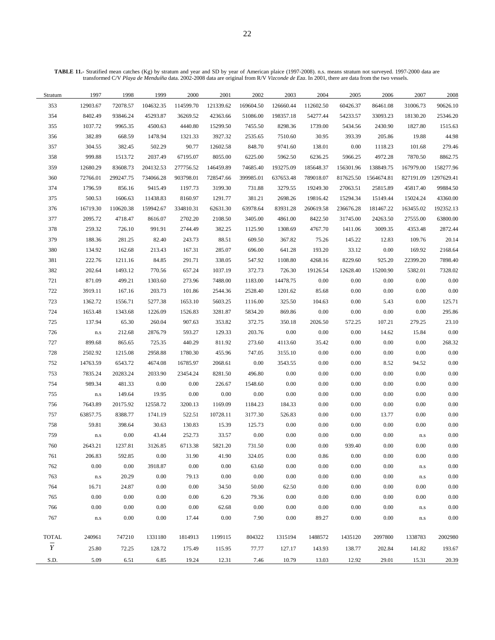**TABLE 11.-** Stratified mean catches (Kg) by stratum and year and SD by year of American plaice (1997-2008). n.s. means stratum not surveyed. 1997-2000 data are transformed C/V *Playa de Menduíña* data. 2002-2008 data are original from R/V *Vizconde de Eza*. In 2001, there are data from the two vessels.

| Stratum        | 1997                    | 1998      | 1999      | 2000      | 2001      | 2002      | 2003      | 2004      | 2005      | 2006       | 2007                        | 2008       |
|----------------|-------------------------|-----------|-----------|-----------|-----------|-----------|-----------|-----------|-----------|------------|-----------------------------|------------|
| 353            | 12903.67                | 72078.57  | 104632.35 | 114599.70 | 121339.62 | 169604.50 | 126660.44 | 112602.50 | 60426.37  | 86461.08   | 31006.73                    | 90626.10   |
| 354            | 8402.49                 | 93846.24  | 45293.87  | 36269.52  | 42363.66  | 51086.00  | 198357.18 | 54277.44  | 54233.57  | 33093.23   | 18130.20                    | 25346.20   |
| 355            | 1037.72                 | 9965.35   | 4500.63   | 4440.80   | 15299.50  | 7455.50   | 8298.36   | 1739.00   | 5434.56   | 2430.90    | 1827.80                     | 1515.63    |
| 356            | 382.89                  | 668.59    | 1478.94   | 1321.33   | 3927.32   | 2535.65   | 7510.60   | 30.95     | 393.39    | 205.86     | 19.88                       | 44.98      |
| 357            | 304.55                  | 382.45    | 502.29    | 90.77     | 12602.58  | 848.70    | 9741.60   | 138.01    | 0.00      | 1118.23    | 101.68                      | 279.46     |
| 358            | 999.88                  | 1513.72   | 2037.49   | 67195.07  | 8055.00   | 6225.00   | 5962.50   | 6236.25   | 5966.25   | 4972.28    | 7870.50                     | 8862.75    |
| 359            | 12680.29                | 83608.73  | 204132.53 | 277756.52 | 146459.89 | 74685.40  | 193275.09 | 185648.37 | 156301.96 | 138849.75  | 167979.00                   | 158277.96  |
| 360            | 72766.01                | 299247.75 | 734066.28 | 903798.01 | 728547.66 | 399985.01 | 637653.48 | 789018.07 | 817625.50 | 1564674.81 | 827191.09                   | 1297629.41 |
| 374            | 1796.59                 | 856.16    | 9415.49   | 1197.73   | 3199.30   | 731.88    | 3279.55   | 19249.30  | 27063.51  | 25815.89   | 45817.40                    | 99884.50   |
| 375            | 500.53                  | 1606.63   | 11438.83  | 8160.97   | 1291.77   | 381.21    | 2698.26   | 19816.42  | 15294.34  | 15149.44   | 15024.24                    | 43360.00   |
| 376            | 16719.30                | 110620.38 | 159942.67 | 334810.31 | 62631.30  | 63978.64  | 83931.28  | 260619.58 | 236676.28 | 181467.22  | 163455.02                   | 192352.13  |
| 377            | 2095.72                 | 4718.47   | 8616.07   | 2702.20   | 2108.50   | 3405.00   | 4861.00   | 8422.50   | 31745.00  | 24263.50   | 27555.00                    | 63800.00   |
| 378            | 259.32                  | 726.10    | 991.91    | 2744.49   | 382.25    | 1125.90   | 1308.69   | 4767.70   | 1411.06   | 3009.35    | 4353.48                     | 2872.44    |
| 379            | 188.36                  | 281.25    | 82.40     | 243.73    | 88.51     | 609.50    | 367.82    | 75.26     | 145.22    | 12.83      | 109.76                      | 20.14      |
| 380            | 134.92                  | 162.68    | 213.43    | 167.31    | 285.07    | 696.00    | 641.28    | 193.20    | 33.12     | $0.00\,$   | 169.92                      | 2168.64    |
| 381            | 222.76                  | 1211.16   | 84.85     | 291.71    | 338.05    | 547.92    | 1108.80   | 4268.16   | 8229.60   | 925.20     | 22399.20                    | 7898.40    |
| 382            | 202.64                  | 1493.12   | 770.56    | 657.24    | 1037.19   | 372.73    | 726.30    | 19126.54  | 12628.40  | 15200.90   | 5382.01                     | 7328.02    |
| 721            | 871.09                  | 499.21    | 1303.60   | 273.96    | 7488.00   | 1183.00   | 14478.75  | 0.00      | 0.00      | $0.00\,$   | 0.00                        | $0.00\,$   |
| 722            | 3919.11                 | 167.16    | 203.73    | 101.86    | 2544.36   | 2528.40   | 1201.62   | 85.68     | 0.00      | 0.00       | 0.00                        | $0.00\,$   |
| 723            | 1362.72                 | 1556.71   | 5277.38   | 1653.10   | 5603.25   | 1116.00   | 325.50    | 104.63    | 0.00      | 5.43       | 0.00                        | 125.71     |
| 724            | 1653.48                 | 1343.68   | 1226.09   | 1526.83   | 3281.87   | 5834.20   | 869.86    | 0.00      | 0.00      | 0.00       | 0.00                        | 295.86     |
| 725            | 137.94                  | 65.30     | 260.04    | 907.63    | 353.82    | 372.75    | 350.18    | 2026.50   | 572.25    | 107.21     | 279.25                      | 23.10      |
| 726            | $\mathbf{n}.\mathbf{s}$ | 212.68    | 2876.79   | 593.27    | 129.33    | 203.76    | $0.00\,$  | 0.00      | 0.00      | 14.62      | 15.84                       | $0.00\,$   |
| 727            | 899.68                  | 865.65    | 725.35    | 440.29    | 811.92    | 273.60    | 4113.60   | 35.42     | 0.00      | $0.00\,$   | $0.00\,$                    | 268.32     |
| 728            | 2502.92                 | 1215.08   | 2958.88   | 1780.30   | 455.96    | 747.05    | 3155.10   | 0.00      | 0.00      | 0.00       | 0.00                        | 0.00       |
| 752            | 14763.59                | 6543.72   | 4674.08   | 16785.97  | 2068.61   | $0.00\,$  | 3543.55   | 0.00      | 0.00      | 8.52       | 94.52                       | 0.00       |
| 753            | 7835.24                 | 20283.24  | 2033.90   | 23454.24  | 8281.50   | 496.80    | 0.00      | 0.00      | 0.00      | 0.00       | 0.00                        | $0.00\,$   |
| 754            | 989.34                  | 481.33    | 0.00      | $0.00\,$  | 226.67    | 1548.60   | 0.00      | 0.00      | 0.00      | $0.00\,$   | 0.00                        | $0.00\,$   |
| 755            | $\mathbf{n}.\mathbf{s}$ | 149.64    | 19.95     | 0.00      | $0.00\,$  | $0.00\,$  | 0.00      | 0.00      | 0.00      | $0.00\,$   | 0.00                        | $0.00\,$   |
| 756            | 7643.89                 | 20175.92  | 12558.72  | 3200.13   | 1169.09   | 1184.23   | 184.33    | 0.00      | 0.00      | 0.00       | 0.00                        | $0.00\,$   |
| 757            | 63857.75                | 8388.77   | 1741.19   | 522.51    | 10728.11  | 3177.30   | 526.83    | 0.00      | 0.00      | 13.77      | 0.00                        | $0.00\,$   |
| 758            | 59.81                   | 398.64    | 30.63     | 130.83    | 15.39     | 125.73    | 0.00      | 0.00      | 0.00      | $0.00\,$   | $0.00\,$                    | $0.00\,$   |
| 759            | $\mathbf{n}.\mathbf{s}$ | $0.00\,$  | 43.44     | 252.73    | 33.57     | $0.00\,$  | $0.00\,$  | 0.00      | 0.00      | 0.00       | $\mathop{\rm n.s}\nolimits$ | $0.00\,$   |
| 760            | 2643.21                 | 1237.81   | 3126.85   | 6713.38   | 5821.20   | 731.50    | 0.00      | 0.00      | 939.40    | 0.00       | $0.00\,$                    | 0.00       |
| 761            | 206.83                  | 592.85    | $0.00\,$  | 31.90     | 41.90     | 324.05    | $0.00\,$  | 0.86      | 0.00      | 0.00       | 0.00                        | 0.00       |
| 762            | 0.00                    | 0.00      | 3918.87   | 0.00      | 0.00      | 63.60     | 0.00      | $0.00\,$  | 0.00      | 0.00       | n.s                         | 0.00       |
| 763            | $\mathbf{n}.\mathbf{s}$ | 20.29     | 0.00      | 79.13     | 0.00      | 0.00      | 0.00      | 0.00      | 0.00      | $0.00\,$   | n.s                         | 0.00       |
| 764            | 16.71                   | 24.87     | 0.00      | 0.00      | 34.50     | 50.00     | 62.50     | 0.00      | 0.00      | 0.00       | 0.00                        | 0.00       |
| 765            | 0.00                    | 0.00      | 0.00      | 0.00      | 6.20      | 79.36     | 0.00      | 0.00      | 0.00      | 0.00       | 0.00                        | 0.00       |
| 766            | 0.00                    | 0.00      | $0.00\,$  | 0.00      | 62.68     | 0.00      | 0.00      | 0.00      | 0.00      | 0.00       | $\rm n.s$                   | 0.00       |
| 767            | $\mathbf{n}.\mathbf{s}$ | 0.00      | 0.00      | 17.44     | 0.00      | 7.90      | 0.00      | 89.27     | 0.00      | $0.00\,$   | n.s                         | 0.00       |
|                |                         |           |           |           |           |           |           |           |           |            |                             |            |
| TOTAL          | 240961                  | 747210    | 1331180   | 1814913   | 1199115   | 804322    | 1315194   | 1488572   | 1435120   | 2097800    | 1338783                     | 2002980    |
| $\overline{Y}$ | 25.80                   | 72.25     | 128.72    | 175.49    | 115.95    | 77.77     | 127.17    | 143.93    | 138.77    | 202.84     | 141.82                      | 193.67     |
| S.D.           | 5.09                    | 6.51      | 6.85      | 19.24     | 12.31     | 7.46      | 10.79     | 13.03     | 12.92     | 29.01      | 15.31                       | 20.39      |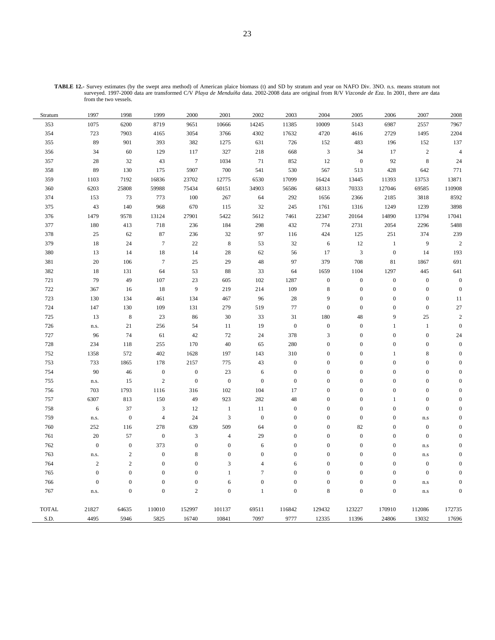| Stratum      | 1997             | 1998             | 1999             | 2000             | 2001                        | 2002             | 2003             | 2004             | 2005             | 2006             | 2007                    | 2008             |
|--------------|------------------|------------------|------------------|------------------|-----------------------------|------------------|------------------|------------------|------------------|------------------|-------------------------|------------------|
| 353          | 1075             | 6200             | 8719             | 9651             | 10666                       | 14245            | 11385            | 10009            | 5143             | 6987             | 2557                    | 7967             |
| 354          | 723              | 7903             | 4165             | 3054             | 3766                        | 4302             | 17632            | 4720             | 4616             | 2729             | 1495                    | 2204             |
| 355          | 89               | 901              | 393              | 382              | 1275                        | 631              | 726              | 152              | 483              | 196              | 152                     | 137              |
| 356          | 34               | 60               | 129              | 117              | 327                         | 218              | 668              | $\mathfrak{Z}$   | 34               | 17               | $\overline{c}$          | $\sqrt{4}$       |
| 357          | 28               | 32               | 43               | $\overline{7}$   | 1034                        | 71               | 852              | 12               | $\boldsymbol{0}$ | 92               | $\,$ 8 $\,$             | 24               |
| 358          | 89               | 130              | 175              | 5907             | 700                         | 541              | 530              | 567              | 513              | 428              | 642                     | 771              |
| 359          | 1103             | 7192             | 16836            | 23702            | 12775                       | 6530             | 17099            | 16424            | 13445            | 11393            | 13753                   | 13871            |
| 360          | 6203             | 25808            | 59988            | 75434            | 60151                       | 34903            | 56586            | 68313            | 70333            | 127046           | 69585                   | 110908           |
| 374          | 153              | 73               | 773              | 100              | 267                         | 64               | 292              | 1656             | 2366             | 2185             | 3818                    | 8592             |
| 375          | 43               | 140              | 968              | 670              | 115                         | $32\,$           | 245              | 1761             | 1316             | 1249             | 1239                    | 3898             |
| 376          | 1479             | 9578             | 13124            | 27901            | 5422                        | 5612             | 7461             | 22347            | 20164            | 14890            | 13794                   | 17041            |
| 377          | 180              | 413              | 718              | 236              | 184                         | 298              | 432              | 774              | 2731             | 2054             | 2296                    | 5488             |
| 378          | $25\,$           | 62               | 87               | 236              | 32                          | 97               | 116              | 424              | 125              | 251              | 374                     | 239              |
| 379          | 18               | 24               | $\overline{7}$   | 22               | $\,8\,$                     | 53               | 32               | 6                | 12               | $1\,$            | 9                       | $\sqrt{2}$       |
| 380          | 13               | 14               | $18\,$           | 14               | 28                          | 62               | 56               | 17               | $\mathfrak{Z}$   | $\boldsymbol{0}$ | 14                      | 193              |
| 381          | $20\,$           | 106              | $\boldsymbol{7}$ | 25               | 29                          | 48               | 97               | 379              | 708              | $81\,$           | 1867                    | 691              |
| 382          | 18               | 131              | 64               | 53               | 88                          | 33               | 64               | 1659             | 1104             | 1297             | 445                     | 641              |
| 721          | 79               | 49               | 107              | 23               | 605                         | 102              | 1287             | $\boldsymbol{0}$ | $\boldsymbol{0}$ | $\boldsymbol{0}$ | $\boldsymbol{0}$        | $\boldsymbol{0}$ |
| 722          | 367              | 16               | 18               | 9                | 219                         | 214              | 109              | $\,8\,$          | $\boldsymbol{0}$ | $\boldsymbol{0}$ | $\mathbf{0}$            | $\boldsymbol{0}$ |
| 723          | 130              | 134              | 461              | 134              | 467                         | 96               | 28               | $\overline{9}$   | $\boldsymbol{0}$ | $\boldsymbol{0}$ | $\mathbf{0}$            | 11               |
| 724          | 147              | 130              | 109              | 131              | 279                         | 519              | $77\,$           | $\mathbf{0}$     | $\boldsymbol{0}$ | $\overline{0}$   | $\boldsymbol{0}$        | $27\,$           |
| 725          | 13               | $\,$ 8 $\,$      | 23               | 86               | 30                          | 33               | 31               | 180              | 48               | 9                | 25                      | $\sqrt{2}$       |
| 726          | n.s.             | 21               | 256              | 54               | 11                          | 19               | $\boldsymbol{0}$ | $\boldsymbol{0}$ | $\boldsymbol{0}$ | 1                | $\,1$                   | $\boldsymbol{0}$ |
| 727          | 96               | 74               | 61               | 42               | 72                          | 24               | 378              | $\mathfrak z$    | $\boldsymbol{0}$ | $\overline{0}$   | $\boldsymbol{0}$        | 24               |
| 728          | 234              | 118              | 255              | 170              | $40\,$                      | 65               | 280              | $\boldsymbol{0}$ | $\boldsymbol{0}$ | $\boldsymbol{0}$ | $\boldsymbol{0}$        | $\boldsymbol{0}$ |
| 752          | 1358             | 572              | 402              | 1628             | 197                         | 143              | 310              | $\mathbf{0}$     | $\boldsymbol{0}$ | $\mathbf{1}$     | 8                       | $\overline{0}$   |
| 753          | 733              | 1865             | 178              | 2157             | 775                         | 43               | $\boldsymbol{0}$ | $\boldsymbol{0}$ | $\boldsymbol{0}$ | $\overline{0}$   | $\boldsymbol{0}$        | $\theta$         |
| 754          | 90               | 46               | $\boldsymbol{0}$ | $\boldsymbol{0}$ | $23\,$                      | $\sqrt{6}$       | $\boldsymbol{0}$ | $\boldsymbol{0}$ | $\boldsymbol{0}$ | $\boldsymbol{0}$ | $\boldsymbol{0}$        | $\theta$         |
| 755          | ${\rm n.s.}$     | 15               | $\sqrt{2}$       | $\overline{0}$   | $\boldsymbol{0}$            | $\boldsymbol{0}$ | $\boldsymbol{0}$ | $\boldsymbol{0}$ | $\boldsymbol{0}$ | $\overline{0}$   | $\mathbf{0}$            | $\Omega$         |
| 756          | 703              | 1793             | 1116             | 316              | 102                         | 104              | 17               | $\boldsymbol{0}$ | $\boldsymbol{0}$ | $\boldsymbol{0}$ | $\boldsymbol{0}$        | $\Omega$         |
| 757          | 6307             | 813              | 150              | 49               | 923                         | 282              | $\sqrt{48}$      | $\boldsymbol{0}$ | $\boldsymbol{0}$ | $\mathbf{1}$     | $\boldsymbol{0}$        | $\theta$         |
| 758          | $\sqrt{6}$       | 37               | 3                | 12               | $1\,$                       | 11               | $\boldsymbol{0}$ | $\boldsymbol{0}$ | $\boldsymbol{0}$ | $\boldsymbol{0}$ | $\mathbf{0}$            | $\Omega$         |
| 759          | n.s.             | $\boldsymbol{0}$ | $\overline{4}$   | 24               | $\ensuremath{\mathfrak{Z}}$ | $\boldsymbol{0}$ | $\boldsymbol{0}$ | $\boldsymbol{0}$ | $\boldsymbol{0}$ | $\boldsymbol{0}$ | $\mathbf{n}.\mathbf{s}$ | $\Omega$         |
| 760          | 252              | 116              | 278              | 639              | 509                         | 64               | $\mathbf{0}$     | $\boldsymbol{0}$ | 82               | $\mathbf{0}$     | $\boldsymbol{0}$        | $\overline{0}$   |
| 761          | $20\,$           | 57               | $\boldsymbol{0}$ | 3                | $\overline{4}$              | 29               | $\mathbf{0}$     | $\boldsymbol{0}$ | $\boldsymbol{0}$ | $\boldsymbol{0}$ | $\mathbf{0}$            | $\Omega$         |
| 762          | $\boldsymbol{0}$ | $\boldsymbol{0}$ | 373              | $\mathbf{0}$     | $\boldsymbol{0}$            | 6                | $\boldsymbol{0}$ | $\boldsymbol{0}$ | $\boldsymbol{0}$ | $\overline{0}$   | $\mathbf{n}.\mathbf{s}$ | $\Omega$         |
| 763          | n.s.             | $\overline{c}$   | $\boldsymbol{0}$ | 8                | $\boldsymbol{0}$            | $\boldsymbol{0}$ | $\mathbf{0}$     | $\boldsymbol{0}$ | $\boldsymbol{0}$ | $\boldsymbol{0}$ | $\mathbf{n}.\mathbf{s}$ | $\Omega$         |
| 764          | $\sqrt{2}$       | $\overline{c}$   | $\mathbf{0}$     | $\mathbf{0}$     | 3                           | $\overline{4}$   | 6                | $\boldsymbol{0}$ | $\boldsymbol{0}$ | $\boldsymbol{0}$ | $\mathbf{0}$            | $\Omega$         |
| 765          | $\boldsymbol{0}$ | $\boldsymbol{0}$ | $\overline{0}$   | $\mathbf{0}$     | $\mathbf{1}$                | $\overline{7}$   | $\mathbf{0}$     | $\boldsymbol{0}$ | $\boldsymbol{0}$ | $\overline{0}$   | $\mathbf{0}$            | $\Omega$         |
| 766          | $\boldsymbol{0}$ | $\boldsymbol{0}$ | $\boldsymbol{0}$ | $\boldsymbol{0}$ | 6                           | $\boldsymbol{0}$ | $\boldsymbol{0}$ | $\boldsymbol{0}$ | $\boldsymbol{0}$ | $\boldsymbol{0}$ | $\mathbf{n}.\mathbf{s}$ | $\boldsymbol{0}$ |
| 767          | n.s.             | $\overline{0}$   | $\overline{0}$   | $\overline{2}$   | $\boldsymbol{0}$            | $\mathbf{1}$     | $\overline{0}$   | $\,8\,$          | $\overline{0}$   | $\mathbf{0}$     | n.s                     | $\boldsymbol{0}$ |
| <b>TOTAL</b> | 21827            | 64635            | 110010           | 152997           | 101137                      | 69511            | 116842           | 129432           | 123227           | 170910           | 112086                  | 172735           |
| S.D.         | 4495             | 5946             | 5825             | 16740            | 10841                       | 7097             | 9777             | 12335            | 11396            | 24806            | 13032                   | 17696            |

**TABLE 12.-** Survey estimates (by the swept area method) of American plaice biomass (t) and SD by stratum and year on NAFO Div. 3NO. n.s. means stratum not surveyed. 1997-2000 data are transformed C/V *Playa de Menduíña* data. 2002-2008 data are original from R/V *Vizconde de Eza*. In 2001, there are data from the two vessels.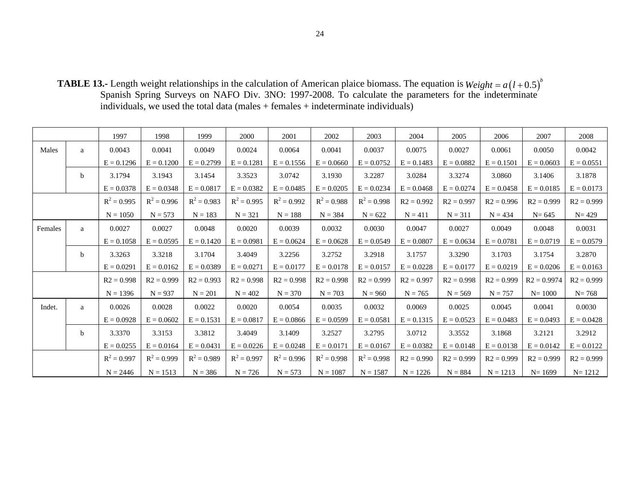**TABLE 13.-** Length weight relationships in the calculation of American plaice biomass. The equation is Spanish Spring Surveys on NAFO Div. 3NO: 1997-2008. To calculate the parameters for the indeterminate individuals, we used the total data (males + females + indeterminate individuals)  $Weight = a(l + 0.5)^{b}$ 

|         |   | 1997          | 1998          | 1999          | 2000          | 2001          | 2002          | 2003          | 2004         | 2005         | 2006         | 2007          | 2008         |
|---------|---|---------------|---------------|---------------|---------------|---------------|---------------|---------------|--------------|--------------|--------------|---------------|--------------|
|         |   |               |               |               |               |               |               |               |              |              |              |               |              |
| Males   | a | 0.0043        | 0.0041        | 0.0049        | 0.0024        | 0.0064        | 0.0041        | 0.0037        | 0.0075       | 0.0027       | 0.0061       | 0.0050        | 0.0042       |
|         |   | $E = 0.1296$  | $E = 0.1200$  | $E = 0.2799$  | $E = 0.1281$  | $E = 0.1556$  | $E = 0.0660$  | $E = 0.0752$  | $E = 0.1483$ | $E = 0.0882$ | $E = 0.1501$ | $E = 0.0603$  | $E = 0.0551$ |
|         | b | 3.1794        | 3.1943        | 3.1454        | 3.3523        | 3.0742        | 3.1930        | 3.2287        | 3.0284       | 3.3274       | 3.0860       | 3.1406        | 3.1878       |
|         |   | $E = 0.0378$  | $E = 0.0348$  | $E = 0.0817$  | $E = 0.0382$  | $E = 0.0485$  | $E = 0.0205$  | $E = 0.0234$  | $E = 0.0468$ | $E = 0.0274$ | $E = 0.0458$ | $E = 0.0185$  | $E = 0.0173$ |
|         |   | $R^2 = 0.995$ | $R^2 = 0.996$ | $R^2 = 0.983$ | $R^2 = 0.995$ | $R^2 = 0.992$ | $R^2 = 0.988$ | $R^2 = 0.998$ | $R2 = 0.992$ | $R2 = 0.997$ | $R2 = 0.996$ | $R2 = 0.999$  | $R2 = 0.999$ |
|         |   | $N = 1050$    | $N = 573$     | $N = 183$     | $N = 321$     | $N = 188$     | $N = 384$     | $N = 622$     | $N = 411$    | $N = 311$    | $N = 434$    | $N = 645$     | $N = 429$    |
| Females | a | 0.0027        | 0.0027        | 0.0048        | 0.0020        | 0.0039        | 0.0032        | 0.0030        | 0.0047       | 0.0027       | 0.0049       | 0.0048        | 0.0031       |
|         |   | $E = 0.1058$  | $E = 0.0595$  | $E = 0.1420$  | $E = 0.0981$  | $E = 0.0624$  | $E = 0.0628$  | $E = 0.0549$  | $E = 0.0807$ | $E = 0.0634$ | $E = 0.0781$ | $E = 0.0719$  | $E = 0.0579$ |
|         | b | 3.3263        | 3.3218        | 3.1704        | 3.4049        | 3.2256        | 3.2752        | 3.2918        | 3.1757       | 3.3290       | 3.1703       | 3.1754        | 3.2870       |
|         |   | $E = 0.0291$  | $E = 0.0162$  | $E = 0.0389$  | $E = 0.0271$  | $E = 0.0177$  | $E = 0.0178$  | $E = 0.0157$  | $E = 0.0228$ | $E = 0.0177$ | $E = 0.0219$ | $E = 0.0206$  | $E = 0.0163$ |
|         |   | $R2 = 0.998$  | $R2 = 0.999$  | $R2 = 0.993$  | $R2 = 0.998$  | $R2 = 0.998$  | $R2 = 0.998$  | $R2 = 0.999$  | $R2 = 0.997$ | $R2 = 0.998$ | $R2 = 0.999$ | $R2 = 0.9974$ | $R2 = 0.999$ |
|         |   | $N = 1396$    | $N = 937$     | $N = 201$     | $N = 402$     | $N = 370$     | $N = 703$     | $N = 960$     | $N = 765$    | $N = 569$    | $N = 757$    | $N = 1000$    | $N = 768$    |
| Indet.  | a | 0.0026        | 0.0028        | 0.0022        | 0.0020        | 0.0054        | 0.0035        | 0.0032        | 0.0069       | 0.0025       | 0.0045       | 0.0041        | 0.0030       |
|         |   | $E = 0.0928$  | $E = 0.0602$  | $E = 0.1531$  | $E = 0.0817$  | $E = 0.0866$  | $E = 0.0599$  | $E = 0.0581$  | $E = 0.1315$ | $E = 0.0523$ | $E = 0.0483$ | $E = 0.0493$  | $E = 0.0428$ |
|         | b | 3.3370        | 3.3153        | 3.3812        | 3.4049        | 3.1409        | 3.2527        | 3.2795        | 3.0712       | 3.3552       | 3.1868       | 3.2121        | 3.2912       |
|         |   | $E = 0.0255$  | $E = 0.0164$  | $E = 0.0431$  | $E = 0.0226$  | $E = 0.0248$  | $E = 0.0171$  | $E = 0.0167$  | $E = 0.0382$ | $E = 0.0148$ | $E = 0.0138$ | $E = 0.0142$  | $E = 0.0122$ |
|         |   | $R^2 = 0.997$ | $R^2 = 0.999$ | $R^2 = 0.989$ | $R^2 = 0.997$ | $R^2 = 0.996$ | $R^2 = 0.998$ | $R^2 = 0.998$ | $R2 = 0.990$ | $R2 = 0.999$ | $R2 = 0.999$ | $R2 = 0.999$  | $R2 = 0.999$ |
|         |   | $N = 2446$    | $N = 1513$    | $N = 386$     | $N = 726$     | $N = 573$     | $N = 1087$    | $N = 1587$    | $N = 1226$   | $N = 884$    | $N = 1213$   | $N = 1699$    | $N = 1212$   |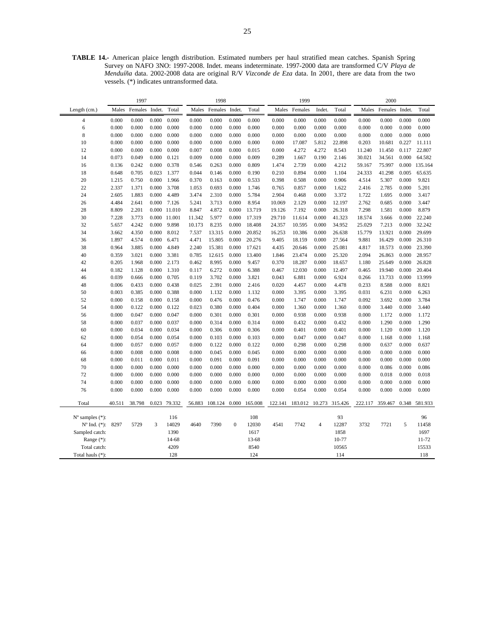**TABLE 14.-** American plaice length distribution. Estimated numbers per haul stratified mean catches. Spanish Spring Survey on NAFO 3NO: 1997-2008. Indet. means indeterminate. 1997-2000 data are transformed C/V *Playa de Menduíña* data. 2002-2008 data are original R/V *Vizconde de Eza* data. In 2001, there are data from the two vessels. (\*) indicates untransformed data.

|                             |        | 1997    |        |              |        | 1998    |                  |         |         | 1999    |                |                |         | 2000    |        |               |
|-----------------------------|--------|---------|--------|--------------|--------|---------|------------------|---------|---------|---------|----------------|----------------|---------|---------|--------|---------------|
| Length (cm.)                | Males  | Females | Indet. | Total        | Males  | Females | Indet.           | Total   | Males   | Females | Indet.         | Total          | Males   | Females | Indet. | Total         |
| $\overline{4}$              | 0.000  | 0.000   | 0.000  | 0.000        | 0.000  | 0.000   | 0.000            | 0.000   | 0.000   | 0.000   | 0.000          | 0.000          | 0.000   | 0.000   | 0.000  | 0.000         |
| 6                           | 0.000  | 0.000   | 0.000  | 0.000        | 0.000  | 0.000   | 0.000            | 0.000   | 0.000   | 0.000   | 0.000          | 0.000          | 0.000   | 0.000   | 0.000  | 0.000         |
| 8                           | 0.000  | 0.000   | 0.000  | 0.000        | 0.000  | 0.000   | 0.000            | 0.000   | 0.000   | 0.000   | 0.000          | 0.000          | 0.000   | 0.000   | 0.000  | 0.000         |
| 10                          | 0.000  | 0.000   | 0.000  | 0.000        | 0.000  | 0.000   | 0.000            | 0.000   | 0.000   | 17.087  | 5.812          | 22.898         | 0.203   | 10.681  | 0.227  | 11.111        |
| 12                          | 0.000  | 0.000   | 0.000  | 0.000        | 0.007  | 0.008   | 0.000            | 0.015   | 0.000   | 4.272   | 4.272          | 8.543          | 11.240  | 11.450  | 0.117  | 22.807        |
| 14                          | 0.073  | 0.049   | 0.000  | 0.121        | 0.009  | 0.000   | 0.000            | 0.009   | 0.289   | 1.667   | 0.190          | 2.146          | 30.021  | 34.561  | 0.000  | 64.582        |
| 16                          | 0.136  | 0.242   | 0.000  | 0.378        | 0.546  | 0.263   | 0.000            | 0.809   | 1.474   | 2.739   | 0.000          | 4.212          | 59.167  | 75.997  | 0.000  | 135.164       |
| 18                          | 0.648  | 0.705   | 0.023  | 1.377        | 0.044  | 0.146   | 0.000            | 0.190   | 0.210   | 0.894   | 0.000          | 1.104          | 24.333  | 41.298  | 0.005  | 65.635        |
| 20                          | 1.215  | 0.750   | 0.000  | 1.966        | 0.370  | 0.163   | 0.000            | 0.533   | 0.398   | 0.508   | 0.000          | 0.906          | 4.514   | 5.307   | 0.000  | 9.821         |
| 22                          | 2.337  | 1.371   | 0.000  | 3.708        | 1.053  | 0.693   | 0.000            | 1.746   | 0.765   | 0.857   | 0.000          | 1.622          | 2.416   | 2.785   | 0.000  | 5.201         |
| 24                          | 2.605  | 1.883   | 0.000  | 4.489        | 3.474  | 2.310   | 0.000            | 5.784   | 2.904   | 0.468   | 0.000          | 3.372          | 1.722   | 1.695   | 0.000  | 3.417         |
| 26                          | 4.484  | 2.641   | 0.000  | 7.126        | 5.241  | 3.713   | 0.000            | 8.954   | 10.069  | 2.129   | 0.000          | 12.197         | 2.762   | 0.685   | 0.000  | 3.447         |
| 28                          | 8.809  | 2.201   |        | 0.000 11.010 | 8.847  | 4.872   | 0.000            | 13.719  | 19.126  | 7.192   | 0.000          | 26.318         | 7.298   | 1.581   | 0.000  | 8.879         |
| 30                          | 7.228  | 3.773   | 0.000  | 11.001       | 11.342 | 5.977   | 0.000            | 17.319  | 29.710  | 11.614  | 0.000          | 41.323         | 18.574  | 3.666   | 0.000  | 22.240        |
| 32                          | 5.657  | 4.242   | 0.000  | 9.898        | 10.173 | 8.235   | 0.000            | 18.408  | 24.357  | 10.595  | 0.000          | 34.952         | 25.029  | 7.213   | 0.000  | 32.242        |
| 34                          | 3.662  | 4.350   | 0.000  | 8.012        | 7.537  | 13.315  | 0.000            | 20.852  | 16.253  | 10.386  | 0.000          | 26.638         | 15.779  | 13.921  | 0.000  | 29.699        |
| 36                          | 1.897  | 4.574   | 0.000  | 6.471        | 4.471  | 15.805  | 0.000            | 20.276  | 9.405   | 18.159  | 0.000          | 27.564         | 9.881   | 16.429  | 0.000  | 26.310        |
| 38                          | 0.964  | 3.885   | 0.000  | 4.849        | 2.240  | 15.381  | 0.000            | 17.621  | 4.435   | 20.646  | 0.000          | 25.081         | 4.817   | 18.573  | 0.000  | 23.390        |
| 40                          | 0.359  | 3.021   | 0.000  | 3.381        | 0.785  | 12.615  | 0.000            | 13.400  | 1.846   | 23.474  | 0.000          | 25.320         | 2.094   | 26.863  | 0.000  | 28.957        |
| 42                          | 0.205  | 1.968   | 0.000  | 2.173        | 0.462  | 8.995   | 0.000            | 9.457   | 0.370   | 18.287  | 0.000          | 18.657         | 1.180   | 25.649  | 0.000  | 26.828        |
| 44                          | 0.182  | 1.128   | 0.000  | 1.310        | 0.117  | 6.272   | 0.000            | 6.388   | 0.467   | 12.030  | 0.000          | 12.497         | 0.465   | 19.940  | 0.000  | 20.404        |
| 46                          | 0.039  | 0.666   | 0.000  | 0.705        | 0.119  | 3.702   | 0.000            | 3.821   | 0.043   | 6.881   | 0.000          | 6.924          | 0.266   | 13.733  | 0.000  | 13.999        |
| 48                          | 0.006  | 0.433   | 0.000  | 0.438        | 0.025  | 2.391   | 0.000            | 2.416   | 0.020   | 4.457   | 0.000          | 4.478          | 0.233   | 8.588   | 0.000  | 8.821         |
| 50                          | 0.003  | 0.385   | 0.000  | 0.388        | 0.000  | 1.132   | 0.000            | 1.132   | 0.000   | 3.395   | 0.000          | 3.395          | 0.031   | 6.231   | 0.000  | 6.263         |
| 52                          | 0.000  | 0.158   | 0.000  | 0.158        | 0.000  | 0.476   | 0.000            | 0.476   | 0.000   | 1.747   | 0.000          | 1.747          | 0.092   | 3.692   | 0.000  | 3.784         |
| 54                          | 0.000  | 0.122   | 0.000  | 0.122        | 0.023  | 0.380   | 0.000            | 0.404   | 0.000   | 1.360   | 0.000          | 1.360          | 0.000   | 3.440   | 0.000  | 3.440         |
| 56                          | 0.000  | 0.047   | 0.000  | 0.047        | 0.000  | 0.301   | 0.000            | 0.301   | 0.000   | 0.938   | 0.000          | 0.938          | 0.000   | 1.172   | 0.000  | 1.172         |
| 58                          | 0.000  | 0.037   | 0.000  | 0.037        | 0.000  | 0.314   | 0.000            | 0.314   | 0.000   | 0.432   | 0.000          | 0.432          | 0.000   | 1.290   | 0.000  | 1.290         |
| 60                          | 0.000  | 0.034   | 0.000  | 0.034        | 0.000  | 0.306   | 0.000            | 0.306   | 0.000   | 0.401   | 0.000          | 0.401          | 0.000   | 1.120   | 0.000  | 1.120         |
| 62                          | 0.000  | 0.054   | 0.000  | 0.054        | 0.000  | 0.103   | 0.000            | 0.103   | 0.000   | 0.047   | 0.000          | 0.047          | 0.000   | 1.168   | 0.000  | 1.168         |
| 64                          | 0.000  | 0.057   | 0.000  | 0.057        | 0.000  | 0.122   | 0.000            | 0.122   | 0.000   | 0.298   | 0.000          | 0.298          | 0.000   | 0.637   | 0.000  | 0.637         |
| 66                          | 0.000  | 0.008   | 0.000  | 0.008        | 0.000  | 0.045   | 0.000            | 0.045   | 0.000   | 0.000   | 0.000          | 0.000          | 0.000   | 0.000   | 0.000  | 0.000         |
| 68                          | 0.000  | 0.011   | 0.000  | 0.011        | 0.000  | 0.091   | 0.000            | 0.091   | 0.000   | 0.000   | 0.000          | 0.000          | 0.000   | 0.000   | 0.000  | 0.000         |
| 70                          | 0.000  | 0.000   | 0.000  | 0.000        | 0.000  | 0.000   | 0.000            | 0.000   | 0.000   | 0.000   | 0.000          | 0.000          | 0.000   | 0.086   | 0.000  | 0.086         |
| 72                          | 0.000  | 0.000   | 0.000  | 0.000        | 0.000  | 0.000   | 0.000            | 0.000   | 0.000   | 0.000   | 0.000          | 0.000          | 0.000   | 0.018   | 0.000  | 0.018         |
| 74                          | 0.000  | 0.000   | 0.000  | 0.000        | 0.000  | 0.000   | 0.000            | 0.000   | 0.000   | 0.000   | 0.000          | 0.000          | 0.000   | 0.000   | 0.000  | 0.000         |
| 76                          | 0.000  | 0.000   | 0.000  | 0.000        | 0.000  | 0.000   | 0.000            | 0.000   | 0.000   | 0.054   | 0.000          | 0.054          | 0.000   | 0.000   | 0.000  | 0.000         |
| Total                       | 40.511 | 38.798  |        | 0.023 79.332 | 56.883 | 108.124 | 0.000            | 165.008 | 122.141 | 183.012 |                | 10.273 315.426 | 222.117 | 359.467 |        | 0.348 581.933 |
| $N^{\circ}$ samples $(*)$ : |        |         |        | 116          |        |         |                  | 108     |         |         |                | 93             |         |         |        | 96            |
| $N^{\circ}$ Ind. $(*)$ :    | 8297   | 5729    | 3      | 14029        | 4640   | 7390    | $\boldsymbol{0}$ | 12030   | 4541    | 7742    | $\overline{4}$ | 12287          | 3732    | 7721    | 5      | 11458         |
| Sampled catch:              |        |         |        | 1390         |        |         |                  | 1617    |         |         |                | 1858           |         |         |        | 1697          |
| Range $(*)$ :               |        |         |        | 14-68        |        |         |                  | 13-68   |         |         |                | 10-77          |         |         |        | 11-72         |
| Total catch:                |        |         |        | 4209         |        |         |                  | 8540    |         |         |                | 10565          |         |         |        | 15533         |
| Total hauls (*):            |        |         |        | 128          |        |         |                  | 124     |         |         |                | 114            |         |         |        | 118           |
|                             |        |         |        |              |        |         |                  |         |         |         |                |                |         |         |        |               |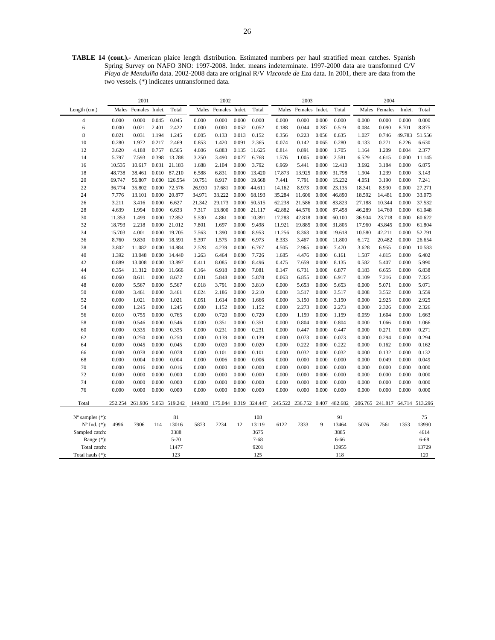**TABLE 14 (cont.).-** American plaice length distribution. Estimated numbers per haul stratified mean catches. Spanish Spring Survey on NAFO 3NO: 1997-2008. Indet. means indeterminate. 1997-2000 data are transformed C/V *Playa de Menduíña* data. 2002-2008 data are original R/V *Vizconde de Eza* data. In 2001, there are data from the two vessels. (\*) indicates untransformed data.

|                                                      |         | 2001                  |       |               |         | 2002           |       |          |         | 2003           |       |         |                 | 2004          |        |                |
|------------------------------------------------------|---------|-----------------------|-------|---------------|---------|----------------|-------|----------|---------|----------------|-------|---------|-----------------|---------------|--------|----------------|
| Length (cm.)                                         | Males   | Females Indet.        |       | Total         | Males   | Females Indet. |       | Total    | Males   | Females Indet. |       | Total   |                 | Males Females | Indet. | Total          |
| $\overline{4}$                                       | 0.000   | 0.000                 | 0.045 | 0.045         | 0.000   | 0.000          | 0.000 | 0.000    | 0.000   | 0.000          | 0.000 | 0.000   | 0.000           | 0.000         | 0.000  | 0.000          |
| 6                                                    | 0.000   | 0.021                 | 2.401 | 2.422         | 0.000   | 0.000          | 0.052 | 0.052    | 0.188   | 0.044          | 0.287 | 0.519   | 0.084           | 0.090         | 8.701  | 8.875          |
| $\,$ 8 $\,$                                          | 0.021   | 0.031                 | 1.194 | 1.245         | 0.005   | 0.133          | 0.013 | 0.152    | 0.356   | 0.223          | 0.056 | 0.635   | 1.027           | 0.746         | 49.783 | 51.556         |
| 10                                                   | 0.280   | 1.972                 | 0.217 | 2.469         | 0.853   | 1.420          | 0.091 | 2.365    | 0.074   | 0.142          | 0.065 | 0.280   | 0.133           | 0.271         | 6.226  | 6.630          |
| 12                                                   | 3.620   | 4.188                 | 0.757 | 8.565         | 4.606   | 6.883          | 0.135 | 11.625   | 0.814   | 0.891          | 0.000 | 1.705   | 1.164           | 1.209         | 0.004  | 2.377          |
| 14                                                   | 5.797   | 7.593                 | 0.398 | 13.788        | 3.250   | 3.490          | 0.027 | 6.768    | 1.576   | 1.005          | 0.000 | 2.581   | 6.529           | 4.615         | 0.000  | 11.145         |
| 16                                                   | 10.535  | 10.617                | 0.031 | 21.183        | 1.688   | 2.104          | 0.000 | 3.792    | 6.969   | 5.441          | 0.000 | 12.410  | 3.692           | 3.184         | 0.000  | 6.875          |
| 18                                                   | 48.738  | 38.461                | 0.010 | 87.210        | 6.588   | 6.831          | 0.000 | 13.420   | 17.873  | 13.925         | 0.000 | 31.798  | 1.904           | 1.239         | 0.000  | 3.143          |
| 20                                                   | 69.747  | 56.807                |       | 0.000 126.554 | 10.751  | 8.917          | 0.000 | 19.668   | 7.441   | 7.791          | 0.000 | 15.232  | 4.051           | 3.190         | 0.000  | 7.241          |
| 22                                                   | 36.774  | 35.802                | 0.000 | 72.576        | 26.930  | 17.681         | 0.000 | 44.611   | 14.162  | 8.973          | 0.000 | 23.135  | 18.341          | 8.930         | 0.000  | 27.271         |
| 24                                                   | 7.776   | 13.101                | 0.000 | 20.877        | 34.971  | 33.222         | 0.000 | 68.193   | 35.284  | 11.606         | 0.000 | 46.890  | 18.592          | 14.481        | 0.000  | 33.073         |
| 26                                                   | 3.211   | 3.416                 | 0.000 | 6.627         | 21.342  | 29.173         | 0.000 | 50.515   | 62.238  | 21.586         | 0.000 | 83.823  | 27.188          | 10.344        | 0.000  | 37.532         |
| 28                                                   | 4.639   | 1.994                 | 0.000 | 6.633         | 7.317   | 13.800         | 0.000 | 21.117   | 42.882  | 44.576         | 0.000 | 87.458  | 46.289          | 14.760        | 0.000  | 61.048         |
| 30                                                   | 11.353  | 1.499                 | 0.000 | 12.852        | 5.530   | 4.861          | 0.000 | 10.391   | 17.283  | 42.818         | 0.000 | 60.100  | 36.904          | 23.718        | 0.000  | 60.622         |
| 32                                                   | 18.793  | 2.218                 | 0.000 | 21.012        | 7.801   | 1.697          | 0.000 | 9.498    | 11.921  | 19.885         | 0.000 | 31.805  | 17.960          | 43.845        | 0.000  | 61.804         |
| 34                                                   | 15.703  | 4.001                 | 0.000 | 19.705        | 7.563   | 1.390          | 0.000 | 8.953    | 11.256  | 8.363          | 0.000 | 19.618  | 10.580          | 42.211        | 0.000  | 52.791         |
| 36                                                   | 8.760   | 9.830                 | 0.000 | 18.591        | 5.397   | 1.575          | 0.000 | 6.973    | 8.333   | 3.467          | 0.000 | 11.800  | 6.172           | 20.482        | 0.000  | 26.654         |
| 38                                                   | 3.802   | 11.082                | 0.000 | 14.884        | 2.528   | 4.239          | 0.000 | 6.767    | 4.505   | 2.965          | 0.000 | 7.470   | 3.628           | 6.955         | 0.000  | 10.583         |
| 40                                                   | 1.392   | 13.048                | 0.000 | 14.440        | 1.263   | 6.464          | 0.000 | 7.726    | 1.685   | 4.476          | 0.000 | 6.161   | 1.587           | 4.815         | 0.000  | 6.402          |
| 42                                                   | 0.889   | 13.008                | 0.000 | 13.897        | 0.411   | 8.085          | 0.000 | 8.496    | 0.475   | 7.659          | 0.000 | 8.135   | 0.582           | 5.407         | 0.000  | 5.990          |
| 44                                                   | 0.354   | 11.312                | 0.000 | 11.666        | 0.164   | 6.918          | 0.000 | 7.081    | 0.147   | 6.731          | 0.000 | 6.877   | 0.183           | 6.655         | 0.000  | 6.838          |
| 46                                                   | 0.060   | 8.611                 | 0.000 | 8.672         | 0.031   | 5.848          | 0.000 | 5.878    | 0.063   | 6.855          | 0.000 | 6.917   | 0.109           | 7.216         | 0.000  | 7.325          |
| 48                                                   | 0.000   | 5.567                 | 0.000 | 5.567         | 0.018   | 3.791          | 0.000 | 3.810    | 0.000   | 5.653          | 0.000 | 5.653   | 0.000           | 5.071         | 0.000  | 5.071          |
| 50                                                   | 0.000   | 3.461                 | 0.000 | 3.461         | 0.024   | 2.186          | 0.000 | 2.210    | 0.000   | 3.517          | 0.000 | 3.517   | 0.008           | 3.552         | 0.000  | 3.559          |
| 52                                                   | 0.000   | 1.021                 | 0.000 | 1.021         | 0.051   | 1.614          | 0.000 | 1.666    | 0.000   | 3.150          | 0.000 | 3.150   | 0.000           | 2.925         | 0.000  | 2.925          |
| 54                                                   | 0.000   | 1.245                 | 0.000 | 1.245         | 0.000   | 1.152          | 0.000 | 1.152    | 0.000   | 2.273          | 0.000 | 2.273   | 0.000           | 2.326         | 0.000  | 2.326          |
| 56                                                   | 0.010   | 0.755                 | 0.000 | 0.765         | 0.000   | 0.720          | 0.000 | 0.720    | 0.000   | 1.159          | 0.000 | 1.159   | 0.059           | 1.604         | 0.000  | 1.663          |
| 58                                                   | 0.000   | 0.546                 | 0.000 | 0.546         | 0.000   | 0.351          | 0.000 | 0.351    | 0.000   | 0.804          | 0.000 | 0.804   | 0.000           | 1.066         | 0.000  | 1.066          |
| 60                                                   | 0.000   | 0.335                 | 0.000 | 0.335         | 0.000   | 0.231          | 0.000 | 0.231    | 0.000   | 0.447          | 0.000 | 0.447   | 0.000           | 0.271         | 0.000  | 0.271          |
| 62                                                   | 0.000   | 0.250                 | 0.000 | 0.250         | 0.000   | 0.139          | 0.000 | 0.139    | 0.000   | 0.073          | 0.000 | 0.073   | 0.000           | 0.294         | 0.000  | 0.294          |
| 64                                                   | 0.000   | 0.045                 | 0.000 | 0.045         | 0.000   | 0.020          | 0.000 | 0.020    | 0.000   | 0.222          | 0.000 | 0.222   | 0.000           | 0.162         | 0.000  | 0.162          |
| 66                                                   | 0.000   | 0.078                 | 0.000 | 0.078         | 0.000   | 0.101          | 0.000 | 0.101    | 0.000   | 0.032          | 0.000 | 0.032   | 0.000           | 0.132         | 0.000  | 0.132          |
| 68                                                   | 0.000   | 0.004                 | 0.000 | 0.004         | 0.000   | 0.006          | 0.000 | 0.006    | 0.000   | 0.000          | 0.000 | 0.000   | 0.000           | 0.049         | 0.000  | 0.049          |
| 70                                                   | 0.000   | 0.016                 | 0.000 | 0.016         | 0.000   | 0.000          | 0.000 | 0.000    | 0.000   | 0.000          | 0.000 | 0.000   | 0.000           | 0.000         | 0.000  | 0.000          |
| 72                                                   | 0.000   | 0.000                 | 0.000 | 0.000         | 0.000   | 0.000          | 0.000 | 0.000    | 0.000   | 0.000          | 0.000 | 0.000   | 0.000           | 0.000         | 0.000  | 0.000          |
| 74                                                   | 0.000   | 0.000                 | 0.000 | 0.000         | 0.000   | 0.000          | 0.000 | 0.000    | 0.000   | 0.000          | 0.000 | 0.000   | 0.000           | 0.000         | 0.000  | 0.000          |
| 76                                                   | 0.000   | 0.000                 | 0.000 | 0.000         | 0.000   | 0.000          | 0.000 | 0.000    | 0.000   | 0.000          | 0.000 | 0.000   | 0.000           | 0.000         | 0.000  | 0.000          |
| Total                                                | 252.254 | 261.936 5.053 519.242 |       |               | 149.083 | 175.044 0.319  |       | 324.447  | 245.522 | 236.752 0.407  |       | 482.682 | 206.765 241.817 |               |        | 64.714 513.296 |
|                                                      |         |                       |       | 81            |         |                |       | 108      |         |                |       | 91      |                 |               |        | 75             |
| $N^{\circ}$ samples $(*)$ :<br>$N^{\circ}$ Ind. (*): | 4996    | 7906                  | 114   | 13016         | 5873    | 7234           | 12    | 13119    | 6122    | 7333           | 9     | 13464   | 5076            | 7561          | 1353   | 13990          |
| Sampled catch:                                       |         |                       |       | 3388          |         |                |       | 3675     |         |                |       | 3885    |                 |               |        | 4614           |
| Range (*):                                           |         |                       |       | 5-70          |         |                |       | $7 - 68$ |         |                |       | 6-66    |                 |               |        | $6 - 68$       |
| Total catch:                                         |         |                       |       | 11477         |         |                |       | 9201     |         |                |       | 13955   |                 |               |        | 13729          |
|                                                      |         |                       |       | 123           |         |                |       | 125      |         |                |       | 118     |                 |               |        | 120            |
| Total hauls (*):                                     |         |                       |       |               |         |                |       |          |         |                |       |         |                 |               |        |                |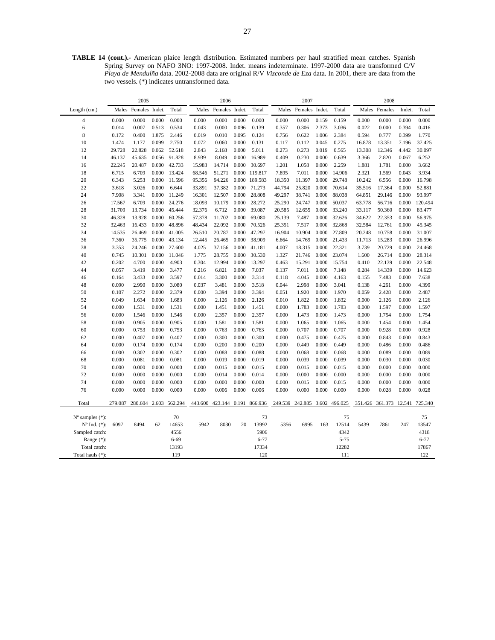**TABLE 14 (cont.).-** American plaice length distribution. Estimated numbers per haul stratified mean catches. Spanish Spring Survey on NAFO 3NO: 1997-2008. Indet. means indeterminate. 1997-2000 data are transformed C/V *Playa de Menduíña* data. 2002-2008 data are original R/V *Vizconde de Eza* data. In 2001, there are data from the two vessels. (\*) indicates untransformed data.

|                                                      |         | 2005           |       |                       |         | 2006                  |       |               |         | 2007                  |       |             |                 | 2008          |        |             |
|------------------------------------------------------|---------|----------------|-------|-----------------------|---------|-----------------------|-------|---------------|---------|-----------------------|-------|-------------|-----------------|---------------|--------|-------------|
| Length (cm.)                                         | Males   | Females Indet. |       | Total                 | Males   | Females Indet.        |       | Total         | Males   | Females Indet.        |       | Total       |                 | Males Females | Indet. | Total       |
| $\overline{4}$                                       | 0.000   | 0.000          | 0.000 | 0.000                 | 0.000   | 0.000                 | 0.000 | 0.000         | 0.000   | 0.000                 | 0.159 | 0.159       | 0.000           | 0.000         | 0.000  | 0.000       |
| 6                                                    | 0.014   | 0.007          | 0.513 | 0.534                 | 0.043   | 0.000                 | 0.096 | 0.139         | 0.357   | 0.306                 | 2.373 | 3.036       | 0.022           | 0.000         | 0.394  | 0.416       |
| 8                                                    | 0.172   | 0.400          | 1.875 | 2.446                 | 0.019   | 0.010                 | 0.095 | 0.124         | 0.756   | 0.622                 | 1.006 | 2.384       | 0.594           | 0.777         | 0.399  | 1.770       |
| 10                                                   | 1.474   | 1.177          | 0.099 | 2.750                 | 0.072   | 0.060                 | 0.000 | 0.131         | 0.117   | 0.112                 | 0.045 | 0.275       | 16.878          | 13.351        | 7.196  | 37.425      |
| 12                                                   | 29.728  | 22.828         | 0.062 | 52.618                | 2.843   | 2.168                 | 0.000 | 5.011         | 0.273   | 0.273                 | 0.019 | 0.565       | 13.308          | 12.346        | 4.442  | 30.097      |
| 14                                                   | 46.137  | 45.635         | 0.056 | 91.828                | 8.939   | 8.049                 | 0.000 | 16.989        | 0.409   | 0.230                 | 0.000 | 0.639       | 3.366           | 2.820         | 0.067  | 6.252       |
| 16                                                   | 22.245  | 20.487         | 0.000 | 42.733                | 15.983  | 14.714                | 0.000 | 30.697        | 1.201   | 1.058                 | 0.000 | 2.259       | 1.881           | 1.781         | 0.000  | 3.662       |
| 18                                                   | 6.715   | 6.709          | 0.000 | 13.424                | 68.546  | 51.271                |       | 0.000 119.817 | 7.895   | 7.011                 | 0.000 | 14.906      | 2.321           | 1.569         | 0.043  | 3.934       |
| 20                                                   | 6.343   | 5.253          | 0.000 | 11.596                | 95.356  | 94.226                |       | 0.000 189.583 | 18.350  | 11.397                | 0.000 | 29.748      | 10.242          | 6.556         | 0.000  | 16.798      |
| 22                                                   | 3.618   | 3.026          | 0.000 | 6.644                 | 33.891  | 37.382                | 0.000 | 71.273        | 44.794  | 25.820                | 0.000 | 70.614      | 35.516          | 17.364        | 0.000  | 52.881      |
| 24                                                   | 7.908   | 3.341          | 0.000 | 11.249                | 16.301  | 12.507                | 0.000 | 28.808        | 49.297  | 38.741                | 0.000 | 88.038      | 64.851          | 29.146        | 0.000  | 93.997      |
| 26                                                   | 17.567  | 6.709          | 0.000 | 24.276                | 18.093  | 10.179                | 0.000 | 28.272        | 25.290  | 24.747                | 0.000 | 50.037      | 63.778          | 56.716        | 0.000  | 120.494     |
| 28                                                   | 31.709  | 13.734         | 0.000 | 45.444                | 32.376  | 6.712                 | 0.000 | 39.087        | 20.585  | 12.655                | 0.000 | 33.240      | 33.117          | 50.360        | 0.000  | 83.477      |
| 30                                                   | 46.328  | 13.928         | 0.000 | 60.256                | 57.378  | 11.702                | 0.000 | 69.080        | 25.139  | 7.487                 | 0.000 | 32.626      | 34.622          | 22.353        | 0.000  | 56.975      |
| 32                                                   | 32.463  | 16.433         | 0.000 | 48.896                | 48.434  | 22.092                | 0.000 | 70.526        | 25.351  | 7.517                 | 0.000 | 32.868      | 32.584          | 12.761        | 0.000  | 45.345      |
| 34                                                   | 14.535  | 26.469         | 0.000 | 41.005                | 26.510  | 20.787                | 0.000 | 47.297        | 16.904  | 10.904                | 0.000 | 27.809      | 20.248          | 10.758        | 0.000  | 31.007      |
| 36                                                   | 7.360   | 35.775         | 0.000 | 43.134                | 12.445  | 26.465                | 0.000 | 38.909        | 6.664   | 14.769                | 0.000 | 21.433      | 11.713          | 15.283        | 0.000  | 26.996      |
| 38                                                   | 3.353   | 24.246         | 0.000 | 27.600                | 4.025   | 37.156                | 0.000 | 41.181        | 4.007   | 18.315                | 0.000 | 22.321      | 3.739           | 20.729        | 0.000  | 24.468      |
| 40                                                   | 0.745   | 10.301         | 0.000 | 11.046                | 1.775   | 28.755                | 0.000 | 30.530        | 1.327   | 21.746                | 0.000 | 23.074      | 1.600           | 26.714        | 0.000  | 28.314      |
| 42                                                   | 0.202   | 4.700          | 0.000 | 4.903                 | 0.304   | 12.994                | 0.000 | 13.297        | 0.463   | 15.291                | 0.000 | 15.754      | 0.410           | 22.139        | 0.000  | 22.548      |
| 44                                                   | 0.057   | 3.419          | 0.000 | 3.477                 | 0.216   | 6.821                 | 0.000 | 7.037         | 0.137   | 7.011                 | 0.000 | 7.148       | 0.284           | 14.339        | 0.000  | 14.623      |
| 46                                                   | 0.164   | 3.433          | 0.000 | 3.597                 | 0.014   | 3.300                 | 0.000 | 3.314         | 0.118   | 4.045                 | 0.000 | 4.163       | 0.155           | 7.483         | 0.000  | 7.638       |
| 48                                                   | 0.090   | 2.990          | 0.000 | 3.080                 | 0.037   | 3.481                 | 0.000 | 3.518         | 0.044   | 2.998                 | 0.000 | 3.041       | 0.138           | 4.261         | 0.000  | 4.399       |
| 50                                                   | 0.107   | 2.272          | 0.000 | 2.379                 | 0.000   | 3.394                 | 0.000 | 3.394         | 0.051   | 1.920                 | 0.000 | 1.970       | 0.059           | 2.428         | 0.000  | 2.487       |
| 52                                                   | 0.049   | 1.634          | 0.000 | 1.683                 | 0.000   | 2.126                 | 0.000 | 2.126         | 0.010   | 1.822                 | 0.000 | 1.832       | 0.000           | 2.126         | 0.000  | 2.126       |
| 54                                                   | 0.000   | 1.531          | 0.000 | 1.531                 | 0.000   | 1.451                 | 0.000 | 1.451         | 0.000   | 1.783                 | 0.000 | 1.783       | 0.000           | 1.597         | 0.000  | 1.597       |
| 56                                                   | 0.000   | 1.546          | 0.000 | 1.546                 | 0.000   | 2.357                 | 0.000 | 2.357         | 0.000   | 1.473                 | 0.000 | 1.473       | 0.000           | 1.754         | 0.000  | 1.754       |
| 58                                                   | 0.000   | 0.905          | 0.000 | 0.905                 | 0.000   | 1.581                 | 0.000 | 1.581         | 0.000   | 1.065                 | 0.000 | 1.065       | 0.000           | 1.454         | 0.000  | 1.454       |
| 60                                                   | 0.000   | 0.753          | 0.000 | 0.753                 | 0.000   | 0.763                 | 0.000 | 0.763         | 0.000   | 0.707                 | 0.000 | 0.707       | 0.000           | 0.928         | 0.000  | 0.928       |
| 62                                                   | 0.000   | 0.407          | 0.000 | 0.407                 | 0.000   | 0.300                 | 0.000 | 0.300         | 0.000   | 0.475                 | 0.000 | 0.475       | 0.000           | 0.843         | 0.000  | 0.843       |
| 64                                                   | 0.000   | 0.174          | 0.000 | 0.174                 | 0.000   | 0.200                 | 0.000 | 0.200         | 0.000   | 0.449                 | 0.000 | 0.449       | 0.000           | 0.486         | 0.000  | 0.486       |
| 66                                                   | 0.000   | 0.302          | 0.000 | 0.302                 | 0.000   | 0.088                 | 0.000 | 0.088         | 0.000   | 0.068                 | 0.000 | 0.068       | 0.000           | 0.089         | 0.000  | 0.089       |
| 68                                                   | 0.000   | 0.081          | 0.000 | 0.081                 | 0.000   | 0.019                 | 0.000 | 0.019         | 0.000   | 0.039                 | 0.000 | 0.039       | 0.000           | 0.030         | 0.000  | 0.030       |
| 70                                                   | 0.000   | 0.000          | 0.000 | 0.000                 | 0.000   | 0.015                 | 0.000 | 0.015         | 0.000   | 0.015                 | 0.000 | 0.015       | 0.000           | 0.000         | 0.000  | 0.000       |
| 72                                                   | 0.000   | 0.000          | 0.000 | 0.000                 | 0.000   | 0.014                 | 0.000 | 0.014         | 0.000   | 0.000                 | 0.000 | 0.000       | 0.000           | 0.000         | 0.000  | 0.000       |
| 74                                                   | 0.000   | 0.000          | 0.000 | 0.000                 | 0.000   | 0.000                 | 0.000 | 0.000         | 0.000   | 0.015                 | 0.000 | 0.015       | 0.000           | 0.000         | 0.000  | 0.000       |
| 76                                                   | 0.000   | 0.000          | 0.000 | 0.000                 | 0.000   | 0.006                 | 0.000 | 0.006         | 0.000   | 0.000                 | 0.000 | 0.000       | 0.000           | 0.028         | 0.000  | 0.028       |
| Total                                                | 279.087 |                |       | 280.604 2.603 562.294 | 443.600 | 423.144 0.191 866.936 |       |               | 249.539 | 242.885 3.602 496.025 |       |             | 351.426 361.373 |               | 12.541 | 725.340     |
|                                                      |         |                |       |                       |         |                       |       |               |         |                       |       |             |                 |               |        |             |
| $N^{\circ}$ samples $(*)$ :<br>$N^{\circ}$ Ind. (*): |         | 8494           | 62    | 70<br>14653           | 5942    | 8030                  | 20    | 73<br>13992   | 5356    | 6995                  | 163   | 75<br>12514 | 5439            | 7861          | 247    | 75<br>13547 |
| Sampled catch:                                       | 6097    |                |       | 4556                  |         |                       |       | 5906          |         |                       |       | 4342        |                 |               |        | 4318        |
| Range (*):                                           |         |                |       | $6 - 69$              |         |                       |       | $6 - 77$      |         |                       |       | $5 - 75$    |                 |               |        | $6 - 77$    |
| Total catch:                                         |         |                |       | 13193                 |         |                       |       | 17334         |         |                       |       | 12282       |                 |               |        | 17867       |
| Total hauls (*):                                     |         |                |       | 119                   |         |                       |       | 120           |         |                       |       | 111         |                 |               |        | 122         |
|                                                      |         |                |       |                       |         |                       |       |               |         |                       |       |             |                 |               |        |             |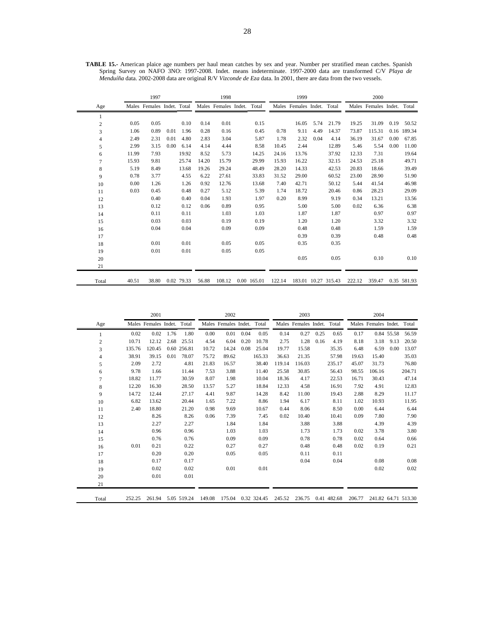|                |       | 1997                       |      |            | 1998  |                      |             | 1999   |                      |      |                     | 2000   |                            |      |             |
|----------------|-------|----------------------------|------|------------|-------|----------------------|-------------|--------|----------------------|------|---------------------|--------|----------------------------|------|-------------|
| Age            |       | Males Females Indet. Total |      |            |       | Males Females Indet. | Total       |        | Males Females Indet. |      | Total               |        | Males Females Indet. Total |      |             |
| 1              |       |                            |      |            |       |                      |             |        |                      |      |                     |        |                            |      |             |
| $\overline{c}$ | 0.05  | 0.05                       |      | 0.10       | 0.14  | 0.01                 | 0.15        |        | 16.05                | 5.74 | 21.79               | 19.25  | 31.09                      | 0.19 | 50.52       |
| 3              | 1.06  | 0.89                       | 0.01 | 1.96       | 0.28  | 0.16                 | 0.45        | 0.78   | 9.11                 | 4.49 | 14.37               | 73.87  | 115.31                     |      | 0.16 189.34 |
| 4              | 2.49  | 2.31                       | 0.01 | 4.80       | 2.83  | 3.04                 | 5.87        | 1.78   | 2.32                 | 0.04 | 4.14                | 36.19  | 31.67                      | 0.00 | 67.85       |
| 5              | 2.99  | 3.15                       | 0.00 | 6.14       | 4.14  | 4.44                 | 8.58        | 10.45  | 2.44                 |      | 12.89               | 5.46   | 5.54                       | 0.00 | 11.00       |
| 6              | 11.99 | 7.93                       |      | 19.92      | 8.52  | 5.73                 | 14.25       | 24.16  | 13.76                |      | 37.92               | 12.33  | 7.31                       |      | 19.64       |
| 7              | 15.93 | 9.81                       |      | 25.74      | 14.20 | 15.79                | 29.99       | 15.93  | 16.22                |      | 32.15               | 24.53  | 25.18                      |      | 49.71       |
| 8              | 5.19  | 8.49                       |      | 13.68      | 19.26 | 29.24                | 48.49       | 28.20  | 14.33                |      | 42.53               | 20.83  | 18.66                      |      | 39.49       |
| 9              | 0.78  | 3.77                       |      | 4.55       | 6.22  | 27.61                | 33.83       | 31.52  | 29.00                |      | 60.52               | 23.00  | 28.90                      |      | 51.90       |
| 10             | 0.00  | 1.26                       |      | 1.26       | 0.92  | 12.76                | 13.68       | 7.40   | 42.71                |      | 50.12               | 5.44   | 41.54                      |      | 46.98       |
| 11             | 0.03  | 0.45                       |      | 0.48       | 0.27  | 5.12                 | 5.39        | 1.74   | 18.72                |      | 20.46               | 0.86   | 28.23                      |      | 29.09       |
| 12             |       | 0.40                       |      | 0.40       | 0.04  | 1.93                 | 1.97        | 0.20   | 8.99                 |      | 9.19                | 0.34   | 13.21                      |      | 13.56       |
| 13             |       | 0.12                       |      | 0.12       | 0.06  | 0.89                 | 0.95        |        | 5.00                 |      | 5.00                | 0.02   | 6.36                       |      | 6.38        |
| 14             |       | 0.11                       |      | 0.11       |       | 1.03                 | 1.03        |        | 1.87                 |      | 1.87                |        | 0.97                       |      | 0.97        |
| 15             |       | 0.03                       |      | 0.03       |       | 0.19                 | 0.19        |        | 1.20                 |      | 1.20                |        | 3.32                       |      | 3.32        |
| 16             |       | 0.04                       |      | 0.04       |       | 0.09                 | 0.09        |        | 0.48                 |      | 0.48                |        | 1.59                       |      | 1.59        |
| 17             |       |                            |      |            |       |                      |             |        | 0.39                 |      | 0.39                |        | 0.48                       |      | 0.48        |
| 18             |       | 0.01                       |      | 0.01       |       | 0.05                 | 0.05        |        | 0.35                 |      | 0.35                |        |                            |      |             |
| 19             |       | 0.01                       |      | 0.01       |       | 0.05                 | 0.05        |        |                      |      |                     |        |                            |      |             |
| 20             |       |                            |      |            |       |                      |             |        | 0.05                 |      | 0.05                |        | 0.10                       |      | 0.10        |
| 21             |       |                            |      |            |       |                      |             |        |                      |      |                     |        |                            |      |             |
| Total          | 40.51 | 38.80                      |      | 0.02 79.33 | 56.88 | 108.12               | 0.00 165.01 | 122.14 |                      |      | 183.01 10.27 315.43 | 222.12 | 359.47                     |      | 0.35 581.93 |

**TABLE 15.-** American plaice age numbers per haul mean catches by sex and year. Number per stratified mean catches. Spanish Spring Survey on NAFO 3NO: 1997-2008. Indet. means indeterminate. 1997-2000 data are transformed C/V *Playa de Menduíña* data. 2002-2008 data are original R/V *Vizconde de Eza* data. In 2001, there are data from the two vessels.

|                |        | 2001                       |      |             |        | 2002                       |      |             |        | 2003                       |      |             |        | 2004                       |            |        |
|----------------|--------|----------------------------|------|-------------|--------|----------------------------|------|-------------|--------|----------------------------|------|-------------|--------|----------------------------|------------|--------|
| Age            |        | Males Females Indet. Total |      |             |        | Males Females Indet. Total |      |             |        | Males Females Indet. Total |      |             |        | Males Females Indet. Total |            |        |
| $\mathbf{1}$   | 0.02   | 0.02                       | 1.76 | 1.80        | 0.00   | 0.01                       | 0.04 | 0.05        | 0.14   | 0.27                       | 0.25 | 0.65        | 0.17   |                            | 0.84 55.58 | 56.59  |
| $\overline{c}$ | 10.71  | 12.12                      | 2.68 | 25.51       | 4.54   | 6.04                       | 0.20 | 10.78       | 2.75   | 1.28                       | 0.16 | 4.19        | 8.18   | 3.18                       | 9.13       | 20.50  |
| 3              | 135.76 | 120.45                     |      | 0.60 256.81 | 10.72  | 14.24                      | 0.08 | 25.04       | 19.77  | 15.58                      |      | 35.35       | 6.48   | 6.59                       | 0.00       | 13.07  |
| 4              | 38.91  | 39.15                      | 0.01 | 78.07       | 75.72  | 89.62                      |      | 165.33      | 36.63  | 21.35                      |      | 57.98       | 19.63  | 15.40                      |            | 35.03  |
| 5              | 2.09   | 2.72                       |      | 4.81        | 21.83  | 16.57                      |      | 38.40       | 119.14 | 116.03                     |      | 235.17      | 45.07  | 31.73                      |            | 76.80  |
| 6              | 9.78   | 1.66                       |      | 11.44       | 7.53   | 3.88                       |      | 11.40       | 25.58  | 30.85                      |      | 56.43       | 98.55  | 106.16                     |            | 204.71 |
| 7              | 18.82  | 11.77                      |      | 30.59       | 8.07   | 1.98                       |      | 10.04       | 18.36  | 4.17                       |      | 22.53       | 16.71  | 30.43                      |            | 47.14  |
| 8              | 12.20  | 16.30                      |      | 28.50       | 13.57  | 5.27                       |      | 18.84       | 12.33  | 4.58                       |      | 16.91       | 7.92   | 4.91                       |            | 12.83  |
| 9              | 14.72  | 12.44                      |      | 27.17       | 4.41   | 9.87                       |      | 14.28       | 8.42   | 11.00                      |      | 19.43       | 2.88   | 8.29                       |            | 11.17  |
| 10             | 6.82   | 13.62                      |      | 20.44       | 1.65   | 7.22                       |      | 8.86        | 1.94   | 6.17                       |      | 8.11        | 1.02   | 10.93                      |            | 11.95  |
| 11             | 2.40   | 18.80                      |      | 21.20       | 0.98   | 9.69                       |      | 10.67       | 0.44   | 8.06                       |      | 8.50        | 0.00   | 6.44                       |            | 6.44   |
| 12             |        | 8.26                       |      | 8.26        | 0.06   | 7.39                       |      | 7.45        | 0.02   | 10.40                      |      | 10.41       | 0.09   | 7.80                       |            | 7.90   |
| 13             |        | 2.27                       |      | 2.27        |        | 1.84                       |      | 1.84        |        | 3.88                       |      | 3.88        |        | 4.39                       |            | 4.39   |
| 14             |        | 0.96                       |      | 0.96        |        | 1.03                       |      | 1.03        |        | 1.73                       |      | 1.73        | 0.02   | 3.78                       |            | 3.80   |
| 15             |        | 0.76                       |      | 0.76        |        | 0.09                       |      | 0.09        |        | 0.78                       |      | 0.78        | 0.02   | 0.64                       |            | 0.66   |
| 16             | 0.01   | 0.21                       |      | 0.22        |        | 0.27                       |      | 0.27        |        | 0.48                       |      | 0.48        | 0.02   | 0.19                       |            | 0.21   |
| 17             |        | 0.20                       |      | 0.20        |        | 0.05                       |      | 0.05        |        | 0.11                       |      | 0.11        |        |                            |            |        |
| 18             |        | 0.17                       |      | 0.17        |        |                            |      |             |        | 0.04                       |      | 0.04        |        | 0.08                       |            | 0.08   |
| 19             |        | 0.02                       |      | 0.02        |        | 0.01                       |      | 0.01        |        |                            |      |             |        | 0.02                       |            | 0.02   |
| 20             |        | 0.01                       |      | 0.01        |        |                            |      |             |        |                            |      |             |        |                            |            |        |
| 21             |        |                            |      |             |        |                            |      |             |        |                            |      |             |        |                            |            |        |
| Total          | 252.25 | 261.94                     |      | 5.05 519.24 | 149.08 | 175.04                     |      | 0.32 324.45 | 245.52 | 236.75                     |      | 0.41 482.68 | 206.77 | 241.82 64.71 513.30        |            |        |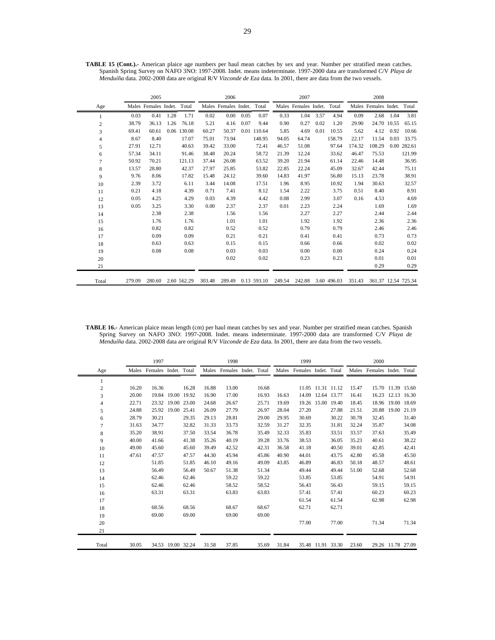|                |        | 2005                       |      |             |        | 2006                       |      |             |        | 2007                       |      |             |        | 2008                       |             |             |
|----------------|--------|----------------------------|------|-------------|--------|----------------------------|------|-------------|--------|----------------------------|------|-------------|--------|----------------------------|-------------|-------------|
| Age            |        | Males Females Indet. Total |      |             |        | Males Females Indet. Total |      |             |        | Males Females Indet. Total |      |             |        | Males Females Indet. Total |             |             |
|                | 0.03   | 0.41                       | 1.28 | 1.71        | 0.02   | 0.00                       | 0.05 | 0.07        | 0.33   | 1.04                       | 3.57 | 4.94        | 0.09   | 2.68                       | 1.04        | 3.81        |
| 2              | 38.79  | 36.13                      | 1.26 | 76.18       | 5.21   | 4.16                       | 0.07 | 9.44        | 0.90   | 0.27                       | 0.02 | 1.20        | 29.90  |                            | 24.70 10.55 | 65.15       |
| 3              | 69.41  | 60.61                      |      | 0.06 130.08 | 60.27  | 50.37                      |      | 0.01 110.64 | 5.85   | 4.69                       | 0.01 | 10.55       | 5.62   | 4.12                       | 0.92        | 10.66       |
| $\overline{4}$ | 8.67   | 8.40                       |      | 17.07       | 75.01  | 73.94                      |      | 148.95      | 94.05  | 64.74                      |      | 158.79      | 22.17  | 11.54                      | 0.03        | 33.75       |
| 5              | 27.91  | 12.71                      |      | 40.63       | 39.42  | 33.00                      |      | 72.41       | 46.57  | 51.08                      |      | 97.64       | 174.32 | 108.29                     |             | 0.00 282.61 |
| 6              | 57.34  | 34.11                      |      | 91.46       | 38.48  | 20.24                      |      | 58.72       | 21.39  | 12.24                      |      | 33.62       | 46.47  | 75.53                      |             | 121.99      |
| 7              | 50.92  | 70.21                      |      | 121.13      | 37.44  | 26.08                      |      | 63.52       | 39.20  | 21.94                      |      | 61.14       | 22.46  | 14.48                      |             | 36.95       |
| 8              | 13.57  | 28.80                      |      | 42.37       | 27.97  | 25.85                      |      | 53.82       | 22.85  | 22.24                      |      | 45.09       | 32.67  | 42.44                      |             | 75.11       |
| 9              | 9.76   | 8.06                       |      | 17.82       | 15.48  | 24.12                      |      | 39.60       | 14.83  | 41.97                      |      | 56.80       | 15.13  | 23.78                      |             | 38.91       |
| 10             | 2.39   | 3.72                       |      | 6.11        | 3.44   | 14.08                      |      | 17.51       | 1.96   | 8.95                       |      | 10.92       | 1.94   | 30.63                      |             | 32.57       |
| 11             | 0.21   | 4.18                       |      | 4.39        | 0.71   | 7.41                       |      | 8.12        | 1.54   | 2.22                       |      | 3.75        | 0.51   | 8.40                       |             | 8.91        |
| 12             | 0.05   | 4.25                       |      | 4.29        | 0.03   | 4.39                       |      | 4.42        | 0.08   | 2.99                       |      | 3.07        | 0.16   | 4.53                       |             | 4.69        |
| 13             | 0.05   | 3.25                       |      | 3.30        | 0.00   | 2.37                       |      | 2.37        | 0.01   | 2.23                       |      | 2.24        |        | 1.69                       |             | 1.69        |
| 14             |        | 2.38                       |      | 2.38        |        | 1.56                       |      | 1.56        |        | 2.27                       |      | 2.27        |        | 2.44                       |             | 2.44        |
| 15             |        | 1.76                       |      | 1.76        |        | 1.01                       |      | 1.01        |        | 1.92                       |      | 1.92        |        | 2.36                       |             | 2.36        |
| 16             |        | 0.82                       |      | 0.82        |        | 0.52                       |      | 0.52        |        | 0.79                       |      | 0.79        |        | 2.46                       |             | 2.46        |
| 17             |        | 0.09                       |      | 0.09        |        | 0.21                       |      | 0.21        |        | 0.41                       |      | 0.41        |        | 0.73                       |             | 0.73        |
| 18             |        | 0.63                       |      | 0.63        |        | 0.15                       |      | 0.15        |        | 0.66                       |      | 0.66        |        | 0.02                       |             | 0.02        |
| 19             |        | 0.08                       |      | 0.08        |        | 0.03                       |      | 0.03        |        | 0.00                       |      | 0.00        |        | 0.24                       |             | 0.24        |
| 20             |        |                            |      |             |        | 0.02                       |      | 0.02        |        | 0.23                       |      | 0.23        |        | 0.01                       |             | 0.01        |
| 21             |        |                            |      |             |        |                            |      |             |        |                            |      |             |        | 0.29                       |             | 0.29        |
| Total          | 279.09 | 280.60                     |      | 2.60 562.29 | 303.48 | 289.49                     |      | 0.13 593.10 | 249.54 | 242.88                     |      | 3.60 496.03 | 351.43 | 361.37 12.54 725.34        |             |             |

**TABLE 15 (Cont.).-** American plaice age numbers per haul mean catches by sex and year. Number per stratified mean catches. Spanish Spring Survey on NAFO 3NO: 1997-2008. Indet. means indeterminate. 1997-2000 data are transformed C/V *Playa de Menduíña* data. 2002-2008 data are original R/V *Vizconde de Eza* data. In 2001, there are data from the two vessels.

**TABLE 16.-** American plaice mean length (cm) per haul mean catches by sex and year. Number per stratified mean catches. Spanish Spring Survey on NAFO 3NO: 1997-2008. Indet. means indeterminate. 1997-2000 data are transformed C/V *Playa de Menduíña* data. 2002-2008 data are original R/V *Vizconde de Eza* data. In 2001, there are data from the two vessels.

|                |       | 1997                       |                   |       |       | 1998                 |       |       | 1999                       |                   |       |       | 2000                       |             |                   |
|----------------|-------|----------------------------|-------------------|-------|-------|----------------------|-------|-------|----------------------------|-------------------|-------|-------|----------------------------|-------------|-------------------|
| Age            |       | Males Females Indet. Total |                   |       | Males | Females Indet. Total |       |       | Males Females Indet. Total |                   |       |       | Males Females Indet. Total |             |                   |
| 1              |       |                            |                   |       |       |                      |       |       |                            |                   |       |       |                            |             |                   |
| $\overline{c}$ | 16.20 | 16.36                      |                   | 16.28 | 16.88 | 13.00                | 16.68 |       |                            | 11.05 11.31 11.12 |       | 15.47 |                            |             | 15.70 11.39 15.60 |
| 3              | 20.00 |                            | 19.84 19.00 19.92 |       | 16.90 | 17.00                | 16.93 | 16.63 | 14.09                      | 12.64 13.77       |       | 16.41 | 16.23                      |             | 12.13 16.30       |
| $\overline{4}$ | 22.71 |                            | 23.32 19.00 23.00 |       | 24.68 | 26.67                | 25.71 | 19.69 | 19.26                      | 15.00 19.40       |       | 18.45 | 18.96                      |             | 19.00 18.69       |
| 5              | 24.88 |                            | 25.92 19.00 25.41 |       | 26.09 | 27.79                | 26.97 | 28.04 | 27.20                      |                   | 27.88 | 21.51 | 20.88                      | 19.00 21.19 |                   |
| 6              | 28.79 | 30.21                      |                   | 29.35 | 29.13 | 28.81                | 29.00 | 29.95 | 30.69                      |                   | 30.22 | 30.78 | 32.45                      |             | 31.40             |
| $\overline{7}$ | 31.63 | 34.77                      |                   | 32.82 | 31.33 | 33.73                | 32.59 | 31.27 | 32.35                      |                   | 31.81 | 32.24 | 35.87                      |             | 34.08             |
| 8              | 35.20 | 38.91                      |                   | 37.50 | 33.54 | 36.78                | 35.49 | 32.33 | 35.83                      |                   | 33.51 | 33.57 | 37.63                      |             | 35.49             |
| 9              | 40.00 | 41.66                      |                   | 41.38 | 35.26 | 40.19                | 39.28 | 33.76 | 38.53                      |                   | 36.05 | 35.23 | 40.61                      |             | 38.22             |
| 10             | 49.00 | 45.60                      |                   | 45.60 | 39.49 | 42.52                | 42.31 | 36.58 | 41.18                      |                   | 40.50 | 39.01 | 42.85                      |             | 42.41             |
| 11             | 47.61 | 47.57                      |                   | 47.57 | 44.30 | 45.94                | 45.86 | 40.90 | 44.01                      |                   | 43.75 | 42.80 | 45.58                      |             | 45.50             |
| 12             |       | 51.85                      |                   | 51.85 | 46.10 | 49.16                | 49.09 | 43.85 | 46.89                      |                   | 46.83 | 50.18 | 48.57                      |             | 48.61             |
| 13             |       | 56.49                      |                   | 56.49 | 50.67 | 51.38                | 51.34 |       | 49.44                      |                   | 49.44 | 51.00 | 52.68                      |             | 52.68             |
| 14             |       | 62.46                      |                   | 62.46 |       | 59.22                | 59.22 |       | 53.85                      |                   | 53.85 |       | 54.91                      |             | 54.91             |
| 15             |       | 62.46                      |                   | 62.46 |       | 58.52                | 58.52 |       | 56.43                      |                   | 56.43 |       | 59.15                      |             | 59.15             |
| 16             |       | 63.31                      |                   | 63.31 |       | 63.83                | 63.83 |       | 57.41                      |                   | 57.41 |       | 60.23                      |             | 60.23             |
| 17             |       |                            |                   |       |       |                      |       |       | 61.54                      |                   | 61.54 |       | 62.98                      |             | 62.98             |
| 18             |       | 68.56                      |                   | 68.56 |       | 68.67                | 68.67 |       | 62.71                      |                   | 62.71 |       |                            |             |                   |
| 19             |       | 69.00                      |                   | 69.00 |       | 69.00                | 69.00 |       |                            |                   |       |       |                            |             |                   |
| 20             |       |                            |                   |       |       |                      |       |       | 77.00                      |                   | 77.00 |       | 71.34                      |             | 71.34             |
| 21             |       |                            |                   |       |       |                      |       |       |                            |                   |       |       |                            |             |                   |
| Total          | 30.05 |                            | 34.53 19.00 32.24 |       | 31.58 | 37.85                | 35.69 | 31.84 |                            | 35.48 11.91 33.30 |       | 23.60 |                            |             | 29.26 11.78 27.09 |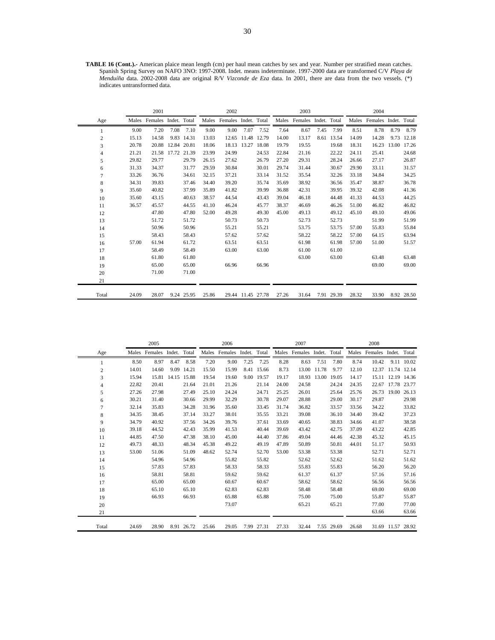**TABLE 16 (Cont.).-** American plaice mean length (cm) per haul mean catches by sex and year. Number per stratified mean catches. Spanish Spring Survey on NAFO 3NO: 1997-2008. Indet. means indeterminate. 1997-2000 data are transformed C/V *Playa de Menduíña* data. 2002-2008 data are original R/V *Vizconde de Eza* data. In 2001, there are data from the two vessels. (\*) indicates untransformed data.

|                |       | 2001                       |                   |            |       | 2002                       |             |       |       | 2003                       |      |            |       | 2004                       |       |            |
|----------------|-------|----------------------------|-------------------|------------|-------|----------------------------|-------------|-------|-------|----------------------------|------|------------|-------|----------------------------|-------|------------|
| Age            |       | Males Females Indet. Total |                   |            |       | Males Females Indet. Total |             |       |       | Males Females Indet. Total |      |            |       | Males Females Indet. Total |       |            |
| 1              | 9.00  | 7.20                       | 7.08              | 7.10       | 9.00  | 9.00                       | 7.07        | 7.52  | 7.64  | 8.67                       | 7.45 | 7.99       | 8.51  | 8.78                       | 8.79  | 8.79       |
| $\overline{2}$ | 15.13 | 14.58                      |                   | 9.83 14.31 | 13.03 | 12.65                      | 11.48 12.79 |       | 14.00 | 13.17                      |      | 8.61 13.54 | 14.09 | 14.28                      | 9.73  | 12.18      |
| 3              | 20.78 |                            | 20.88 12.84 20.81 |            | 18.06 |                            | 18.13 13.27 | 18.08 | 19.79 | 19.55                      |      | 19.68      | 18.31 | 16.23                      | 13.00 | 17.26      |
| 4              | 21.21 |                            | 21.58 17.72       | 21.39      | 23.99 | 24.99                      |             | 24.53 | 22.84 | 21.16                      |      | 22.22      | 24.11 | 25.41                      |       | 24.68      |
| 5              | 29.82 | 29.77                      |                   | 29.79      | 26.15 | 27.62                      |             | 26.79 | 27.20 | 29.31                      |      | 28.24      | 26.66 | 27.17                      |       | 26.87      |
| 6              | 31.33 | 34.37                      |                   | 31.77      | 29.59 | 30.84                      |             | 30.01 | 29.74 | 31.44                      |      | 30.67      | 29.90 | 33.11                      |       | 31.57      |
| $\overline{7}$ | 33.26 | 36.76                      |                   | 34.61      | 32.15 | 37.21                      |             | 33.14 | 31.52 | 35.54                      |      | 32.26      | 33.18 | 34.84                      |       | 34.25      |
| 8              | 34.31 | 39.83                      |                   | 37.46      | 34.40 | 39.20                      |             | 35.74 | 35.69 | 38.92                      |      | 36.56      | 35.47 | 38.87                      |       | 36.78      |
| 9              | 35.60 | 40.82                      |                   | 37.99      | 35.89 | 41.82                      |             | 39.99 | 36.88 | 42.31                      |      | 39.95      | 39.32 | 42.08                      |       | 41.36      |
| 10             | 35.60 | 43.15                      |                   | 40.63      | 38.57 | 44.54                      |             | 43.43 | 39.04 | 46.18                      |      | 44.48      | 41.33 | 44.53                      |       | 44.25      |
| 11             | 36.57 | 45.57                      |                   | 44.55      | 41.10 | 46.24                      |             | 45.77 | 38.37 | 46.69                      |      | 46.26      | 51.00 | 46.82                      |       | 46.82      |
| 12             |       | 47.80                      |                   | 47.80      | 52.00 | 49.28                      |             | 49.30 | 45.00 | 49.13                      |      | 49.12      | 45.10 | 49.10                      |       | 49.06      |
| 13             |       | 51.72                      |                   | 51.72      |       | 50.73                      |             | 50.73 |       | 52.73                      |      | 52.73      |       | 51.99                      |       | 51.99      |
| 14             |       | 50.96                      |                   | 50.96      |       | 55.21                      |             | 55.21 |       | 53.75                      |      | 53.75      | 57.00 | 55.83                      |       | 55.84      |
| 15             |       | 58.43                      |                   | 58.43      |       | 57.62                      |             | 57.62 |       | 58.22                      |      | 58.22      | 57.00 | 64.15                      |       | 63.94      |
| 16             | 57.00 | 61.94                      |                   | 61.72      |       | 63.51                      |             | 63.51 |       | 61.98                      |      | 61.98      | 57.00 | 51.00                      |       | 51.57      |
| 17             |       | 58.49                      |                   | 58.49      |       | 63.00                      |             | 63.00 |       | 61.00                      |      | 61.00      |       |                            |       |            |
| 18             |       | 61.80                      |                   | 61.80      |       |                            |             |       |       | 63.00                      |      | 63.00      |       | 63.48                      |       | 63.48      |
| 19             |       | 65.00                      |                   | 65.00      |       | 66.96                      |             | 66.96 |       |                            |      |            |       | 69.00                      |       | 69.00      |
| 20             |       | 71.00                      |                   | 71.00      |       |                            |             |       |       |                            |      |            |       |                            |       |            |
| 21             |       |                            |                   |            |       |                            |             |       |       |                            |      |            |       |                            |       |            |
| Total          | 24.09 | 28.07                      |                   | 9.24 25.95 | 25.86 | 29.44                      | 11.45 27.78 |       | 27.26 | 31.64                      |      | 7.91 29.39 | 28.32 | 33.90                      |       | 8.92 28.50 |

|                |       | 2005                       |                   |            |       | 2006                       |      |            |       | 2007                       |       |             |       | 2008                       |                   |            |
|----------------|-------|----------------------------|-------------------|------------|-------|----------------------------|------|------------|-------|----------------------------|-------|-------------|-------|----------------------------|-------------------|------------|
| Age            |       | Males Females Indet. Total |                   |            |       | Males Females Indet. Total |      |            |       | Males Females Indet. Total |       |             |       | Males Females Indet. Total |                   |            |
| 1              | 8.50  | 8.97                       | 8.47              | 8.58       | 7.20  | 9.00                       | 7.25 | 7.25       | 8.28  | 8.63                       | 7.51  | 7.80        | 8.74  | 10.42                      |                   | 9.11 10.02 |
| $\overline{c}$ | 14.01 | 14.60                      |                   | 9.09 14.21 | 15.50 | 15.99                      |      | 8.41 15.66 | 8.73  | 13.00                      | 11.78 | 9.77        | 12.10 | 12.37                      | 11.74 12.14       |            |
| 3              | 15.94 |                            | 15.81 14.15 15.88 |            | 19.54 | 19.60                      |      | 9.00 19.57 | 19.17 | 18.93                      |       | 13.00 19.05 | 14.17 | 15.11                      | 12.19 14.36       |            |
| 4              | 22.82 | 20.41                      |                   | 21.64      | 21.01 | 21.26                      |      | 21.14      | 24.00 | 24.58                      |       | 24.24       | 24.35 | 22.67                      | 17.78 23.77       |            |
| 5              | 27.26 | 27.98                      |                   | 27.49      | 25.10 | 24.24                      |      | 24.71      | 25.25 | 26.01                      |       | 25.64       | 25.76 | 26.73                      | 19.00             | 26.13      |
| 6              | 30.21 | 31.40                      |                   | 30.66      | 29.99 | 32.29                      |      | 30.78      | 29.07 | 28.88                      |       | 29.00       | 30.17 | 29.87                      |                   | 29.98      |
| $\overline{7}$ | 32.14 | 35.83                      |                   | 34.28      | 31.96 | 35.60                      |      | 33.45      | 31.74 | 36.82                      |       | 33.57       | 33.56 | 34.22                      |                   | 33.82      |
| 8              | 34.35 | 38.45                      |                   | 37.14      | 33.27 | 38.01                      |      | 35.55      | 33.21 | 39.08                      |       | 36.10       | 34.40 | 39.42                      |                   | 37.23      |
| 9              | 34.79 | 40.92                      |                   | 37.56      | 34.26 | 39.76                      |      | 37.61      | 33.69 | 40.65                      |       | 38.83       | 34.66 | 41.07                      |                   | 38.58      |
| 10             | 39.18 | 44.52                      |                   | 42.43      | 35.99 | 41.53                      |      | 40.44      | 39.69 | 43.42                      |       | 42.75       | 37.09 | 43.22                      |                   | 42.85      |
| 11             | 44.85 | 47.50                      |                   | 47.38      | 38.10 | 45.00                      |      | 44.40      | 37.86 | 49.04                      |       | 44.46       | 42.38 | 45.32                      |                   | 45.15      |
| 12             | 49.73 | 48.33                      |                   | 48.34      | 45.38 | 49.22                      |      | 49.19      | 47.89 | 50.89                      |       | 50.81       | 44.01 | 51.17                      |                   | 50.93      |
| 13             | 53.00 | 51.06                      |                   | 51.09      | 48.62 | 52.74                      |      | 52.70      | 53.00 | 53.38                      |       | 53.38       |       | 52.71                      |                   | 52.71      |
| 14             |       | 54.96                      |                   | 54.96      |       | 55.82                      |      | 55.82      |       | 52.62                      |       | 52.62       |       | 51.62                      |                   | 51.62      |
| 15             |       | 57.83                      |                   | 57.83      |       | 58.33                      |      | 58.33      |       | 55.83                      |       | 55.83       |       | 56.20                      |                   | 56.20      |
| 16             |       | 58.81                      |                   | 58.81      |       | 59.62                      |      | 59.62      |       | 61.37                      |       | 61.37       |       | 57.16                      |                   | 57.16      |
| 17             |       | 65.00                      |                   | 65.00      |       | 60.67                      |      | 60.67      |       | 58.62                      |       | 58.62       |       | 56.56                      |                   | 56.56      |
| 18             |       | 65.10                      |                   | 65.10      |       | 62.83                      |      | 62.83      |       | 58.48                      |       | 58.48       |       | 69.00                      |                   | 69.00      |
| 19             |       | 66.93                      |                   | 66.93      |       | 65.88                      |      | 65.88      |       | 75.00                      |       | 75.00       |       | 55.87                      |                   | 55.87      |
| 20             |       |                            |                   |            |       | 73.07                      |      |            |       | 65.21                      |       | 65.21       |       | 77.00                      |                   | 77.00      |
| 21             |       |                            |                   |            |       |                            |      |            |       |                            |       |             |       | 63.66                      |                   | 63.66      |
| Total          | 24.69 | 28.90                      |                   | 8.91 26.72 | 25.66 | 29.05                      |      | 7.99 27.31 | 27.33 | 32.44                      |       | 7.55 29.69  | 26.68 |                            | 31.69 11.57 28.92 |            |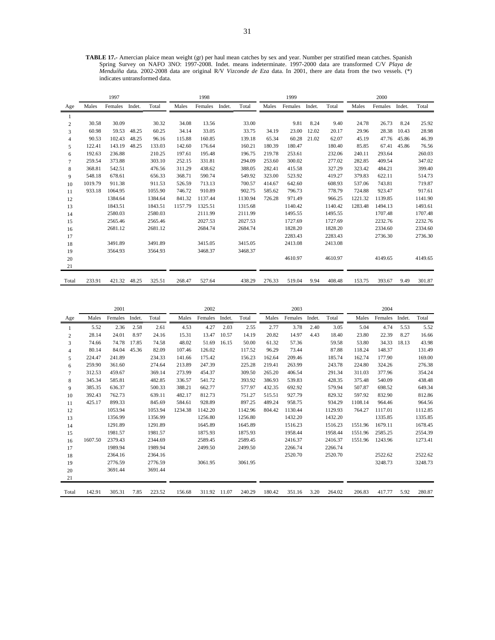**TABLE 17.-** Amercian plaice mean weight (gr) per haul mean catches by sex and year. Number per stratified mean catches. Spanish Spring Survey on NAFO 3NO: 1997-2008. Indet. means indeterminate. 1997-2000 data are transformed C/V *Playa de Menduíña* data. 2002-2008 data are original R/V *Vizconde de Eza* data. In 2001, there are data from the two vessels. (\*) indicates untransformed data.

|                |         | 1997    |        |         |         | 1998    |        |         |        | 1999    |        |         |         | 2000    |        |         |
|----------------|---------|---------|--------|---------|---------|---------|--------|---------|--------|---------|--------|---------|---------|---------|--------|---------|
| Age            | Males   | Females | Indet. | Total   | Males   | Females | Indet. | Total   | Males  | Females | Indet. | Total   | Males   | Females | Indet. | Total   |
|                |         |         |        |         |         |         |        |         |        |         |        |         |         |         |        |         |
| $\overline{c}$ | 30.58   | 30.09   |        | 30.32   | 34.08   | 13.56   |        | 33.00   |        | 9.81    | 8.24   | 9.40    | 24.78   | 26.73   | 8.24   | 25.92   |
| 3              | 60.98   | 59.53   | 48.25  | 60.25   | 34.14   | 33.05   |        | 33.75   | 34.19  | 23.00   | 12.02  | 20.17   | 29.96   | 28.38   | 10.43  | 28.98   |
| $\overline{4}$ | 90.53   | 102.43  | 48.25  | 96.16   | 115.88  | 160.85  |        | 139.18  | 65.34  | 60.28   | 21.02  | 62.07   | 45.19   | 47.76   | 45.86  | 46.39   |
| 5              | 122.41  | 143.19  | 48.25  | 133.03  | 142.60  | 176.64  |        | 160.21  | 180.39 | 180.47  |        | 180.40  | 85.85   | 67.41   | 45.86  | 76.56   |
| 6              | 192.63  | 236.88  |        | 210.25  | 197.61  | 195.48  |        | 196.75  | 219.78 | 253.61  |        | 232.06  | 240.11  | 293.64  |        | 260.03  |
| $\tau$         | 259.54  | 373.88  |        | 303.10  | 252.15  | 331.81  |        | 294.09  | 253.60 | 300.02  |        | 277.02  | 282.85  | 409.54  |        | 347.02  |
| 8              | 368.81  | 542.51  |        | 476.56  | 311.29  | 438.62  |        | 388.05  | 282.41 | 415.58  |        | 327.29  | 323.42  | 484.21  |        | 399.40  |
| 9              | 548.18  | 678.61  |        | 656.33  | 368.71  | 590.74  |        | 549.92  | 323.00 | 523.92  |        | 419.27  | 379.83  | 622.11  |        | 514.73  |
| 10             | 1019.79 | 911.38  |        | 911.53  | 526.59  | 713.13  |        | 700.57  | 414.67 | 642.60  |        | 608.93  | 537.06  | 743.81  |        | 719.87  |
| 11             | 933.18  | 1064.95 |        | 1055.90 | 746.72  | 910.89  |        | 902.75  | 585.62 | 796.73  |        | 778.79  | 724.88  | 923.47  |        | 917.61  |
| 12             |         | 1384.64 |        | 1384.64 | 841.32  | 1137.44 |        | 1130.94 | 726.28 | 971.49  |        | 966.25  | 1221.32 | 1139.85 |        | 1141.90 |
| 13             |         | 1843.51 |        | 1843.51 | 1157.79 | 1325.51 |        | 1315.68 |        | 1140.42 |        | 1140.42 | 1283.48 | 1494.13 |        | 1493.61 |
| 14             |         | 2580.03 |        | 2580.03 |         | 2111.99 |        | 2111.99 |        | 1495.55 |        | 1495.55 |         | 1707.48 |        | 1707.48 |
| 15             |         | 2565.46 |        | 2565.46 |         | 2027.53 |        | 2027.53 |        | 1727.69 |        | 1727.69 |         | 2232.76 |        | 2232.76 |
| 16             |         | 2681.12 |        | 2681.12 |         | 2684.74 |        | 2684.74 |        | 1828.20 |        | 1828.20 |         | 2334.60 |        | 2334.60 |
| 17             |         |         |        |         |         |         |        |         |        | 2283.43 |        | 2283.43 |         | 2736.30 |        | 2736.30 |
| 18             |         | 3491.89 |        | 3491.89 |         | 3415.05 |        | 3415.05 |        | 2413.08 |        | 2413.08 |         |         |        |         |
| 19             |         | 3564.93 |        | 3564.93 |         | 3468.37 |        | 3468.37 |        |         |        |         |         |         |        |         |
| 20             |         |         |        |         |         |         |        |         |        | 4610.97 |        | 4610.97 |         | 4149.65 |        | 4149.65 |
| 21             |         |         |        |         |         |         |        |         |        |         |        |         |         |         |        |         |
| Total          | 233.91  | 421.32  | 48.25  | 325.51  | 268.47  | 527.64  |        | 438.29  | 276.33 | 519.04  | 9.94   | 408.48  | 153.75  | 393.67  | 9.49   | 301.87  |

|                |         | 2001    |        |         | 2002    |              |        |         | 2003   |         |        |         | 2004    |         |        |         |
|----------------|---------|---------|--------|---------|---------|--------------|--------|---------|--------|---------|--------|---------|---------|---------|--------|---------|
| Age            | Males   | Females | Indet. | Total   | Males   | Females      | Indet. | Total   | Males  | Females | Indet. | Total   | Males   | Females | Indet. | Total   |
|                | 5.52    | 2.36    | 2.58   | 2.61    | 4.53    | 4.27         | 2.03   | 2.55    | 2.77   | 3.78    | 2.40   | 3.05    | 5.04    | 4.74    | 5.53   | 5.52    |
| $\overline{c}$ | 28.14   | 24.01   | 8.97   | 24.16   | 15.31   | 13.47        | 10.57  | 14.19   | 20.82  | 14.97   | 4.43   | 18.40   | 23.80   | 22.39   | 8.27   | 16.66   |
| 3              | 74.66   | 74.78   | 17.85  | 74.58   | 48.02   | 51.69        | 16.15  | 50.00   | 61.32  | 57.36   |        | 59.58   | 53.80   | 34.33   | 18.13  | 43.98   |
| $\overline{4}$ | 80.14   | 84.04   | 45.36  | 82.09   | 107.46  | 126.02       |        | 117.52  | 96.29  | 73.44   |        | 87.88   | 118.24  | 148.37  |        | 131.49  |
| 5              | 224.47  | 241.89  |        | 234.33  | 141.66  | 175.42       |        | 156.23  | 162.64 | 209.46  |        | 185.74  | 162.74  | 177.90  |        | 169.00  |
| 6              | 259.90  | 361.60  |        | 274.64  | 213.89  | 247.39       |        | 225.28  | 219.41 | 263.99  |        | 243.78  | 224.80  | 324.26  |        | 276.38  |
| $\tau$         | 312.53  | 459.67  |        | 369.14  | 273.99  | 454.37       |        | 309.50  | 265.20 | 406.54  |        | 291.34  | 311.03  | 377.96  |        | 354.24  |
| 8              | 345.34  | 585.81  |        | 482.85  | 336.57  | 541.72       |        | 393.92  | 386.93 | 539.83  |        | 428.35  | 375.48  | 540.09  |        | 438.48  |
| 9              | 385.35  | 636.37  |        | 500.33  | 388.21  | 662.77       |        | 577.97  | 432.35 | 692.92  |        | 579.94  | 507.87  | 698.52  |        | 649.34  |
| 10             | 392.43  | 762.73  |        | 639.11  | 482.17  | 812.73       |        | 751.27  | 515.51 | 927.79  |        | 829.32  | 597.92  | 832.90  |        | 812.86  |
| 11             | 425.17  | 899.33  |        | 845.69  | 584.61  | 928.89       |        | 897.25  | 489.24 | 958.75  |        | 934.29  | 1108.14 | 964.46  |        | 964.56  |
| 12             |         | 1053.94 |        | 1053.94 | 1234.38 | 1142.20      |        | 1142.96 | 804.42 | 1130.44 |        | 1129.93 | 764.27  | 1117.01 |        | 1112.85 |
| 13             |         | 1356.99 |        | 1356.99 |         | 1256.80      |        | 1256.80 |        | 1432.20 |        | 1432.20 |         | 1335.85 |        | 1335.85 |
| 14             |         | 1291.89 |        | 1291.89 |         | 1645.89      |        | 1645.89 |        | 1516.23 |        | 1516.23 | 1551.96 | 1679.11 |        | 1678.45 |
| 15             |         | 1981.57 |        | 1981.57 |         | 1875.93      |        | 1875.93 |        | 1958.44 |        | 1958.44 | 1551.96 | 2585.25 |        | 2554.39 |
| 16             | 1607.50 | 2379.43 |        | 2344.69 |         | 2589.45      |        | 2589.45 |        | 2416.37 |        | 2416.37 | 1551.96 | 1243.96 |        | 1273.41 |
| 17             |         | 1989.94 |        | 1989.94 |         | 2499.50      |        | 2499.50 |        | 2266.74 |        | 2266.74 |         |         |        |         |
| 18             |         | 2364.16 |        | 2364.16 |         |              |        |         |        | 2520.70 |        | 2520.70 |         | 2522.62 |        | 2522.62 |
| 19             |         | 2776.59 |        | 2776.59 |         | 3061.95      |        | 3061.95 |        |         |        |         |         | 3248.73 |        | 3248.73 |
| 20             |         | 3691.44 |        | 3691.44 |         |              |        |         |        |         |        |         |         |         |        |         |
| 21             |         |         |        |         |         |              |        |         |        |         |        |         |         |         |        |         |
| Total          | 142.91  | 305.31  | 7.85   | 223.52  | 156.68  | 311.92 11.07 |        | 240.29  | 180.42 | 351.16  | 3.20   | 264.02  | 206.83  | 417.77  | 5.92   | 280.87  |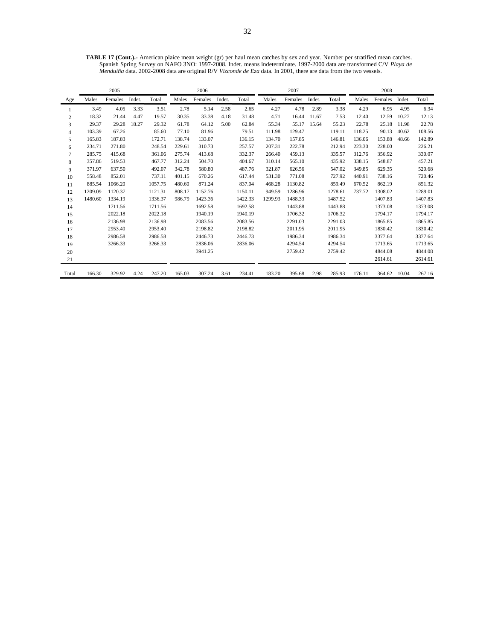**TABLE 17 (Cont.).-** American plaice mean weight (gr) per haul mean catches by sex and year. Number per stratified mean catches. Spanish Spring Survey on NAFO 3NO: 1997-2008. Indet. means indeterminate. 1997-2000 data are transformed C/V *Playa de Menduíña* data. 2002-2008 data are original R/V *Vizconde de Eza* data. In 2001, there are data from the two vessels.

|                |         | 2005    |        |         | 2006   |         |        |         | 2007    |         |        |         | 2008   |         |        |         |
|----------------|---------|---------|--------|---------|--------|---------|--------|---------|---------|---------|--------|---------|--------|---------|--------|---------|
| Age            | Males   | Females | Indet. | Total   | Males  | Females | Indet. | Total   | Males   | Females | Indet. | Total   | Males  | Females | Indet. | Total   |
|                | 3.49    | 4.05    | 3.33   | 3.51    | 2.78   | 5.14    | 2.58   | 2.65    | 4.27    | 4.78    | 2.89   | 3.38    | 4.29   | 6.95    | 4.95   | 6.34    |
| 2              | 18.32   | 21.44   | 4.47   | 19.57   | 30.35  | 33.38   | 4.18   | 31.48   | 4.71    | 16.44   | 11.67  | 7.53    | 12.40  | 12.59   | 10.27  | 12.13   |
| 3              | 29.37   | 29.28   | 18.27  | 29.32   | 61.78  | 64.12   | 5.00   | 62.84   | 55.34   | 55.17   | 15.64  | 55.23   | 22.78  | 25.18   | 11.98  | 22.78   |
| $\overline{4}$ | 103.39  | 67.26   |        | 85.60   | 77.10  | 81.96   |        | 79.51   | 111.98  | 129.47  |        | 119.11  | 118.25 | 90.13   | 40.62  | 108.56  |
| 5              | 165.83  | 187.83  |        | 172.71  | 138.74 | 133.07  |        | 136.15  | 134.70  | 157.85  |        | 146.81  | 136.06 | 153.88  | 48.66  | 142.89  |
| 6              | 234.71  | 271.80  |        | 248.54  | 229.61 | 310.73  |        | 257.57  | 207.31  | 222.78  |        | 212.94  | 223.30 | 228.00  |        | 226.21  |
| $\tau$         | 285.75  | 415.68  |        | 361.06  | 275.74 | 413.68  |        | 332.37  | 266.40  | 459.13  |        | 335.57  | 312.76 | 356.92  |        | 330.07  |
| 8              | 357.86  | 519.53  |        | 467.77  | 312.24 | 504.70  |        | 404.67  | 310.14  | 565.10  |        | 435.92  | 338.15 | 548.87  |        | 457.21  |
| 9              | 371.97  | 637.50  |        | 492.07  | 342.78 | 580.80  |        | 487.76  | 321.87  | 626.56  |        | 547.02  | 349.85 | 629.35  |        | 520.68  |
| 10             | 558.48  | 852.01  |        | 737.11  | 401.15 | 670.26  |        | 617.44  | 531.30  | 771.08  |        | 727.92  | 440.91 | 738.16  |        | 720.46  |
| 11             | 885.54  | 1066.20 |        | 1057.75 | 480.60 | 871.24  |        | 837.04  | 468.28  | 1130.82 |        | 859.49  | 670.52 | 862.19  |        | 851.32  |
| 12             | 1209.09 | 1120.37 |        | 1121.31 | 808.17 | 1152.76 |        | 1150.11 | 949.59  | 1286.96 |        | 1278.61 | 737.72 | 1308.02 |        | 1289.01 |
| 13             | 1480.60 | 1334.19 |        | 1336.37 | 986.79 | 1423.36 |        | 1422.33 | 1299.93 | 1488.33 |        | 1487.52 |        | 1407.83 |        | 1407.83 |
| 14             |         | 1711.56 |        | 1711.56 |        | 1692.58 |        | 1692.58 |         | 1443.88 |        | 1443.88 |        | 1373.08 |        | 1373.08 |
| 15             |         | 2022.18 |        | 2022.18 |        | 1940.19 |        | 1940.19 |         | 1706.32 |        | 1706.32 |        | 1794.17 |        | 1794.17 |
| 16             |         | 2136.98 |        | 2136.98 |        | 2083.56 |        | 2083.56 |         | 2291.03 |        | 2291.03 |        | 1865.85 |        | 1865.85 |
| 17             |         | 2953.40 |        | 2953.40 |        | 2198.82 |        | 2198.82 |         | 2011.95 |        | 2011.95 |        | 1830.42 |        | 1830.42 |
| 18             |         | 2986.58 |        | 2986.58 |        | 2446.73 |        | 2446.73 |         | 1986.34 |        | 1986.34 |        | 3377.64 |        | 3377.64 |
| 19             |         | 3266.33 |        | 3266.33 |        | 2836.06 |        | 2836.06 |         | 4294.54 |        | 4294.54 |        | 1713.65 |        | 1713.65 |
| 20             |         |         |        |         |        | 3941.25 |        |         |         | 2759.42 |        | 2759.42 |        | 4844.08 |        | 4844.08 |
| 21             |         |         |        |         |        |         |        |         |         |         |        |         |        | 2614.61 |        | 2614.61 |
| Total          | 166.30  | 329.92  | 4.24   | 247.20  | 165.03 | 307.24  | 3.61   | 234.41  | 183.20  | 395.68  | 2.98   | 285.93  | 176.11 | 364.62  | 10.04  | 267.16  |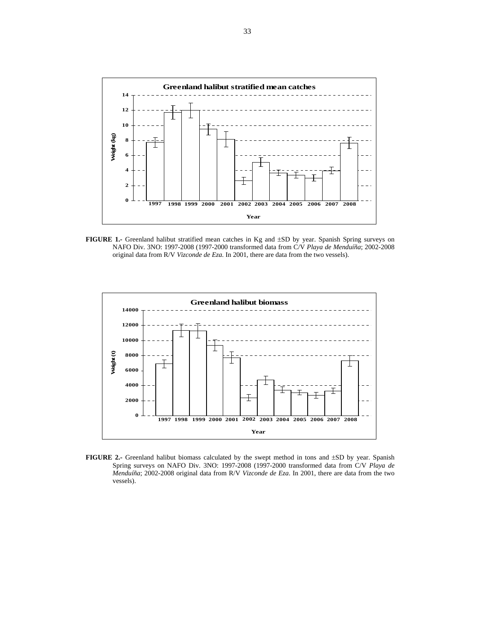

**FIGURE 1.-** Greenland halibut stratified mean catches in Kg and ±SD by year. Spanish Spring surveys on NAFO Div. 3NO: 1997-2008 (1997-2000 transformed data from C/V *Playa de Menduíña*; 2002-2008 original data from R/V *Vizconde de Eza*. In 2001, there are data from the two vessels).



FIGURE 2.- Greenland halibut biomass calculated by the swept method in tons and  $\pm SD$  by year. Spanish Spring surveys on NAFO Div. 3NO: 1997-2008 (1997-2000 transformed data from C/V *Playa de Menduíña*; 2002-2008 original data from R/V *Vizconde de Eza*. In 2001, there are data from the two vessels).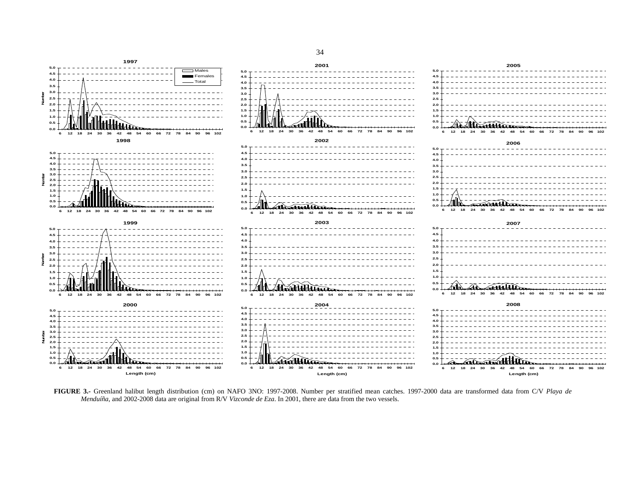

**FIGURE 3.-** Greenland halibut length distribution (cm) on NAFO 3NO: 1997-2008. Number per stratified mean catches. 1997-2000 data are transformed data from C/V *Playa de Menduíña*, and 2002-2008 data are original from R/V *Vizconde de Eza*. In 2001, there are data from the two vessels.

34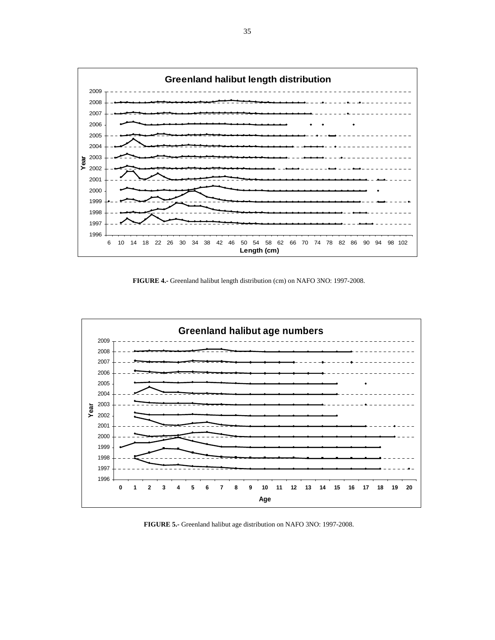

**FIGURE 4.-** Greenland halibut length distribution (cm) on NAFO 3NO: 1997-2008.



**FIGURE 5.-** Greenland halibut age distribution on NAFO 3NO: 1997-2008.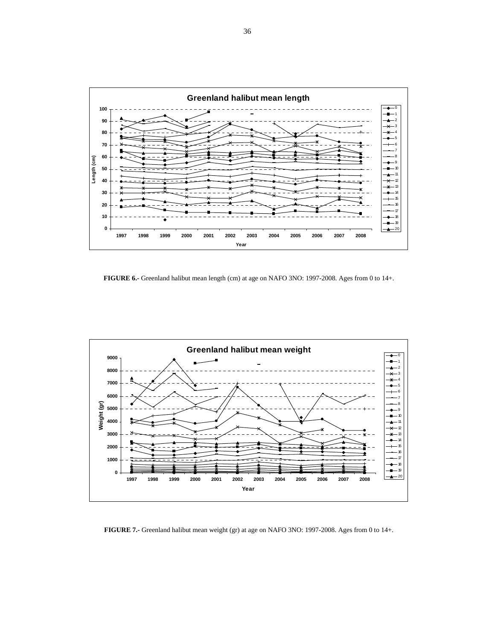

**FIGURE 6.-** Greenland halibut mean length (cm) at age on NAFO 3NO: 1997-2008. Ages from 0 to 14+.



**FIGURE 7.-** Greenland halibut mean weight (gr) at age on NAFO 3NO: 1997-2008. Ages from 0 to 14+.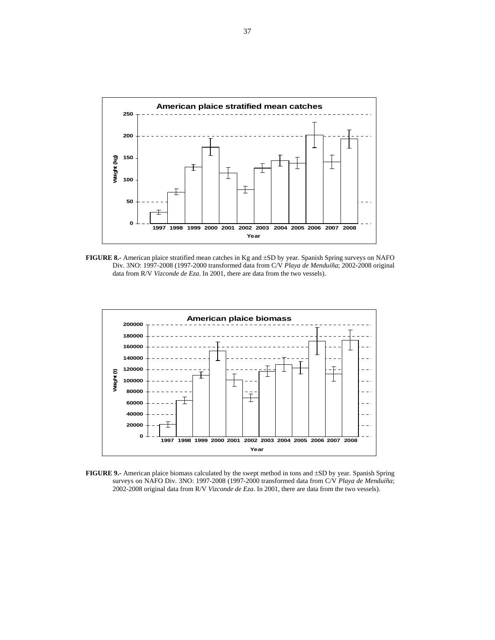![](_page_36_Figure_0.jpeg)

**FIGURE 8.-** American plaice stratified mean catches in Kg and ±SD by year. Spanish Spring surveys on NAFO Div. 3NO: 1997-2008 (1997-2000 transformed data from C/V *Playa de Menduíña*; 2002-2008 original data from R/V *Vizconde de Eza*. In 2001, there are data from the two vessels).

![](_page_36_Figure_2.jpeg)

**FIGURE 9.-** American plaice biomass calculated by the swept method in tons and  $\pm$ SD by year. Spanish Spring surveys on NAFO Div. 3NO: 1997-2008 (1997-2000 transformed data from C/V *Playa de Menduíña*; 2002-2008 original data from R/V *Vizconde de Eza*. In 2001, there are data from the two vessels).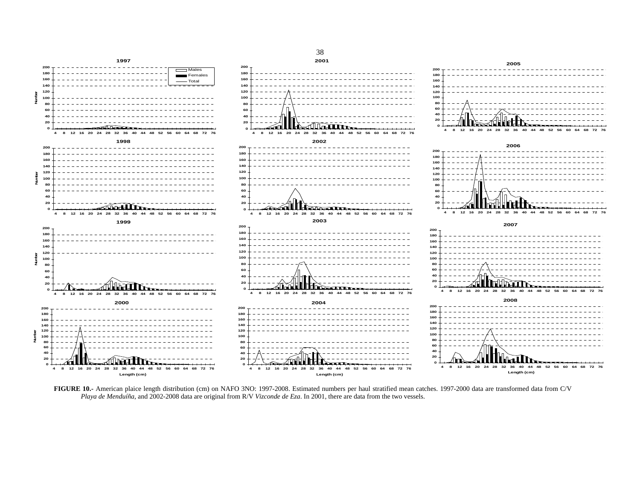![](_page_37_Figure_0.jpeg)

**FIGURE 10.-** American plaice length distribution (cm) on NAFO 3NO: 1997-2008. Estimated numbers per haul stratified mean catches. 1997-2000 data are transformed data from C/V *Playa de Menduíña*, and 2002-2008 data are original from R/V *Vizconde de Eza*. In 2001, there are data from the two vessels.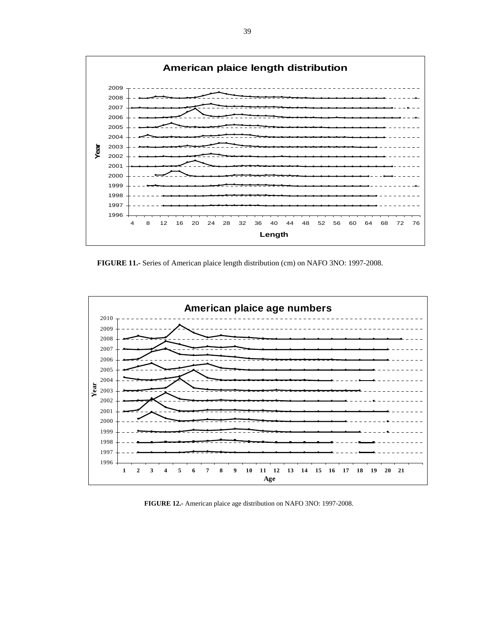![](_page_38_Figure_0.jpeg)

**FIGURE 11.-** Series of American plaice length distribution (cm) on NAFO 3NO: 1997-2008.

![](_page_38_Figure_2.jpeg)

**FIGURE 12.-** American plaice age distribution on NAFO 3NO: 1997-2008.